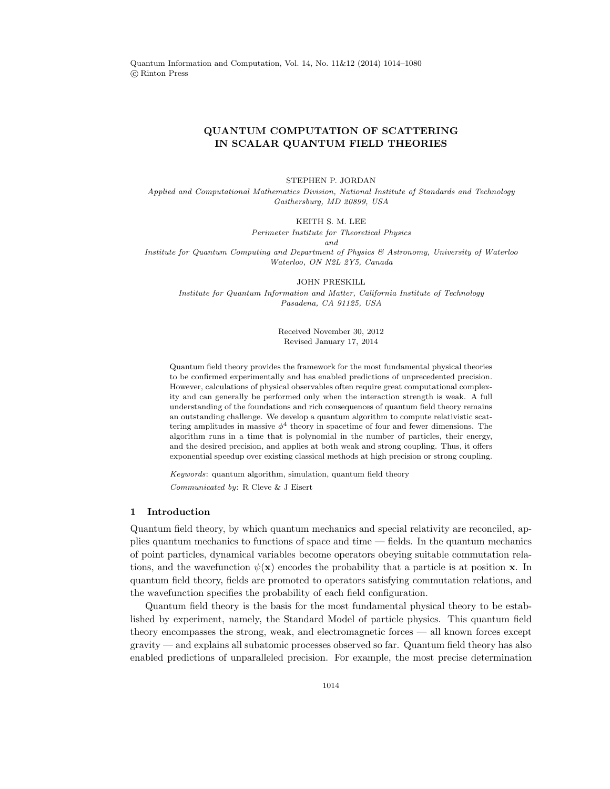Quantum Information and Computation, Vol. 14, No. 11&12 (2014) 1014–1080 c Rinton Press

# QUANTUM COMPUTATION OF SCATTERING IN SCALAR QUANTUM FIELD THEORIES

#### STEPHEN P. JORDAN

Applied and Computational Mathematics Division, National Institute of Standards and Technology Gaithersburg, MD 20899, USA

#### KEITH S. M. LEE

Perimeter Institute for Theoretical Physics

and

Institute for Quantum Computing and Department of Physics & Astronomy, University of Waterloo Waterloo, ON N2L 2Y5, Canada

### JOHN PRESKILL

Institute for Quantum Information and Matter, California Institute of Technology Pasadena, CA 91125, USA

> Received November 30, 2012 Revised January 17, 2014

Quantum field theory provides the framework for the most fundamental physical theories to be confirmed experimentally and has enabled predictions of unprecedented precision. However, calculations of physical observables often require great computational complexity and can generally be performed only when the interaction strength is weak. A full understanding of the foundations and rich consequences of quantum field theory remains an outstanding challenge. We develop a quantum algorithm to compute relativistic scattering amplitudes in massive  $\phi^4$  theory in spacetime of four and fewer dimensions. The algorithm runs in a time that is polynomial in the number of particles, their energy, and the desired precision, and applies at both weak and strong coupling. Thus, it offers exponential speedup over existing classical methods at high precision or strong coupling.

Keywords: quantum algorithm, simulation, quantum field theory Communicated by: R Cleve & J Eisert

### 1 Introduction

Quantum field theory, by which quantum mechanics and special relativity are reconciled, applies quantum mechanics to functions of space and time — fields. In the quantum mechanics of point particles, dynamical variables become operators obeying suitable commutation relations, and the wavefunction  $\psi(\mathbf{x})$  encodes the probability that a particle is at position x. In quantum field theory, fields are promoted to operators satisfying commutation relations, and the wavefunction specifies the probability of each field configuration.

Quantum field theory is the basis for the most fundamental physical theory to be established by experiment, namely, the Standard Model of particle physics. This quantum field theory encompasses the strong, weak, and electromagnetic forces — all known forces except gravity — and explains all subatomic processes observed so far. Quantum field theory has also enabled predictions of unparalleled precision. For example, the most precise determination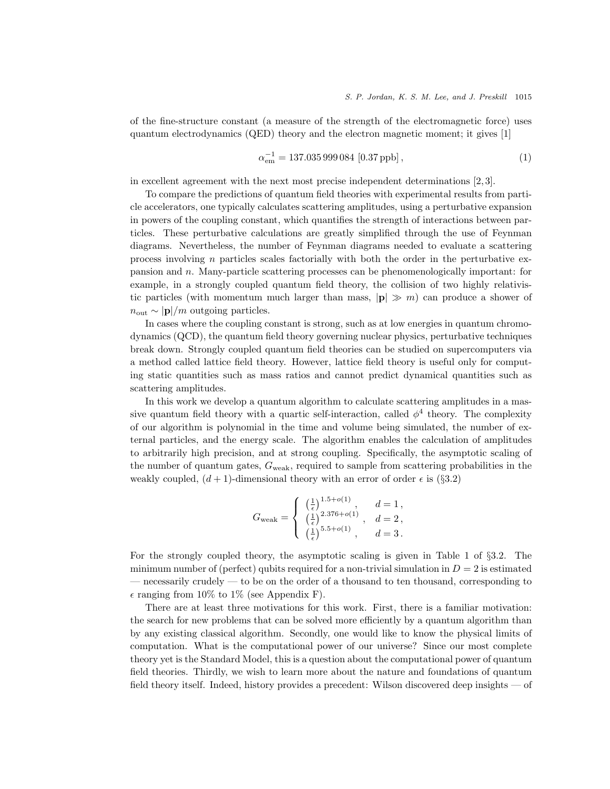of the fine-structure constant (a measure of the strength of the electromagnetic force) uses quantum electrodynamics (QED) theory and the electron magnetic moment; it gives [1]

$$
\alpha_{\rm em}^{-1} = 137.035\,999\,084\,\left[0.37\,\text{ppb}\right],\tag{1}
$$

in excellent agreement with the next most precise independent determinations [2, 3].

To compare the predictions of quantum field theories with experimental results from particle accelerators, one typically calculates scattering amplitudes, using a perturbative expansion in powers of the coupling constant, which quantifies the strength of interactions between particles. These perturbative calculations are greatly simplified through the use of Feynman diagrams. Nevertheless, the number of Feynman diagrams needed to evaluate a scattering process involving  $n$  particles scales factorially with both the order in the perturbative expansion and n. Many-particle scattering processes can be phenomenologically important: for example, in a strongly coupled quantum field theory, the collision of two highly relativistic particles (with momentum much larger than mass,  $|\mathbf{p}| \gg m$ ) can produce a shower of  $n_{\text{out}} \sim |\mathbf{p}|/m$  outgoing particles.

In cases where the coupling constant is strong, such as at low energies in quantum chromodynamics (QCD), the quantum field theory governing nuclear physics, perturbative techniques break down. Strongly coupled quantum field theories can be studied on supercomputers via a method called lattice field theory. However, lattice field theory is useful only for computing static quantities such as mass ratios and cannot predict dynamical quantities such as scattering amplitudes.

In this work we develop a quantum algorithm to calculate scattering amplitudes in a massive quantum field theory with a quartic self-interaction, called  $\phi^4$  theory. The complexity of our algorithm is polynomial in the time and volume being simulated, the number of external particles, and the energy scale. The algorithm enables the calculation of amplitudes to arbitrarily high precision, and at strong coupling. Specifically, the asymptotic scaling of the number of quantum gates,  $G_{weak}$ , required to sample from scattering probabilities in the weakly coupled,  $(d + 1)$ -dimensional theory with an error of order  $\epsilon$  is (§3.2)

$$
G_{\rm weak} = \left\{ \begin{array}{ll} \left(\frac{1}{\epsilon}\right)^{1.5+o(1)}, & d=1\,, \\ \left(\frac{1}{\epsilon}\right)^{2.376+o(1)}, & d=2\,, \\ \left(\frac{1}{\epsilon}\right)^{5.5+o(1)}, & d=3\,. \end{array} \right.
$$

For the strongly coupled theory, the asymptotic scaling is given in Table 1 of §3.2. The minimum number of (perfect) qubits required for a non-trivial simulation in  $D = 2$  is estimated — necessarily crudely — to be on the order of a thousand to ten thousand, corresponding to  $\epsilon$  ranging from 10% to 1% (see Appendix F).

There are at least three motivations for this work. First, there is a familiar motivation: the search for new problems that can be solved more efficiently by a quantum algorithm than by any existing classical algorithm. Secondly, one would like to know the physical limits of computation. What is the computational power of our universe? Since our most complete theory yet is the Standard Model, this is a question about the computational power of quantum field theories. Thirdly, we wish to learn more about the nature and foundations of quantum field theory itself. Indeed, history provides a precedent: Wilson discovered deep insights — of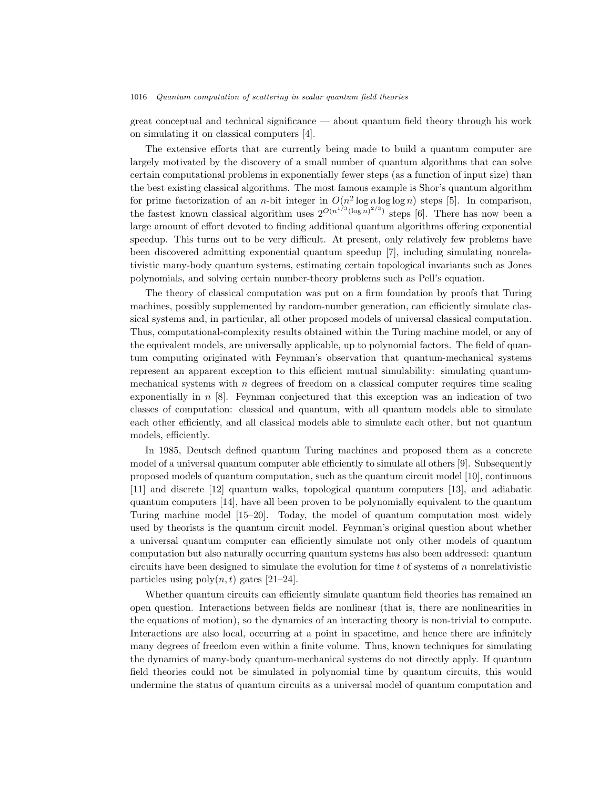great conceptual and technical significance — about quantum field theory through his work on simulating it on classical computers [4].

The extensive efforts that are currently being made to build a quantum computer are largely motivated by the discovery of a small number of quantum algorithms that can solve certain computational problems in exponentially fewer steps (as a function of input size) than the best existing classical algorithms. The most famous example is Shor's quantum algorithm for prime factorization of an *n*-bit integer in  $O(n^2 \log n \log \log n)$  steps [5]. In comparison, the fastest known classical algorithm uses  $2^{O(n^{1/3}(\log n)^{2/3})}$  steps [6]. There has now been a large amount of effort devoted to finding additional quantum algorithms offering exponential speedup. This turns out to be very difficult. At present, only relatively few problems have been discovered admitting exponential quantum speedup [7], including simulating nonrelativistic many-body quantum systems, estimating certain topological invariants such as Jones polynomials, and solving certain number-theory problems such as Pell's equation.

The theory of classical computation was put on a firm foundation by proofs that Turing machines, possibly supplemented by random-number generation, can efficiently simulate classical systems and, in particular, all other proposed models of universal classical computation. Thus, computational-complexity results obtained within the Turing machine model, or any of the equivalent models, are universally applicable, up to polynomial factors. The field of quantum computing originated with Feynman's observation that quantum-mechanical systems represent an apparent exception to this efficient mutual simulability: simulating quantummechanical systems with  $n$  degrees of freedom on a classical computer requires time scaling exponentially in  $n \times 8$ . Feynman conjectured that this exception was an indication of two classes of computation: classical and quantum, with all quantum models able to simulate each other efficiently, and all classical models able to simulate each other, but not quantum models, efficiently.

In 1985, Deutsch defined quantum Turing machines and proposed them as a concrete model of a universal quantum computer able efficiently to simulate all others [9]. Subsequently proposed models of quantum computation, such as the quantum circuit model [10], continuous [11] and discrete [12] quantum walks, topological quantum computers [13], and adiabatic quantum computers [14], have all been proven to be polynomially equivalent to the quantum Turing machine model [15–20]. Today, the model of quantum computation most widely used by theorists is the quantum circuit model. Feynman's original question about whether a universal quantum computer can efficiently simulate not only other models of quantum computation but also naturally occurring quantum systems has also been addressed: quantum circuits have been designed to simulate the evolution for time  $t$  of systems of  $n$  nonrelativistic particles using  $poly(n, t)$  gates [21–24].

Whether quantum circuits can efficiently simulate quantum field theories has remained an open question. Interactions between fields are nonlinear (that is, there are nonlinearities in the equations of motion), so the dynamics of an interacting theory is non-trivial to compute. Interactions are also local, occurring at a point in spacetime, and hence there are infinitely many degrees of freedom even within a finite volume. Thus, known techniques for simulating the dynamics of many-body quantum-mechanical systems do not directly apply. If quantum field theories could not be simulated in polynomial time by quantum circuits, this would undermine the status of quantum circuits as a universal model of quantum computation and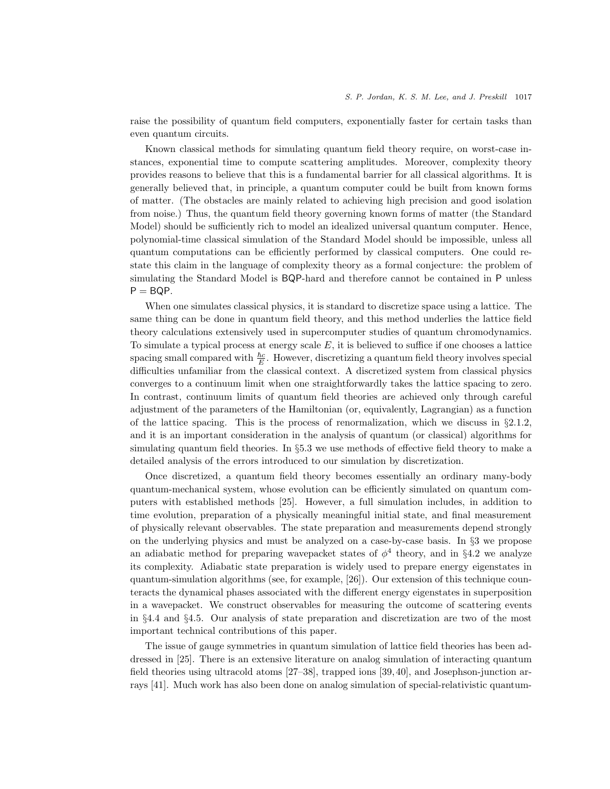raise the possibility of quantum field computers, exponentially faster for certain tasks than even quantum circuits.

Known classical methods for simulating quantum field theory require, on worst-case instances, exponential time to compute scattering amplitudes. Moreover, complexity theory provides reasons to believe that this is a fundamental barrier for all classical algorithms. It is generally believed that, in principle, a quantum computer could be built from known forms of matter. (The obstacles are mainly related to achieving high precision and good isolation from noise.) Thus, the quantum field theory governing known forms of matter (the Standard Model) should be sufficiently rich to model an idealized universal quantum computer. Hence, polynomial-time classical simulation of the Standard Model should be impossible, unless all quantum computations can be efficiently performed by classical computers. One could restate this claim in the language of complexity theory as a formal conjecture: the problem of simulating the Standard Model is BQP-hard and therefore cannot be contained in P unless  $P = BQP$ .

When one simulates classical physics, it is standard to discretize space using a lattice. The same thing can be done in quantum field theory, and this method underlies the lattice field theory calculations extensively used in supercomputer studies of quantum chromodynamics. To simulate a typical process at energy scale  $E$ , it is believed to suffice if one chooses a lattice spacing small compared with  $\frac{\hbar c}{E}$ . However, discretizing a quantum field theory involves special difficulties unfamiliar from the classical context. A discretized system from classical physics converges to a continuum limit when one straightforwardly takes the lattice spacing to zero. In contrast, continuum limits of quantum field theories are achieved only through careful adjustment of the parameters of the Hamiltonian (or, equivalently, Lagrangian) as a function of the lattice spacing. This is the process of renormalization, which we discuss in  $\S 2.1.2$ , and it is an important consideration in the analysis of quantum (or classical) algorithms for simulating quantum field theories. In §5.3 we use methods of effective field theory to make a detailed analysis of the errors introduced to our simulation by discretization.

Once discretized, a quantum field theory becomes essentially an ordinary many-body quantum-mechanical system, whose evolution can be efficiently simulated on quantum computers with established methods [25]. However, a full simulation includes, in addition to time evolution, preparation of a physically meaningful initial state, and final measurement of physically relevant observables. The state preparation and measurements depend strongly on the underlying physics and must be analyzed on a case-by-case basis. In §3 we propose an adiabatic method for preparing wavepacket states of  $\phi^4$  theory, and in §4.2 we analyze its complexity. Adiabatic state preparation is widely used to prepare energy eigenstates in quantum-simulation algorithms (see, for example, [26]). Our extension of this technique counteracts the dynamical phases associated with the different energy eigenstates in superposition in a wavepacket. We construct observables for measuring the outcome of scattering events in §4.4 and §4.5. Our analysis of state preparation and discretization are two of the most important technical contributions of this paper.

The issue of gauge symmetries in quantum simulation of lattice field theories has been addressed in [25]. There is an extensive literature on analog simulation of interacting quantum field theories using ultracold atoms [27–38], trapped ions [39, 40], and Josephson-junction arrays [41]. Much work has also been done on analog simulation of special-relativistic quantum-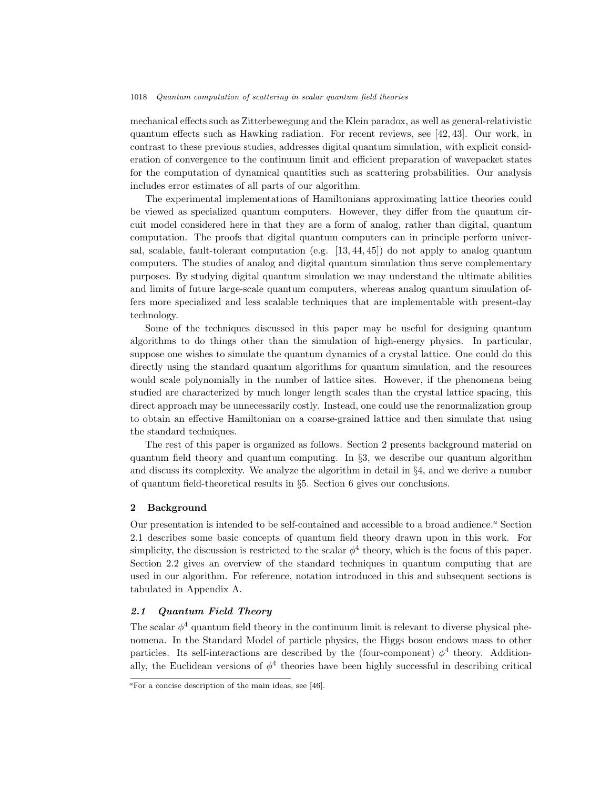mechanical effects such as Zitterbewegung and the Klein paradox, as well as general-relativistic quantum effects such as Hawking radiation. For recent reviews, see [42, 43]. Our work, in contrast to these previous studies, addresses digital quantum simulation, with explicit consideration of convergence to the continuum limit and efficient preparation of wavepacket states for the computation of dynamical quantities such as scattering probabilities. Our analysis includes error estimates of all parts of our algorithm.

The experimental implementations of Hamiltonians approximating lattice theories could be viewed as specialized quantum computers. However, they differ from the quantum circuit model considered here in that they are a form of analog, rather than digital, quantum computation. The proofs that digital quantum computers can in principle perform universal, scalable, fault-tolerant computation (e.g. [13, 44, 45]) do not apply to analog quantum computers. The studies of analog and digital quantum simulation thus serve complementary purposes. By studying digital quantum simulation we may understand the ultimate abilities and limits of future large-scale quantum computers, whereas analog quantum simulation offers more specialized and less scalable techniques that are implementable with present-day technology.

Some of the techniques discussed in this paper may be useful for designing quantum algorithms to do things other than the simulation of high-energy physics. In particular, suppose one wishes to simulate the quantum dynamics of a crystal lattice. One could do this directly using the standard quantum algorithms for quantum simulation, and the resources would scale polynomially in the number of lattice sites. However, if the phenomena being studied are characterized by much longer length scales than the crystal lattice spacing, this direct approach may be unnecessarily costly. Instead, one could use the renormalization group to obtain an effective Hamiltonian on a coarse-grained lattice and then simulate that using the standard techniques.

The rest of this paper is organized as follows. Section 2 presents background material on quantum field theory and quantum computing. In §3, we describe our quantum algorithm and discuss its complexity. We analyze the algorithm in detail in §4, and we derive a number of quantum field-theoretical results in §5. Section 6 gives our conclusions.

### 2 Background

Our presentation is intended to be self-contained and accessible to a broad audience.<sup> $a$ </sup> Section 2.1 describes some basic concepts of quantum field theory drawn upon in this work. For simplicity, the discussion is restricted to the scalar  $\phi^4$  theory, which is the focus of this paper. Section 2.2 gives an overview of the standard techniques in quantum computing that are used in our algorithm. For reference, notation introduced in this and subsequent sections is tabulated in Appendix A.

# 2.1 Quantum Field Theory

The scalar  $\phi^4$  quantum field theory in the continuum limit is relevant to diverse physical phenomena. In the Standard Model of particle physics, the Higgs boson endows mass to other particles. Its self-interactions are described by the (four-component)  $\phi^4$  theory. Additionally, the Euclidean versions of  $\phi^4$  theories have been highly successful in describing critical

 $a<sub>F</sub>$  a concise description of the main ideas, see [46].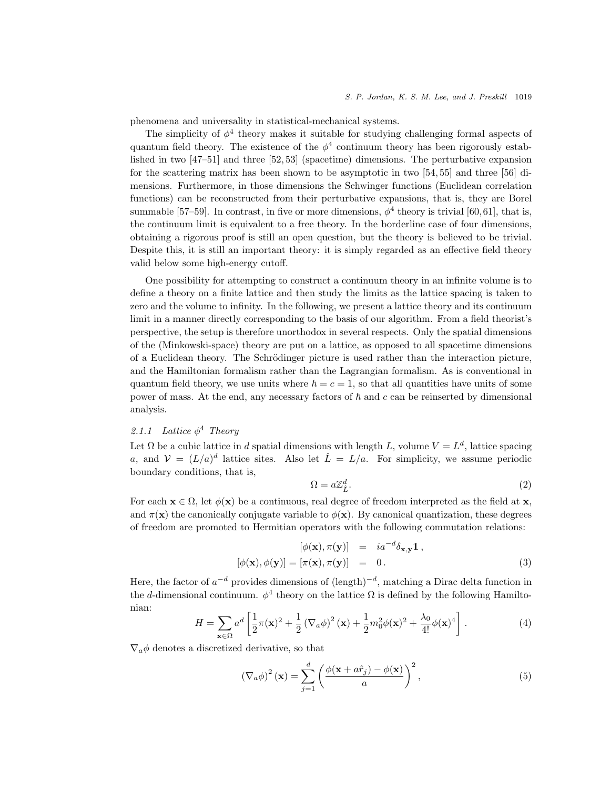phenomena and universality in statistical-mechanical systems.

The simplicity of  $\phi^4$  theory makes it suitable for studying challenging formal aspects of quantum field theory. The existence of the  $\phi^4$  continuum theory has been rigorously established in two [47–51] and three [52, 53] (spacetime) dimensions. The perturbative expansion for the scattering matrix has been shown to be asymptotic in two [54, 55] and three [56] dimensions. Furthermore, in those dimensions the Schwinger functions (Euclidean correlation functions) can be reconstructed from their perturbative expansions, that is, they are Borel summable [57–59]. In contrast, in five or more dimensions,  $\phi^4$  theory is trivial [60,61], that is, the continuum limit is equivalent to a free theory. In the borderline case of four dimensions, obtaining a rigorous proof is still an open question, but the theory is believed to be trivial. Despite this, it is still an important theory: it is simply regarded as an effective field theory valid below some high-energy cutoff.

One possibility for attempting to construct a continuum theory in an infinite volume is to define a theory on a finite lattice and then study the limits as the lattice spacing is taken to zero and the volume to infinity. In the following, we present a lattice theory and its continuum limit in a manner directly corresponding to the basis of our algorithm. From a field theorist's perspective, the setup is therefore unorthodox in several respects. Only the spatial dimensions of the (Minkowski-space) theory are put on a lattice, as opposed to all spacetime dimensions of a Euclidean theory. The Schrödinger picture is used rather than the interaction picture, and the Hamiltonian formalism rather than the Lagrangian formalism. As is conventional in quantum field theory, we use units where  $\hbar = c = 1$ , so that all quantities have units of some power of mass. At the end, any necessary factors of  $\hbar$  and c can be reinserted by dimensional analysis.

# 2.1.1 Lattice  $\phi^4$  Theory

Let  $\Omega$  be a cubic lattice in d spatial dimensions with length L, volume  $V = L^d$ , lattice spacing a, and  $V = (L/a)^d$  lattice sites. Also let  $\hat{L} = L/a$ . For simplicity, we assume periodic boundary conditions, that is,

$$
\Omega = a\mathbb{Z}_{\hat{L}}^d.
$$
\n<sup>(2)</sup>

For each  $\mathbf{x} \in \Omega$ , let  $\phi(\mathbf{x})$  be a continuous, real degree of freedom interpreted as the field at  $\mathbf{x}$ , and  $\pi(\mathbf{x})$  the canonically conjugate variable to  $\phi(\mathbf{x})$ . By canonical quantization, these degrees of freedom are promoted to Hermitian operators with the following commutation relations:

$$
[\phi(\mathbf{x}), \pi(\mathbf{y})] = ia^{-d} \delta_{\mathbf{x}, \mathbf{y}} \mathbb{1},
$$
  

$$
[\phi(\mathbf{x}), \phi(\mathbf{y})] = [\pi(\mathbf{x}), \pi(\mathbf{y})] = 0.
$$
 (3)

Here, the factor of  $a^{-d}$  provides dimensions of  $(\text{length})^{-d}$ , matching a Dirac delta function in the d-dimensional continuum.  $\phi^4$  theory on the lattice  $\Omega$  is defined by the following Hamiltonian:

$$
H = \sum_{\mathbf{x}\in\Omega} a^d \left[ \frac{1}{2}\pi(\mathbf{x})^2 + \frac{1}{2}\left(\nabla_a\phi\right)^2(\mathbf{x}) + \frac{1}{2}m_0^2\phi(\mathbf{x})^2 + \frac{\lambda_0}{4!}\phi(\mathbf{x})^4 \right].
$$
 (4)

 $\nabla_a \phi$  denotes a discretized derivative, so that

$$
\left(\nabla_a \phi\right)^2 (\mathbf{x}) = \sum_{j=1}^d \left(\frac{\phi(\mathbf{x} + a\hat{r}_j) - \phi(\mathbf{x})}{a}\right)^2,\tag{5}
$$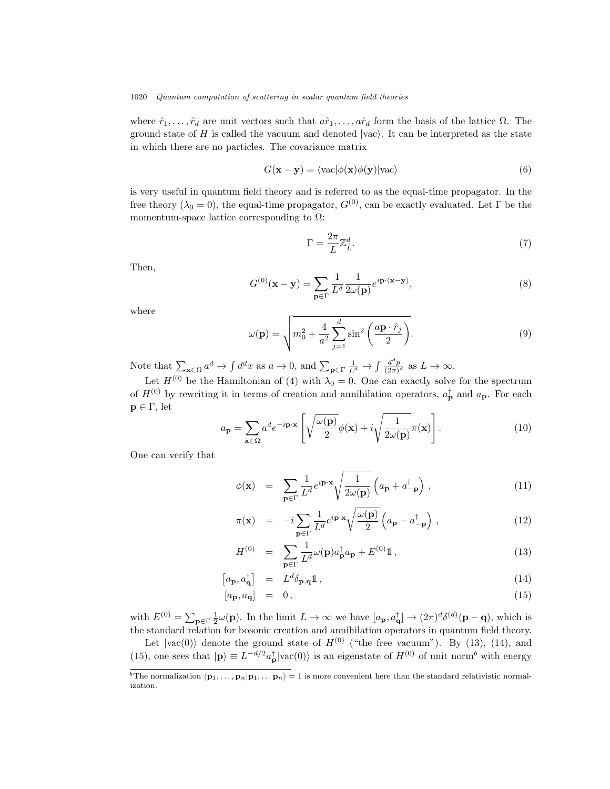where  $\hat{r}_1, \ldots, \hat{r}_d$  are unit vectors such that  $a\hat{r}_1, \ldots, a\hat{r}_d$  form the basis of the lattice  $\Omega$ . The ground state of H is called the vacuum and denoted  $|vac\rangle$ . It can be interpreted as the state in which there are no particles. The covariance matrix

$$
G(\mathbf{x} - \mathbf{y}) = \langle \text{vac} | \phi(\mathbf{x}) \phi(\mathbf{y}) | \text{vac} \rangle \tag{6}
$$

is very useful in quantum field theory and is referred to as the equal-time propagator. In the free theory ( $\lambda_0 = 0$ ), the equal-time propagator,  $G^{(0)}$ , can be exactly evaluated. Let Γ be the momentum-space lattice corresponding to  $\Omega$ :

$$
\Gamma = \frac{2\pi}{L} \mathbb{Z}_{\hat{L}}^d.
$$
\n(7)

Then,

$$
G^{(0)}(\mathbf{x} - \mathbf{y}) = \sum_{\mathbf{p} \in \Gamma} \frac{1}{L^d} \frac{1}{2\omega(\mathbf{p})} e^{i\mathbf{p} \cdot (\mathbf{x} - \mathbf{y})},\tag{8}
$$

where

$$
\omega(\mathbf{p}) = \sqrt{m_0^2 + \frac{4}{a^2} \sum_{j=1}^d \sin^2\left(\frac{a\mathbf{p} \cdot \hat{r}_j}{2}\right)}.
$$
\n(9)

Note that  $\sum_{\mathbf{x}\in\Omega}a^d \to \int d^dx$  as  $a\to 0$ , and  $\sum_{\mathbf{p}\in\Gamma}\frac{1}{L^d} \to \int \frac{d^dp}{(2\pi)^d}$  $\frac{d^2p}{(2\pi)^d}$  as  $L \to \infty$ .

Let  $H^{(0)}$  be the Hamiltonian of (4) with  $\lambda_0 = 0$ . One can exactly solve for the spectrum of  $H^{(0)}$  by rewriting it in terms of creation and annihilation operators,  $a_{\mathbf{p}}^{\dagger}$  and  $a_{\mathbf{p}}$ . For each  $p \in \Gamma$ , let

$$
a_{\mathbf{p}} = \sum_{\mathbf{x} \in \Omega} a^d e^{-i\mathbf{p} \cdot \mathbf{x}} \left[ \sqrt{\frac{\omega(\mathbf{p})}{2}} \phi(\mathbf{x}) + i \sqrt{\frac{1}{2\omega(\mathbf{p})}} \pi(\mathbf{x}) \right]. \tag{10}
$$

One can verify that

$$
\phi(\mathbf{x}) = \sum_{\mathbf{p} \in \Gamma} \frac{1}{L^d} e^{i\mathbf{p} \cdot \mathbf{x}} \sqrt{\frac{1}{2\omega(\mathbf{p})}} \left( a_{\mathbf{p}} + a_{-\mathbf{p}}^{\dagger} \right), \qquad (11)
$$

$$
\pi(\mathbf{x}) = -i \sum_{\mathbf{p} \in \Gamma} \frac{1}{L^d} e^{i\mathbf{p} \cdot \mathbf{x}} \sqrt{\frac{\omega(\mathbf{p})}{2}} \left( a_\mathbf{p} - a_{-\mathbf{p}}^\dagger \right) , \qquad (12)
$$

$$
H^{(0)} = \sum_{\mathbf{p} \in \Gamma} \frac{1}{L^d} \omega(\mathbf{p}) a_{\mathbf{p}}^\dagger a_{\mathbf{p}} + E^{(0)} \mathbb{1}, \qquad (13)
$$

$$
\left[a_{\mathbf{p}}, a_{\mathbf{q}}^{\dagger}\right] = L^d \delta_{\mathbf{p}, \mathbf{q}} \mathbb{1},\tag{14}
$$

$$
[a_{\mathbf{p}}, a_{\mathbf{q}}] = 0, \tag{15}
$$

with  $E^{(0)} = \sum_{\mathbf{p} \in \Gamma} \frac{1}{2} \omega(\mathbf{p})$ . In the limit  $L \to \infty$  we have  $[a_{\mathbf{p}}, a_{\mathbf{q}}^{\dagger}] \to (2\pi)^{d} \delta^{(d)}(\mathbf{p} - \mathbf{q})$ , which is the standard relation for bosonic creation and annihilation operators in quantum field theory.

Let  $|vac(0)\rangle$  denote the ground state of  $H^{(0)}$  ("the free vacuum"). By (13), (14), and (15), one sees that  $|\mathbf{p}\rangle \equiv L^{-d/2} a_{\mathbf{p}}^{\dagger} |\text{vac}(0)\rangle$  is an eigenstate of  $H^{(0)}$  of unit norm<sup>b</sup> with energy

 $\overline{b_{\text{The normalization }(\mathbf{p}_1, \ldots, \mathbf{p}_n|\mathbf{p}_1, \ldots, \mathbf{p}_n)} = 1$  is more convenient here than the standard relativistic normalization.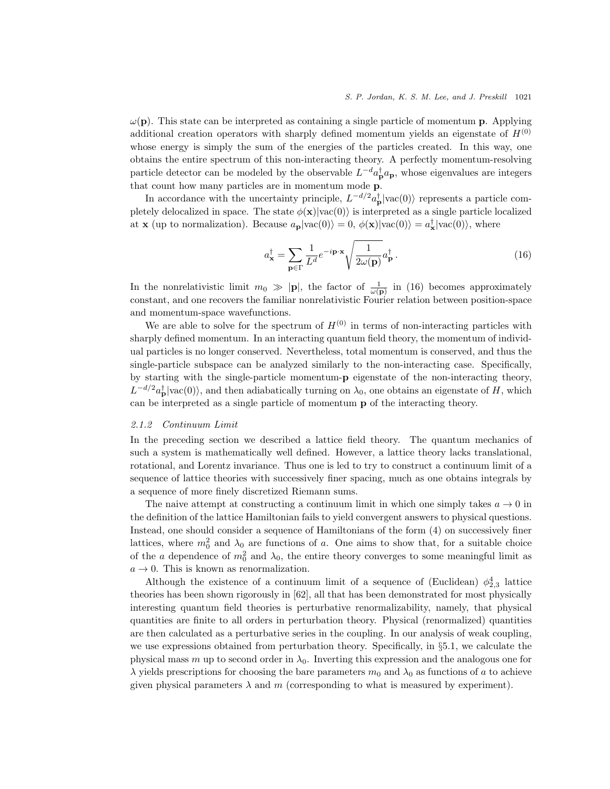$\omega(\mathbf{p})$ . This state can be interpreted as containing a single particle of momentum **p**. Applying additional creation operators with sharply defined momentum yields an eigenstate of  $H^{(0)}$ whose energy is simply the sum of the energies of the particles created. In this way, one obtains the entire spectrum of this non-interacting theory. A perfectly momentum-resolving particle detector can be modeled by the observable  $L^{-d}a_{\mathbf{p}}^{\dagger}a_{\mathbf{p}}$ , whose eigenvalues are integers that count how many particles are in momentum mode p.

In accordance with the uncertainty principle,  $L^{-d/2}a_{\mathbf{p}}^{\dagger}|\text{vac}(0)\rangle$  represents a particle completely delocalized in space. The state  $\phi(\mathbf{x})|\text{vac}(0)\rangle$  is interpreted as a single particle localized at **x** (up to normalization). Because  $a_p | \text{vac}(0) \rangle = 0$ ,  $\phi(\mathbf{x}) | \text{vac}(0) \rangle = a_{\mathbf{x}}^{\dagger} | \text{vac}(0) \rangle$ , where

$$
a_{\mathbf{x}}^{\dagger} = \sum_{\mathbf{p} \in \Gamma} \frac{1}{L^d} e^{-i\mathbf{p} \cdot \mathbf{x}} \sqrt{\frac{1}{2\omega(\mathbf{p})}} a_{\mathbf{p}}^{\dagger}.
$$
 (16)

In the nonrelativistic limit  $m_0 \gg |\mathbf{p}|$ , the factor of  $\frac{1}{\omega(\mathbf{p})}$  in (16) becomes approximately constant, and one recovers the familiar nonrelativistic Fourier relation between position-space and momentum-space wavefunctions.

We are able to solve for the spectrum of  $H^{(0)}$  in terms of non-interacting particles with sharply defined momentum. In an interacting quantum field theory, the momentum of individual particles is no longer conserved. Nevertheless, total momentum is conserved, and thus the single-particle subspace can be analyzed similarly to the non-interacting case. Specifically, by starting with the single-particle momentum-p eigenstate of the non-interacting theory,  $L^{-d/2}a_{\mathbf{p}}^{\dagger}|\text{vac}(0)\rangle$ , and then adiabatically turning on  $\lambda_0$ , one obtains an eigenstate of H, which can be interpreted as a single particle of momentum p of the interacting theory.

#### 2.1.2 Continuum Limit

In the preceding section we described a lattice field theory. The quantum mechanics of such a system is mathematically well defined. However, a lattice theory lacks translational, rotational, and Lorentz invariance. Thus one is led to try to construct a continuum limit of a sequence of lattice theories with successively finer spacing, much as one obtains integrals by a sequence of more finely discretized Riemann sums.

The naive attempt at constructing a continuum limit in which one simply takes  $a \to 0$  in the definition of the lattice Hamiltonian fails to yield convergent answers to physical questions. Instead, one should consider a sequence of Hamiltonians of the form (4) on successively finer lattices, where  $m_0^2$  and  $\lambda_0$  are functions of a. One aims to show that, for a suitable choice of the a dependence of  $m_0^2$  and  $\lambda_0$ , the entire theory converges to some meaningful limit as  $a \rightarrow 0$ . This is known as renormalization.

Although the existence of a continuum limit of a sequence of (Euclidean)  $\phi_{2,3}^4$  lattice theories has been shown rigorously in [62], all that has been demonstrated for most physically interesting quantum field theories is perturbative renormalizability, namely, that physical quantities are finite to all orders in perturbation theory. Physical (renormalized) quantities are then calculated as a perturbative series in the coupling. In our analysis of weak coupling, we use expressions obtained from perturbation theory. Specifically, in §5.1, we calculate the physical mass m up to second order in  $\lambda_0$ . Inverting this expression and the analogous one for  $\lambda$  yields prescriptions for choosing the bare parameters  $m_0$  and  $\lambda_0$  as functions of a to achieve given physical parameters  $\lambda$  and m (corresponding to what is measured by experiment).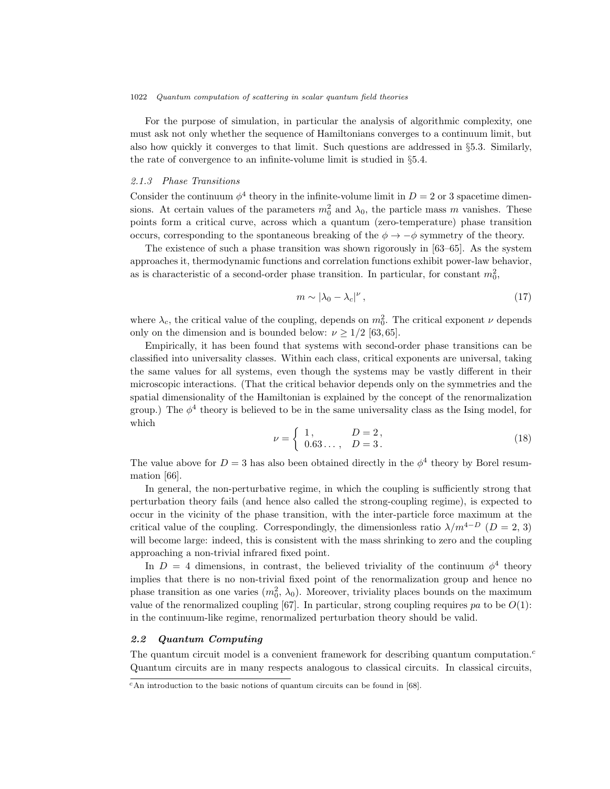For the purpose of simulation, in particular the analysis of algorithmic complexity, one must ask not only whether the sequence of Hamiltonians converges to a continuum limit, but also how quickly it converges to that limit. Such questions are addressed in §5.3. Similarly, the rate of convergence to an infinite-volume limit is studied in §5.4.

# 2.1.3 Phase Transitions

Consider the continuum  $\phi^4$  theory in the infinite-volume limit in  $D = 2$  or 3 spacetime dimensions. At certain values of the parameters  $m_0^2$  and  $\lambda_0$ , the particle mass m vanishes. These points form a critical curve, across which a quantum (zero-temperature) phase transition occurs, corresponding to the spontaneous breaking of the  $\phi \rightarrow -\phi$  symmetry of the theory.

The existence of such a phase transition was shown rigorously in [63–65]. As the system approaches it, thermodynamic functions and correlation functions exhibit power-law behavior, as is characteristic of a second-order phase transition. In particular, for constant  $m_0^2$ ,

$$
m \sim |\lambda_0 - \lambda_c|^\nu, \tag{17}
$$

where  $\lambda_c$ , the critical value of the coupling, depends on  $m_0^2$ . The critical exponent  $\nu$  depends only on the dimension and is bounded below:  $\nu \geq 1/2$  [63, 65].

Empirically, it has been found that systems with second-order phase transitions can be classified into universality classes. Within each class, critical exponents are universal, taking the same values for all systems, even though the systems may be vastly different in their microscopic interactions. (That the critical behavior depends only on the symmetries and the spatial dimensionality of the Hamiltonian is explained by the concept of the renormalization group.) The  $\phi^4$  theory is believed to be in the same universality class as the Ising model, for which

$$
\nu = \begin{cases} 1, & D = 2, \\ 0.63..., & D = 3. \end{cases}
$$
 (18)

The value above for  $D=3$  has also been obtained directly in the  $\phi^4$  theory by Borel resummation [66].

In general, the non-perturbative regime, in which the coupling is sufficiently strong that perturbation theory fails (and hence also called the strong-coupling regime), is expected to occur in the vicinity of the phase transition, with the inter-particle force maximum at the critical value of the coupling. Correspondingly, the dimensionless ratio  $\lambda/m^{4-D}$  ( $D=2, 3$ ) will become large: indeed, this is consistent with the mass shrinking to zero and the coupling approaching a non-trivial infrared fixed point.

In  $D = 4$  dimensions, in contrast, the believed triviality of the continuum  $\phi^4$  theory implies that there is no non-trivial fixed point of the renormalization group and hence no phase transition as one varies  $(m_0^2, \lambda_0)$ . Moreover, triviality places bounds on the maximum value of the renormalized coupling [67]. In particular, strong coupling requires pa to be  $O(1)$ : in the continuum-like regime, renormalized perturbation theory should be valid.

# 2.2 Quantum Computing

The quantum circuit model is a convenient framework for describing quantum computation.<sup>c</sup> Quantum circuits are in many respects analogous to classical circuits. In classical circuits,

 $c$ An introduction to the basic notions of quantum circuits can be found in [68].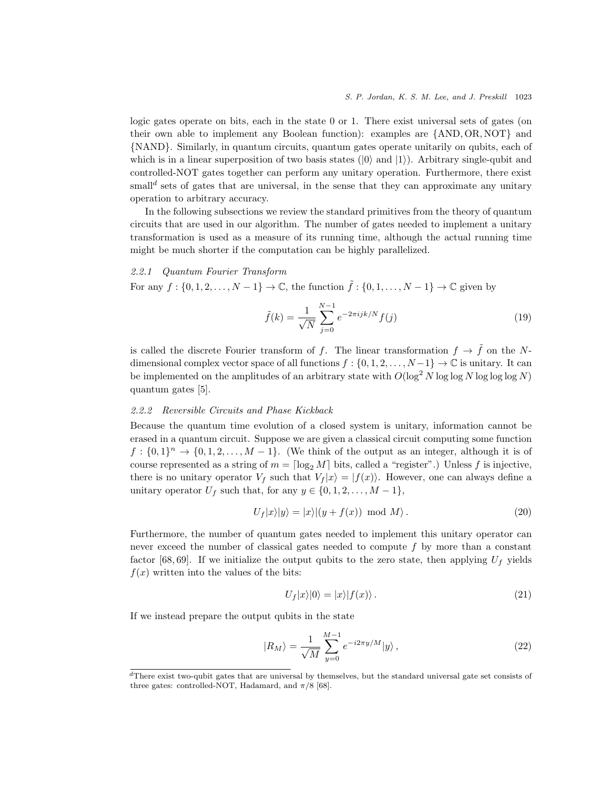logic gates operate on bits, each in the state 0 or 1. There exist universal sets of gates (on their own able to implement any Boolean function): examples are {AND, OR, NOT} and {NAND}. Similarly, in quantum circuits, quantum gates operate unitarily on qubits, each of which is in a linear superposition of two basis states  $(|0\rangle$  and  $|1\rangle$ ). Arbitrary single-qubit and controlled-NOT gates together can perform any unitary operation. Furthermore, there exist small<sup>d</sup> sets of gates that are universal, in the sense that they can approximate any unitary operation to arbitrary accuracy.

In the following subsections we review the standard primitives from the theory of quantum circuits that are used in our algorithm. The number of gates needed to implement a unitary transformation is used as a measure of its running time, although the actual running time might be much shorter if the computation can be highly parallelized.

### 2.2.1 Quantum Fourier Transform

For any  $f : \{0, 1, 2, \ldots, N - 1\} \to \mathbb{C}$ , the function  $\tilde{f} : \{0, 1, \ldots, N - 1\} \to \mathbb{C}$  given by

$$
\tilde{f}(k) = \frac{1}{\sqrt{N}} \sum_{j=0}^{N-1} e^{-2\pi i j k/N} f(j)
$$
\n(19)

is called the discrete Fourier transform of f. The linear transformation  $f \to \tilde{f}$  on the Ndimensional complex vector space of all functions  $f : \{0, 1, 2, \ldots, N-1\} \to \mathbb{C}$  is unitary. It can be implemented on the amplitudes of an arbitrary state with  $O(\log^2 N \log \log N)$  log log  $N$ ) quantum gates [5].

### 2.2.2 Reversible Circuits and Phase Kickback

Because the quantum time evolution of a closed system is unitary, information cannot be erased in a quantum circuit. Suppose we are given a classical circuit computing some function  $f: \{0,1\}^n \to \{0,1,2,\ldots,M-1\}.$  (We think of the output as an integer, although it is of course represented as a string of  $m = \lceil \log_2 M \rceil$  bits, called a "register".) Unless f is injective, there is no unitary operator  $V_f$  such that  $V_f(x) = |f(x)\rangle$ . However, one can always define a unitary operator  $U_f$  such that, for any  $y \in \{0, 1, 2, \ldots, M - 1\},\$ 

$$
U_f|x\rangle|y\rangle = |x\rangle|(y + f(x)) \text{ mod } M\rangle. \tag{20}
$$

Furthermore, the number of quantum gates needed to implement this unitary operator can never exceed the number of classical gates needed to compute  $f$  by more than a constant factor [68, 69]. If we initialize the output qubits to the zero state, then applying  $U_f$  yields  $f(x)$  written into the values of the bits:

$$
U_f|x\rangle|0\rangle=|x\rangle|f(x)\rangle.
$$
\n(21)

If we instead prepare the output qubits in the state

$$
|R_M\rangle = \frac{1}{\sqrt{M}} \sum_{y=0}^{M-1} e^{-i2\pi y/M} |y\rangle, \qquad (22)
$$

 ${}^{d}$ There exist two-qubit gates that are universal by themselves, but the standard universal gate set consists of three gates: controlled-NOT, Hadamard, and  $\pi/8$  [68].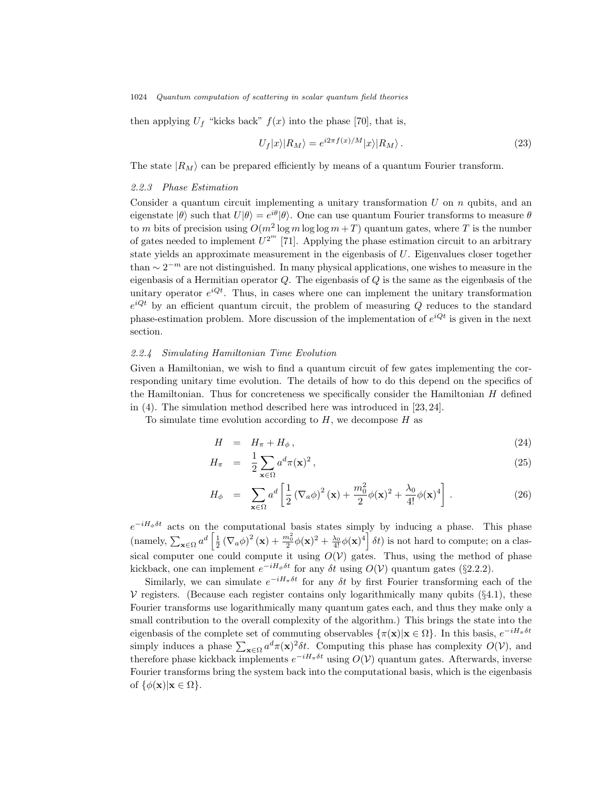then applying  $U_f$  "kicks back"  $f(x)$  into the phase [70], that is,

$$
U_f|x\rangle|R_M\rangle = e^{i2\pi f(x)/M}|x\rangle|R_M\rangle.
$$
\n(23)

The state  $|R_M\rangle$  can be prepared efficiently by means of a quantum Fourier transform.

### 2.2.3 Phase Estimation

Consider a quantum circuit implementing a unitary transformation  $U$  on  $n$  qubits, and an eigenstate  $|\theta\rangle$  such that  $U|\theta\rangle = e^{i\theta}|\theta\rangle$ . One can use quantum Fourier transforms to measure  $\theta$ to m bits of precision using  $O(m^2 \log m \log \log m + T)$  quantum gates, where T is the number of gates needed to implement  $U^{2^m}$  [71]. Applying the phase estimation circuit to an arbitrary state yields an approximate measurement in the eigenbasis of  $U$ . Eigenvalues closer together than  $\sim 2^{-m}$  are not distinguished. In many physical applications, one wishes to measure in the eigenbasis of a Hermitian operator  $Q$ . The eigenbasis of  $Q$  is the same as the eigenbasis of the unitary operator  $e^{i\mathcal{Q}t}$ . Thus, in cases where one can implement the unitary transformation  $e^{i\mathbf{Q}t}$  by an efficient quantum circuit, the problem of measuring Q reduces to the standard phase-estimation problem. More discussion of the implementation of  $e^{i\mathbf{Q}t}$  is given in the next section.

# 2.2.4 Simulating Hamiltonian Time Evolution

Given a Hamiltonian, we wish to find a quantum circuit of few gates implementing the corresponding unitary time evolution. The details of how to do this depend on the specifics of the Hamiltonian. Thus for concreteness we specifically consider the Hamiltonian  $H$  defined in (4). The simulation method described here was introduced in [23, 24].

To simulate time evolution according to  $H$ , we decompose  $H$  as

$$
H = H_{\pi} + H_{\phi}, \tag{24}
$$

$$
H_{\pi} = \frac{1}{2} \sum_{\mathbf{x} \in \Omega} a^d \pi(\mathbf{x})^2, \qquad (25)
$$

$$
H_{\phi} = \sum_{\mathbf{x} \in \Omega} a^d \left[ \frac{1}{2} \left( \nabla_a \phi \right)^2 (\mathbf{x}) + \frac{m_0^2}{2} \phi(\mathbf{x})^2 + \frac{\lambda_0}{4!} \phi(\mathbf{x})^4 \right]. \tag{26}
$$

 $e^{-iH_{\phi}\delta t}$  acts on the computational basis states simply by inducing a phase. This phase (namely,  $\sum_{\mathbf{x}\in\Omega}a^d\left[\frac{1}{2}(\nabla_a\phi)^2(\mathbf{x})+\frac{m_0^2}{2}\phi(\mathbf{x})^2+\frac{\lambda_0}{4!}\phi(\mathbf{x})^4\right]\delta t$ ) is not hard to compute; on a classical computer one could compute it using  $O(V)$  gates. Thus, using the method of phase kickback, one can implement  $e^{-iH_\phi\delta t}$  for any  $\delta t$  using  $O(V)$  quantum gates (§2.2.2).

Similarly, we can simulate  $e^{-iH_{\pi}\delta t}$  for any  $\delta t$  by first Fourier transforming each of the  $\mathcal V$  registers. (Because each register contains only logarithmically many qubits (§4.1), these Fourier transforms use logarithmically many quantum gates each, and thus they make only a small contribution to the overall complexity of the algorithm.) This brings the state into the eigenbasis of the complete set of commuting observables  $\{\pi(\mathbf{x}) | \mathbf{x} \in \Omega\}$ . In this basis,  $e^{-iH_{\pi}\delta t}$ simply induces a phase  $\sum_{\mathbf{x}\in\Omega}a^d\pi(\mathbf{x})^2\delta t$ . Computing this phase has complexity  $O(V)$ , and therefore phase kickback implements  $e^{-iH_{\pi}\delta t}$  using  $O(V)$  quantum gates. Afterwards, inverse Fourier transforms bring the system back into the computational basis, which is the eigenbasis of  $\{\phi(\mathbf{x})|\mathbf{x}\in\Omega\}$ .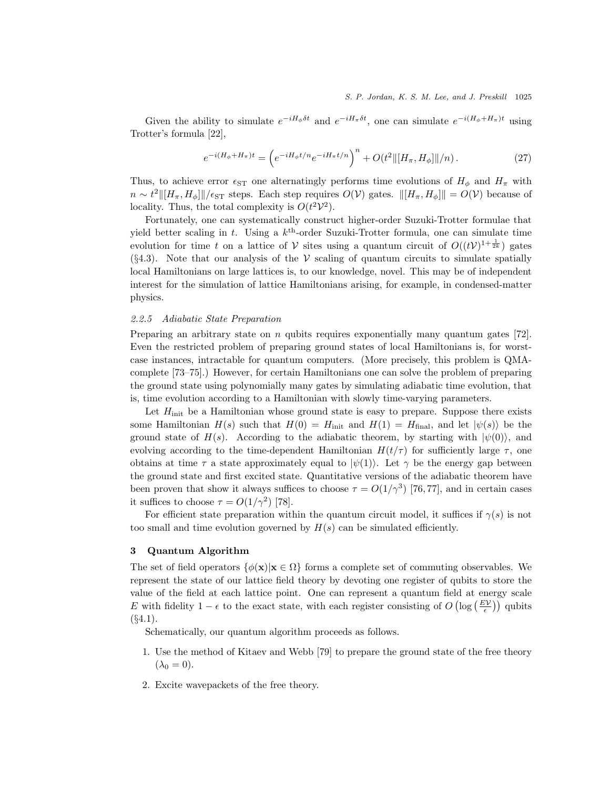Given the ability to simulate  $e^{-iH_{\phi}\delta t}$  and  $e^{-iH_{\pi}\delta t}$ , one can simulate  $e^{-i(H_{\phi}+H_{\pi})t}$  using Trotter's formula [22],

$$
e^{-i(H_{\phi} + H_{\pi})t} = \left(e^{-iH_{\phi}t/n}e^{-iH_{\pi}t/n}\right)^n + O(t^2 \|\left[H_{\pi}, H_{\phi}\right]\|/n). \tag{27}
$$

Thus, to achieve error  $\epsilon_{ST}$  one alternatingly performs time evolutions of  $H_{\phi}$  and  $H_{\pi}$  with  $n \sim t^2 ||[H_{\pi}, H_{\phi}]||/\epsilon_{ST}$  steps. Each step requires  $O(V)$  gates.  $||[H_{\pi}, H_{\phi}]|| = O(V)$  because of locality. Thus, the total complexity is  $O(t^2 \mathcal{V}^2)$ .

Fortunately, one can systematically construct higher-order Suzuki-Trotter formulae that yield better scaling in t. Using a  $k^{\text{th}}$ -order Suzuki-Trotter formula, one can simulate time evolution for time t on a lattice of V sites using a quantum circuit of  $O((t\mathcal{V})^{1+\frac{1}{2k}})$  gates  $(\S4.3)$ . Note that our analysis of the V scaling of quantum circuits to simulate spatially local Hamiltonians on large lattices is, to our knowledge, novel. This may be of independent interest for the simulation of lattice Hamiltonians arising, for example, in condensed-matter physics.

# 2.2.5 Adiabatic State Preparation

Preparing an arbitrary state on  $n$  qubits requires exponentially many quantum gates [72]. Even the restricted problem of preparing ground states of local Hamiltonians is, for worstcase instances, intractable for quantum computers. (More precisely, this problem is QMAcomplete [73–75].) However, for certain Hamiltonians one can solve the problem of preparing the ground state using polynomially many gates by simulating adiabatic time evolution, that is, time evolution according to a Hamiltonian with slowly time-varying parameters.

Let  $H<sub>init</sub>$  be a Hamiltonian whose ground state is easy to prepare. Suppose there exists some Hamiltonian  $H(s)$  such that  $H(0) = H_{init}$  and  $H(1) = H_{final}$ , and let  $|\psi(s)\rangle$  be the ground state of  $H(s)$ . According to the adiabatic theorem, by starting with  $|\psi(0)\rangle$ , and evolving according to the time-dependent Hamiltonian  $H(t/\tau)$  for sufficiently large  $\tau$ , one obtains at time  $\tau$  a state approximately equal to  $|\psi(1)\rangle$ . Let  $\gamma$  be the energy gap between the ground state and first excited state. Quantitative versions of the adiabatic theorem have been proven that show it always suffices to choose  $\tau = O(1/\gamma^3)$  [76,77], and in certain cases it suffices to choose  $\tau = O(1/\gamma^2)$  [78].

For efficient state preparation within the quantum circuit model, it suffices if  $\gamma(s)$  is not too small and time evolution governed by  $H(s)$  can be simulated efficiently.

### 3 Quantum Algorithm

The set of field operators  $\{\phi(\mathbf{x}) | \mathbf{x} \in \Omega\}$  forms a complete set of commuting observables. We represent the state of our lattice field theory by devoting one register of qubits to store the value of the field at each lattice point. One can represent a quantum field at energy scale E with fidelity  $1 - \epsilon$  to the exact state, with each register consisting of  $O\left(\log\left(\frac{EV}{\epsilon}\right)\right)$  qubits  $(S4.1).$ 

Schematically, our quantum algorithm proceeds as follows.

- 1. Use the method of Kitaev and Webb [79] to prepare the ground state of the free theory  $(\lambda_0 = 0).$
- 2. Excite wavepackets of the free theory.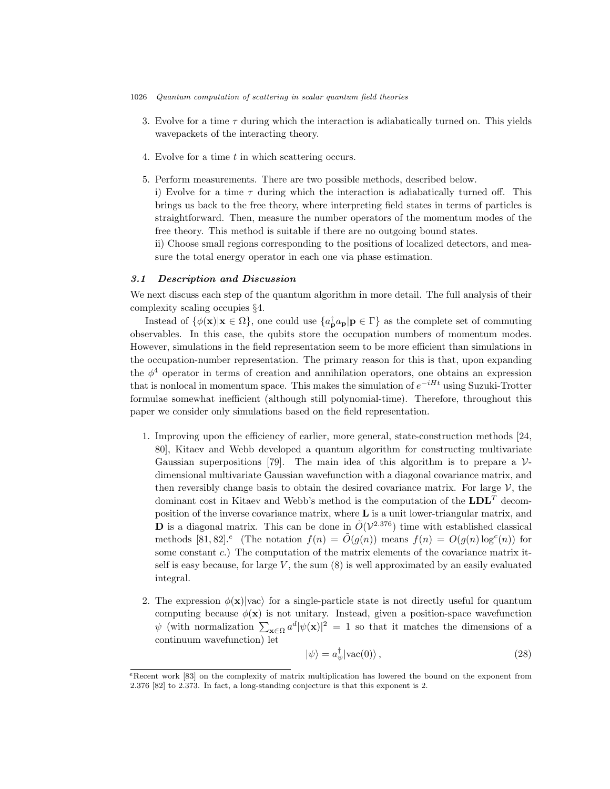- 1026 Quantum computation of scattering in scalar quantum field theories
	- 3. Evolve for a time  $\tau$  during which the interaction is adiabatically turned on. This yields wavepackets of the interacting theory.
	- 4. Evolve for a time t in which scattering occurs.
	- 5. Perform measurements. There are two possible methods, described below.

i) Evolve for a time  $\tau$  during which the interaction is adiabatically turned off. This brings us back to the free theory, where interpreting field states in terms of particles is straightforward. Then, measure the number operators of the momentum modes of the free theory. This method is suitable if there are no outgoing bound states.

ii) Choose small regions corresponding to the positions of localized detectors, and measure the total energy operator in each one via phase estimation.

# 3.1 Description and Discussion

We next discuss each step of the quantum algorithm in more detail. The full analysis of their complexity scaling occupies §4.

Instead of  $\{\phi(\mathbf{x})|\mathbf{x} \in \Omega\}$ , one could use  $\{a_{\mathbf{p}}^{\dagger}a_{\mathbf{p}}|\mathbf{p} \in \Gamma\}$  as the complete set of commuting observables. In this case, the qubits store the occupation numbers of momentum modes. However, simulations in the field representation seem to be more efficient than simulations in the occupation-number representation. The primary reason for this is that, upon expanding the  $\phi^4$  operator in terms of creation and annihilation operators, one obtains an expression that is nonlocal in momentum space. This makes the simulation of  $e^{-iHt}$  using Suzuki-Trotter formulae somewhat inefficient (although still polynomial-time). Therefore, throughout this paper we consider only simulations based on the field representation.

- 1. Improving upon the efficiency of earlier, more general, state-construction methods [24, 80], Kitaev and Webb developed a quantum algorithm for constructing multivariate Gaussian superpositions [79]. The main idea of this algorithm is to prepare a  $\mathcal{V}$ dimensional multivariate Gaussian wavefunction with a diagonal covariance matrix, and then reversibly change basis to obtain the desired covariance matrix. For large  $\mathcal{V}$ , the dominant cost in Kitaev and Webb's method is the computation of the  $LDL<sup>T</sup>$  decomposition of the inverse covariance matrix, where  $L$  is a unit lower-triangular matrix, and **D** is a diagonal matrix. This can be done in  $\tilde{O}(\mathcal{V}^{2.376})$  time with established classical methods [81, 82].<sup>e</sup> (The notation  $f(n) = \tilde{O}(g(n))$  means  $f(n) = O(g(n) \log^c(n))$  for some constant  $c$ .) The computation of the matrix elements of the covariance matrix itself is easy because, for large  $V$ , the sum  $(8)$  is well approximated by an easily evaluated integral.
- 2. The expression  $\phi(\mathbf{x})|vac\rangle$  for a single-particle state is not directly useful for quantum computing because  $\phi(\mathbf{x})$  is not unitary. Instead, given a position-space wavefunction  $\psi$  (with normalization  $\sum_{\mathbf{x}\in\Omega}a^d|\psi(\mathbf{x})|^2=1$  so that it matches the dimensions of a continuum wavefunction) let

$$
|\psi\rangle = a_{\psi}^{\dagger} |\text{vac}(0)\rangle , \qquad (28)
$$

<sup>e</sup>Recent work [83] on the complexity of matrix multiplication has lowered the bound on the exponent from 2.376 [82] to 2.373. In fact, a long-standing conjecture is that this exponent is 2.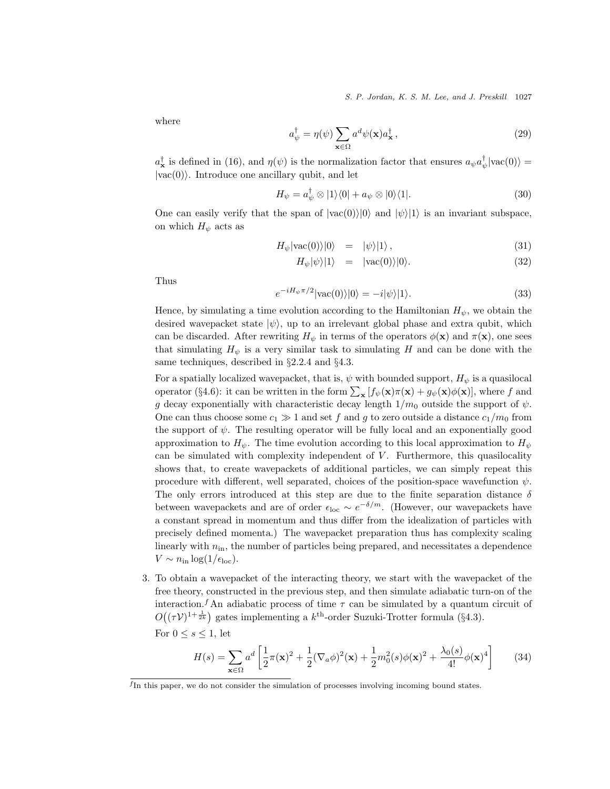S. P. Jordan, K. S. M. Lee, and J. Preskill 1027

where

$$
a_{\psi}^{\dagger} = \eta(\psi) \sum_{\mathbf{x} \in \Omega} a^d \psi(\mathbf{x}) a_{\mathbf{x}}^{\dagger}, \qquad (29)
$$

 $a_{\mathbf{x}}^{\dagger}$  is defined in (16), and  $\eta(\psi)$  is the normalization factor that ensures  $a_{\psi}a_{\psi}^{\dagger}|\text{vac}(0)\rangle =$  $|vac(0)\rangle$ . Introduce one ancillary qubit, and let

$$
H_{\psi} = a_{\psi}^{\dagger} \otimes |1\rangle\langle 0| + a_{\psi} \otimes |0\rangle\langle 1|.
$$
 (30)

One can easily verify that the span of  $|vac(0)\rangle|0\rangle$  and  $|\psi\rangle|1\rangle$  is an invariant subspace, on which  $H_{\psi}$  acts as

$$
H_{\psi}|\text{vac}(0)\rangle|0\rangle = |\psi\rangle|1\rangle, \qquad (31)
$$

$$
H_{\psi}|\psi\rangle|1\rangle = |\text{vac}(0)\rangle|0\rangle. \tag{32}
$$

Thus

$$
e^{-iH_{\psi}\pi/2}|\text{vac}(0)\rangle|0\rangle = -i|\psi\rangle|1\rangle.
$$
\n(33)

Hence, by simulating a time evolution according to the Hamiltonian  $H_{\psi}$ , we obtain the desired wavepacket state  $|\psi\rangle$ , up to an irrelevant global phase and extra qubit, which can be discarded. After rewriting  $H_{\psi}$  in terms of the operators  $\phi(\mathbf{x})$  and  $\pi(\mathbf{x})$ , one sees that simulating  $H_{\psi}$  is a very similar task to simulating H and can be done with the same techniques, described in §2.2.4 and §4.3.

For a spatially localized wavepacket, that is,  $\psi$  with bounded support,  $H_{\psi}$  is a quasilocal operator (§4.6): it can be written in the form  $\sum_{\mathbf{x}} [f_{\psi}(\mathbf{x}) \pi(\mathbf{x}) + g_{\psi}(\mathbf{x}) \phi(\mathbf{x})]$ , where f and g decay exponentially with characteristic decay length  $1/m_0$  outside the support of  $\psi$ . One can thus choose some  $c_1 \gg 1$  and set f and g to zero outside a distance  $c_1/m_0$  from the support of  $\psi$ . The resulting operator will be fully local and an exponentially good approximation to  $H_{\psi}$ . The time evolution according to this local approximation to  $H_{\psi}$ can be simulated with complexity independent of  $V$ . Furthermore, this quasilocality shows that, to create wavepackets of additional particles, we can simply repeat this procedure with different, well separated, choices of the position-space wavefunction  $\psi$ . The only errors introduced at this step are due to the finite separation distance  $\delta$ between wavepackets and are of order  $\epsilon_{\text{loc}} \sim e^{-\delta/m}$ . (However, our wavepackets have a constant spread in momentum and thus differ from the idealization of particles with precisely defined momenta.) The wavepacket preparation thus has complexity scaling linearly with  $n_{\rm in}$ , the number of particles being prepared, and necessitates a dependence  $V \sim n_{\rm in} \log(1/\epsilon_{\rm loc}).$ 

3. To obtain a wavepacket of the interacting theory, we start with the wavepacket of the free theory, constructed in the previous step, and then simulate adiabatic turn-on of the interaction.<sup>f</sup> An adiabatic process of time  $\tau$  can be simulated by a quantum circuit of  $O((\tau \mathcal{V})^{1+\frac{1}{2k}})$  gates implementing a  $k^{\text{th}}$ -order Suzuki-Trotter formula (§4.3).

For  $0 \leq s \leq 1$ , let

$$
H(s) = \sum_{\mathbf{x}\in\Omega} a^d \left[ \frac{1}{2}\pi(\mathbf{x})^2 + \frac{1}{2}(\nabla_a \phi)^2(\mathbf{x}) + \frac{1}{2}m_0^2(s)\phi(\mathbf{x})^2 + \frac{\lambda_0(s)}{4!}\phi(\mathbf{x})^4 \right]
$$
(34)

f In this paper, we do not consider the simulation of processes involving incoming bound states.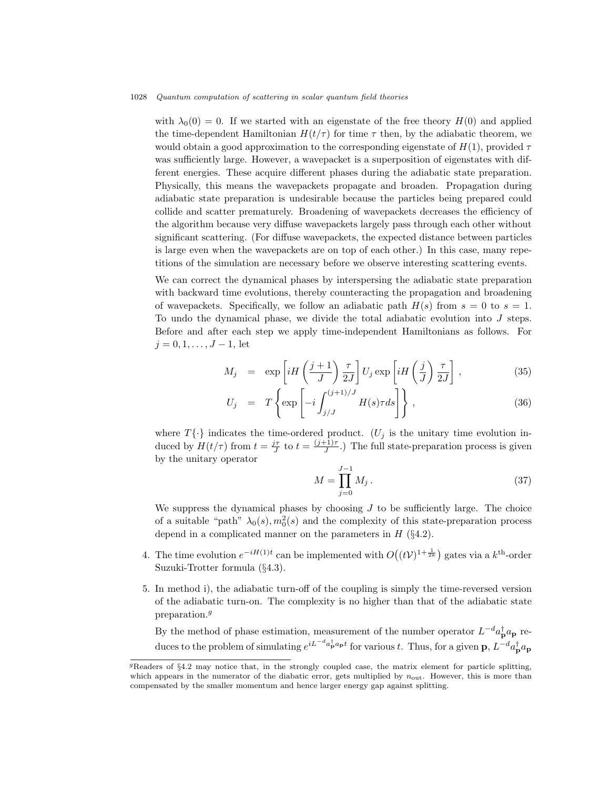with  $\lambda_0(0) = 0$ . If we started with an eigenstate of the free theory  $H(0)$  and applied the time-dependent Hamiltonian  $H(t/\tau)$  for time  $\tau$  then, by the adiabatic theorem, we would obtain a good approximation to the corresponding eigenstate of  $H(1)$ , provided  $\tau$ was sufficiently large. However, a wavepacket is a superposition of eigenstates with different energies. These acquire different phases during the adiabatic state preparation. Physically, this means the wavepackets propagate and broaden. Propagation during adiabatic state preparation is undesirable because the particles being prepared could collide and scatter prematurely. Broadening of wavepackets decreases the efficiency of the algorithm because very diffuse wavepackets largely pass through each other without significant scattering. (For diffuse wavepackets, the expected distance between particles is large even when the wavepackets are on top of each other.) In this case, many repetitions of the simulation are necessary before we observe interesting scattering events.

We can correct the dynamical phases by interspersing the adiabatic state preparation with backward time evolutions, thereby counteracting the propagation and broadening of wavepackets. Specifically, we follow an adiabatic path  $H(s)$  from  $s = 0$  to  $s = 1$ . To undo the dynamical phase, we divide the total adiabatic evolution into J steps. Before and after each step we apply time-independent Hamiltonians as follows. For  $j = 0, 1, \ldots, J - 1$ , let

$$
M_j = \exp\left[iH\left(\frac{j+1}{J}\right)\frac{\tau}{2J}\right]U_j \exp\left[iH\left(\frac{j}{J}\right)\frac{\tau}{2J}\right],\tag{35}
$$

$$
U_j = T \left\{ \exp \left[ -i \int_{j/J}^{(j+1)/J} H(s) \tau ds \right] \right\}, \tag{36}
$$

where  $T\{\cdot\}$  indicates the time-ordered product. (U<sub>j</sub> is the unitary time evolution induced by  $H(t/\tau)$  from  $t = \frac{j\tau}{J}$  to  $t = \frac{(j+1)\tau}{J}$  $\frac{f(1)}{J}$ .) The full state-preparation process is given by the unitary operator

$$
M = \prod_{j=0}^{J-1} M_j \,. \tag{37}
$$

We suppress the dynamical phases by choosing  $J$  to be sufficiently large. The choice of a suitable "path"  $\lambda_0(s)$ ,  $m_0^2(s)$  and the complexity of this state-preparation process depend in a complicated manner on the parameters in  $H$  (§4.2).

- 4. The time evolution  $e^{-iH(1)t}$  can be implemented with  $O((t\mathcal{V})^{1+\frac{1}{2k}})$  gates via a  $k^{\text{th}}$ -order Suzuki-Trotter formula (§4.3).
- 5. In method i), the adiabatic turn-off of the coupling is simply the time-reversed version of the adiabatic turn-on. The complexity is no higher than that of the adiabatic state preparation.<sup> $g$ </sup>

By the method of phase estimation, measurement of the number operator  $L^{-d}a_{\mathbf{p}}^{\dagger}a_{\mathbf{p}}$  reduces to the problem of simulating  $e^{iL^{-d}a_{\bf p}^{\dagger}a_{\bf p}t}$  for various t. Thus, for a given  ${\bf p}, L^{-d}a_{\bf p}^{\dagger}a_{\bf p}$ 

 ${}^{g}$ Readers of §4.2 may notice that, in the strongly coupled case, the matrix element for particle splitting, which appears in the numerator of the diabatic error, gets multiplied by  $n_{\text{out}}$ . However, this is more than compensated by the smaller momentum and hence larger energy gap against splitting.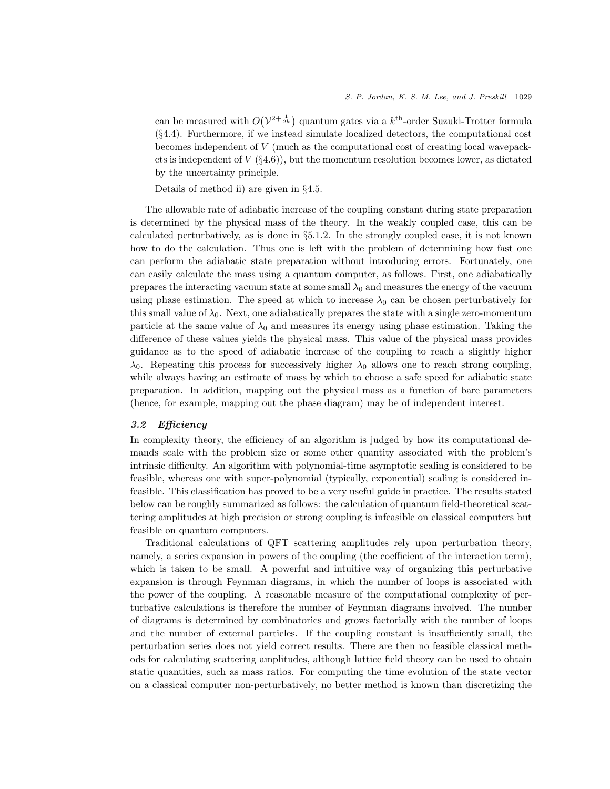can be measured with  $O(V^{2+\frac{1}{2k}})$  quantum gates via a  $k^{\text{th}}$ -order Suzuki-Trotter formula (§4.4). Furthermore, if we instead simulate localized detectors, the computational cost becomes independent of V (much as the computational cost of creating local wavepackets is independent of  $V$  (§4.6)), but the momentum resolution becomes lower, as dictated by the uncertainty principle.

Details of method ii) are given in §4.5.

The allowable rate of adiabatic increase of the coupling constant during state preparation is determined by the physical mass of the theory. In the weakly coupled case, this can be calculated perturbatively, as is done in §5.1.2. In the strongly coupled case, it is not known how to do the calculation. Thus one is left with the problem of determining how fast one can perform the adiabatic state preparation without introducing errors. Fortunately, one can easily calculate the mass using a quantum computer, as follows. First, one adiabatically prepares the interacting vacuum state at some small  $\lambda_0$  and measures the energy of the vacuum using phase estimation. The speed at which to increase  $\lambda_0$  can be chosen perturbatively for this small value of  $\lambda_0$ . Next, one adiabatically prepares the state with a single zero-momentum particle at the same value of  $\lambda_0$  and measures its energy using phase estimation. Taking the difference of these values yields the physical mass. This value of the physical mass provides guidance as to the speed of adiabatic increase of the coupling to reach a slightly higher  $\lambda_0$ . Repeating this process for successively higher  $\lambda_0$  allows one to reach strong coupling, while always having an estimate of mass by which to choose a safe speed for adiabatic state preparation. In addition, mapping out the physical mass as a function of bare parameters (hence, for example, mapping out the phase diagram) may be of independent interest.

### 3.2 Efficiency

In complexity theory, the efficiency of an algorithm is judged by how its computational demands scale with the problem size or some other quantity associated with the problem's intrinsic difficulty. An algorithm with polynomial-time asymptotic scaling is considered to be feasible, whereas one with super-polynomial (typically, exponential) scaling is considered infeasible. This classification has proved to be a very useful guide in practice. The results stated below can be roughly summarized as follows: the calculation of quantum field-theoretical scattering amplitudes at high precision or strong coupling is infeasible on classical computers but feasible on quantum computers.

Traditional calculations of QFT scattering amplitudes rely upon perturbation theory, namely, a series expansion in powers of the coupling (the coefficient of the interaction term), which is taken to be small. A powerful and intuitive way of organizing this perturbative expansion is through Feynman diagrams, in which the number of loops is associated with the power of the coupling. A reasonable measure of the computational complexity of perturbative calculations is therefore the number of Feynman diagrams involved. The number of diagrams is determined by combinatorics and grows factorially with the number of loops and the number of external particles. If the coupling constant is insufficiently small, the perturbation series does not yield correct results. There are then no feasible classical methods for calculating scattering amplitudes, although lattice field theory can be used to obtain static quantities, such as mass ratios. For computing the time evolution of the state vector on a classical computer non-perturbatively, no better method is known than discretizing the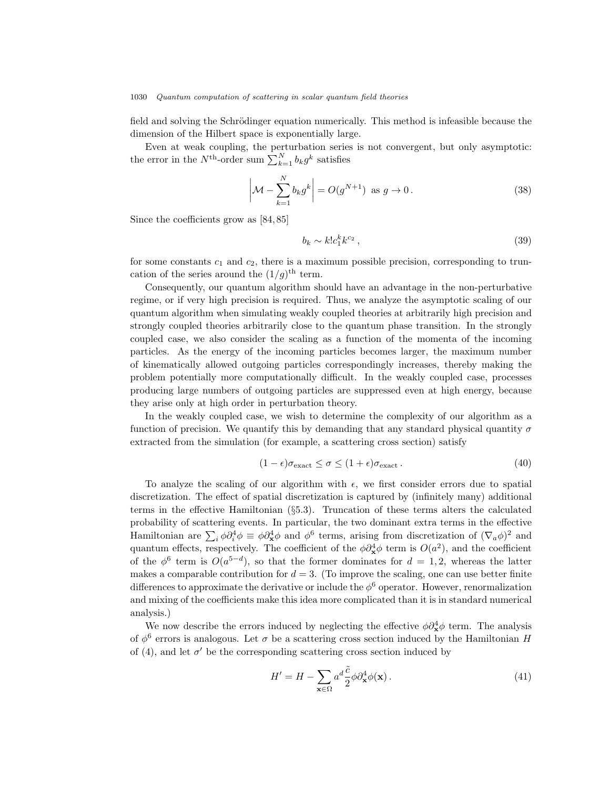field and solving the Schrödinger equation numerically. This method is infeasible because the dimension of the Hilbert space is exponentially large.

Even at weak coupling, the perturbation series is not convergent, but only asymptotic: the error in the  $N^{\text{th}}$ -order sum  $\sum_{k=1}^{N} b_k g^k$  satisfies

$$
\left|\mathcal{M} - \sum_{k=1}^{N} b_k g^k\right| = O(g^{N+1}) \text{ as } g \to 0.
$$
\n(38)

Since the coefficients grow as [84, 85]

$$
b_k \sim k! c_1^k k^{c_2} \,,\tag{39}
$$

for some constants  $c_1$  and  $c_2$ , there is a maximum possible precision, corresponding to truncation of the series around the  $(1/g)$ <sup>th</sup> term.

Consequently, our quantum algorithm should have an advantage in the non-perturbative regime, or if very high precision is required. Thus, we analyze the asymptotic scaling of our quantum algorithm when simulating weakly coupled theories at arbitrarily high precision and strongly coupled theories arbitrarily close to the quantum phase transition. In the strongly coupled case, we also consider the scaling as a function of the momenta of the incoming particles. As the energy of the incoming particles becomes larger, the maximum number of kinematically allowed outgoing particles correspondingly increases, thereby making the problem potentially more computationally difficult. In the weakly coupled case, processes producing large numbers of outgoing particles are suppressed even at high energy, because they arise only at high order in perturbation theory.

In the weakly coupled case, we wish to determine the complexity of our algorithm as a function of precision. We quantify this by demanding that any standard physical quantity  $\sigma$ extracted from the simulation (for example, a scattering cross section) satisfy

$$
(1 - \epsilon)\sigma_{\text{exact}} \le \sigma \le (1 + \epsilon)\sigma_{\text{exact}}.
$$
\n(40)

To analyze the scaling of our algorithm with  $\epsilon$ , we first consider errors due to spatial discretization. The effect of spatial discretization is captured by (infinitely many) additional terms in the effective Hamiltonian (§5.3). Truncation of these terms alters the calculated probability of scattering events. In particular, the two dominant extra terms in the effective Hamiltonian are  $\sum_i \phi \partial_i^4 \phi \equiv \phi \partial_x^4 \phi$  and  $\phi^6$  terms, arising from discretization of  $(\nabla_a \phi)^2$  and quantum effects, respectively. The coefficient of the  $\phi \partial_{\mathbf{x}}^4 \phi$  term is  $O(a^2)$ , and the coefficient of the  $\phi^6$  term is  $O(a^{5-d})$ , so that the former dominates for  $d=1,2$ , whereas the latter makes a comparable contribution for  $d = 3$ . (To improve the scaling, one can use better finite differences to approximate the derivative or include the  $\phi^6$  operator. However, renormalization and mixing of the coefficients make this idea more complicated than it is in standard numerical analysis.)

We now describe the errors induced by neglecting the effective  $\phi \partial_{\mathbf{x}}^4 \phi$  term. The analysis of  $\phi^6$  errors is analogous. Let  $\sigma$  be a scattering cross section induced by the Hamiltonian H of (4), and let  $\sigma'$  be the corresponding scattering cross section induced by

$$
H' = H - \sum_{\mathbf{x} \in \Omega} a^d \frac{\tilde{c}}{2} \phi \partial_{\mathbf{x}}^4 \phi(\mathbf{x}). \tag{41}
$$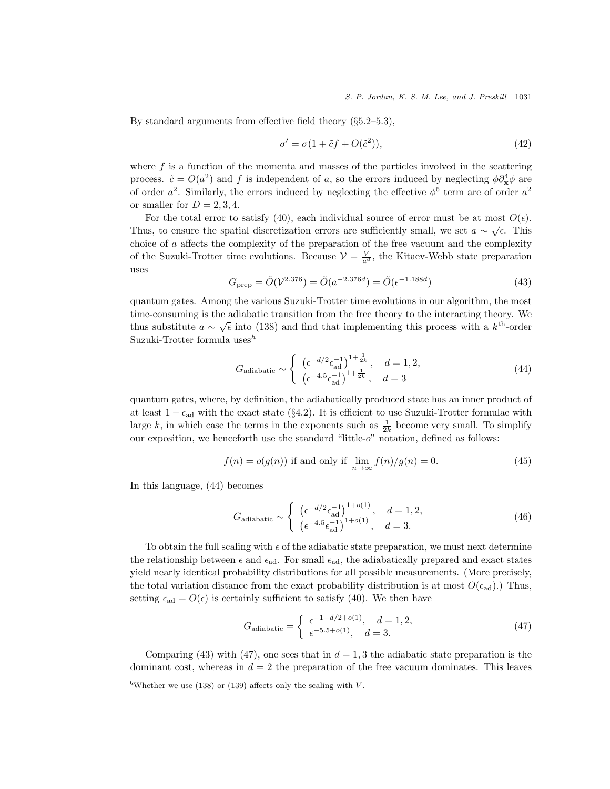By standard arguments from effective field theory  $(\S 5.2 - 5.3)$ ,

$$
\sigma' = \sigma(1 + \tilde{c}f + O(\tilde{c}^2)),\tag{42}
$$

where  $f$  is a function of the momenta and masses of the particles involved in the scattering process.  $\tilde{c} = O(a^2)$  and f is independent of a, so the errors induced by neglecting  $\phi \partial_{\mathbf{x}}^4 \phi$  are of order  $a^2$ . Similarly, the errors induced by neglecting the effective  $\phi^6$  term are of order  $a^2$ or smaller for  $D = 2, 3, 4$ .

For the total error to satisfy (40), each individual source of error must be at most  $O(\epsilon)$ . Thus, to ensure the spatial discretization errors are sufficiently small, we set  $a \sim \sqrt{\epsilon}$ . This choice of a affects the complexity of the preparation of the free vacuum and the complexity of the Suzuki-Trotter time evolutions. Because  $\mathcal{V} = \frac{V}{a^d}$ , the Kitaev-Webb state preparation uses

$$
G_{\text{prep}} = \tilde{O}(\mathcal{V}^{2.376}) = \tilde{O}(a^{-2.376d}) = \tilde{O}(\epsilon^{-1.188d})
$$
\n(43)

quantum gates. Among the various Suzuki-Trotter time evolutions in our algorithm, the most time-consuming is the adiabatic transition from the free theory to the interacting theory. We thus substitute  $a \sim \sqrt{\epsilon}$  into (138) and find that implementing this process with a  $k^{\text{th}}$ -order Suzuki-Trotter formula uses $^h$ 

$$
G_{\text{adiabatic}} \sim \begin{cases} \left(\epsilon^{-d/2} \epsilon_{\text{ad}}^{-1}\right)^{1+\frac{1}{2k}}, & d = 1, 2, \\ \left(\epsilon^{-4.5} \epsilon_{\text{ad}}^{-1}\right)^{1+\frac{1}{2k}}, & d = 3 \end{cases}
$$
(44)

quantum gates, where, by definition, the adiabatically produced state has an inner product of at least  $1 - \epsilon_{ad}$  with the exact state (§4.2). It is efficient to use Suzuki-Trotter formulae with large k, in which case the terms in the exponents such as  $\frac{1}{2k}$  become very small. To simplify our exposition, we henceforth use the standard "little-o" notation, defined as follows:

$$
f(n) = o(g(n))
$$
 if and only if  $\lim_{n \to \infty} f(n)/g(n) = 0.$  (45)

In this language, (44) becomes

$$
G_{\text{adiabatic}} \sim \begin{cases} \left(\epsilon^{-d/2} \epsilon_{\text{ad}}^{-1}\right)^{1+o(1)}, & d = 1, 2, \\ \left(\epsilon^{-4.5} \epsilon_{\text{ad}}^{-1}\right)^{1+o(1)}, & d = 3. \end{cases} \tag{46}
$$

To obtain the full scaling with  $\epsilon$  of the adiabatic state preparation, we must next determine the relationship between  $\epsilon$  and  $\epsilon_{ad}$ . For small  $\epsilon_{ad}$ , the adiabatically prepared and exact states yield nearly identical probability distributions for all possible measurements. (More precisely, the total variation distance from the exact probability distribution is at most  $O(\epsilon_{ad})$ .) Thus, setting  $\epsilon_{\rm ad} = O(\epsilon)$  is certainly sufficient to satisfy (40). We then have

$$
G_{\text{adiabatic}} = \begin{cases} \epsilon^{-1 - d/2 + o(1)}, & d = 1, 2, \\ \epsilon^{-5.5 + o(1)}, & d = 3. \end{cases}
$$
(47)

Comparing (43) with (47), one sees that in  $d = 1,3$  the adiabatic state preparation is the dominant cost, whereas in  $d = 2$  the preparation of the free vacuum dominates. This leaves

hWhether we use (138) or (139) affects only the scaling with V.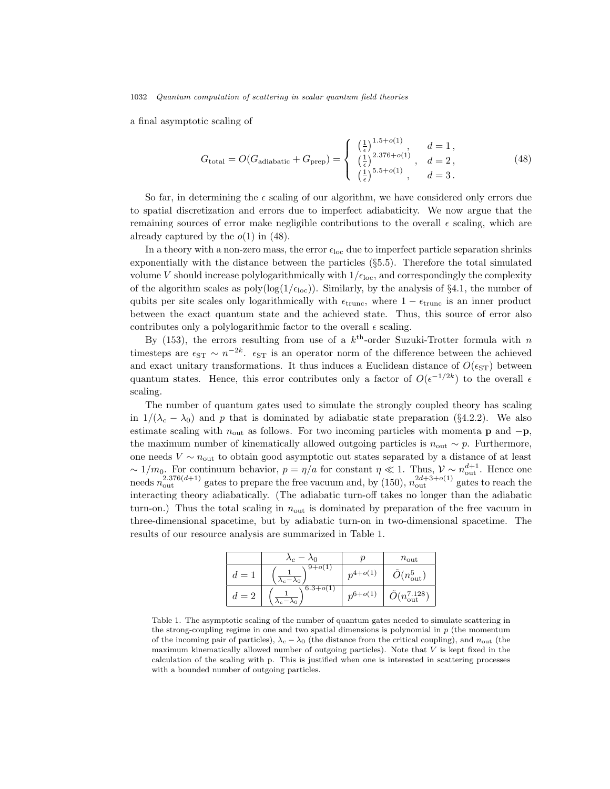a final asymptotic scaling of

$$
G_{\text{total}} = O(G_{\text{adiabatic}} + G_{\text{prep}}) = \begin{cases} \left(\frac{1}{\epsilon}\right)^{1.5 + o(1)}, & d = 1, \\ \left(\frac{1}{\epsilon}\right)^{2.376 + o(1)}, & d = 2, \\ \left(\frac{1}{\epsilon}\right)^{5.5 + o(1)}, & d = 3. \end{cases}
$$
(48)

So far, in determining the  $\epsilon$  scaling of our algorithm, we have considered only errors due to spatial discretization and errors due to imperfect adiabaticity. We now argue that the remaining sources of error make negligible contributions to the overall  $\epsilon$  scaling, which are already captured by the  $o(1)$  in (48).

In a theory with a non-zero mass, the error  $\epsilon_{\text{loc}}$  due to imperfect particle separation shrinks exponentially with the distance between the particles (§5.5). Therefore the total simulated volume V should increase polylogarithmically with  $1/\epsilon_{\text{loc}}$ , and correspondingly the complexity of the algorithm scales as  $poly(log(1/\epsilon_{loc}))$ . Similarly, by the analysis of §4.1, the number of qubits per site scales only logarithmically with  $\epsilon_{\text{trunc}}$ , where  $1 - \epsilon_{\text{trunc}}$  is an inner product between the exact quantum state and the achieved state. Thus, this source of error also contributes only a polylogarithmic factor to the overall  $\epsilon$  scaling.

By (153), the errors resulting from use of a  $k^{\text{th}}$ -order Suzuki-Trotter formula with n timesteps are  $\epsilon_{ST} \sim n^{-2k}$ .  $\epsilon_{ST}$  is an operator norm of the difference between the achieved and exact unitary transformations. It thus induces a Euclidean distance of  $O(\epsilon_{ST})$  between quantum states. Hence, this error contributes only a factor of  $O(\epsilon^{-1/2k})$  to the overall  $\epsilon$ scaling.

The number of quantum gates used to simulate the strongly coupled theory has scaling in  $1/(\lambda_c - \lambda_0)$  and p that is dominated by adiabatic state preparation (§4.2.2). We also estimate scaling with  $n_{\text{out}}$  as follows. For two incoming particles with momenta **p** and  $-p$ , the maximum number of kinematically allowed outgoing particles is  $n_{\text{out}} \sim p$ . Furthermore, one needs  $V \sim n_{\text{out}}$  to obtain good asymptotic out states separated by a distance of at least  $\sim 1/m_0$ . For continuum behavior,  $p = \eta/a$  for constant  $\eta \ll 1$ . Thus,  $\mathcal{V} \sim n_{\text{out}}^{d+1}$ . Hence one needs  $n_{\text{out}}^{2.376(d+1)}$  gates to prepare the free vacuum and, by (150),  $n_{\text{out}}^{2d+3+o(1)}$  gates to reach the interacting theory adiabatically. (The adiabatic turn-off takes no longer than the adiabatic turn-on.) Thus the total scaling in  $n_{\text{out}}$  is dominated by preparation of the free vacuum in three-dimensional spacetime, but by adiabatic turn-on in two-dimensional spacetime. The results of our resource analysis are summarized in Table 1.

|         |                                     |              | $n_{\text{out}}$            |
|---------|-------------------------------------|--------------|-----------------------------|
| ' = .   | $9+o(1)$<br>$\lambda_c - \lambda_0$ | $n^{4+o(1)}$ | $O(n_{\rm out}^5)$          |
| $a = 1$ | $\sqrt{6.3} + o(1)$                 | $n^{6+o(1)}$ | $O(n_{\text{out}}^{7.128})$ |

Table 1. The asymptotic scaling of the number of quantum gates needed to simulate scattering in the strong-coupling regime in one and two spatial dimensions is polynomial in  $p$  (the momentum of the incoming pair of particles),  $\lambda_c - \lambda_0$  (the distance from the critical coupling), and  $n_{\text{out}}$  (the maximum kinematically allowed number of outgoing particles). Note that  $V$  is kept fixed in the calculation of the scaling with p. This is justified when one is interested in scattering processes with a bounded number of outgoing particles.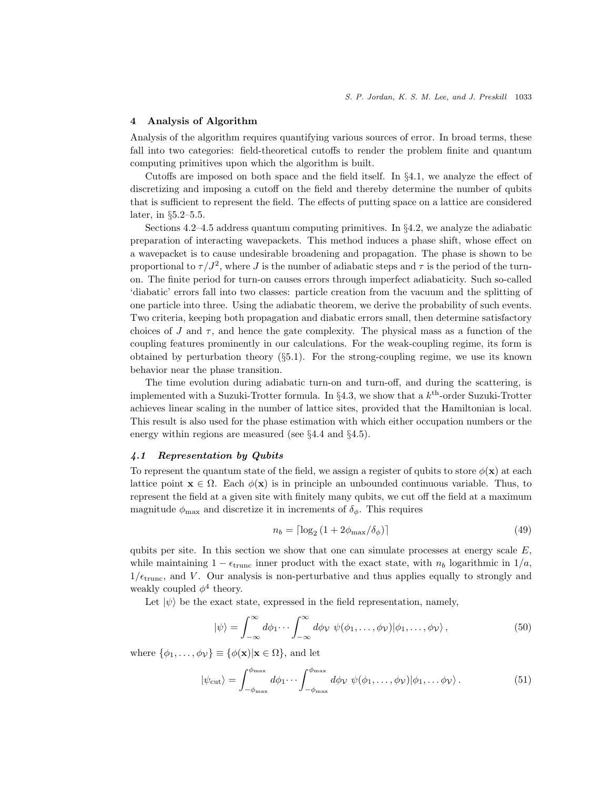# 4 Analysis of Algorithm

Analysis of the algorithm requires quantifying various sources of error. In broad terms, these fall into two categories: field-theoretical cutoffs to render the problem finite and quantum computing primitives upon which the algorithm is built.

Cutoffs are imposed on both space and the field itself. In §4.1, we analyze the effect of discretizing and imposing a cutoff on the field and thereby determine the number of qubits that is sufficient to represent the field. The effects of putting space on a lattice are considered later, in §5.2–5.5.

Sections 4.2–4.5 address quantum computing primitives. In  $\S 4.2$ , we analyze the adiabatic preparation of interacting wavepackets. This method induces a phase shift, whose effect on a wavepacket is to cause undesirable broadening and propagation. The phase is shown to be proportional to  $\tau/J^2$ , where J is the number of adiabatic steps and  $\tau$  is the period of the turnon. The finite period for turn-on causes errors through imperfect adiabaticity. Such so-called 'diabatic' errors fall into two classes: particle creation from the vacuum and the splitting of one particle into three. Using the adiabatic theorem, we derive the probability of such events. Two criteria, keeping both propagation and diabatic errors small, then determine satisfactory choices of J and  $\tau$ , and hence the gate complexity. The physical mass as a function of the coupling features prominently in our calculations. For the weak-coupling regime, its form is obtained by perturbation theory  $(\S 5.1)$ . For the strong-coupling regime, we use its known behavior near the phase transition.

The time evolution during adiabatic turn-on and turn-off, and during the scattering, is implemented with a Suzuki-Trotter formula. In  $\S 4.3$ , we show that a  $k^{\text{th}}$ -order Suzuki-Trotter achieves linear scaling in the number of lattice sites, provided that the Hamiltonian is local. This result is also used for the phase estimation with which either occupation numbers or the energy within regions are measured (see §4.4 and §4.5).

### 4.1 Representation by Qubits

To represent the quantum state of the field, we assign a register of qubits to store  $\phi(\mathbf{x})$  at each lattice point  $\mathbf{x} \in \Omega$ . Each  $\phi(\mathbf{x})$  is in principle an unbounded continuous variable. Thus, to represent the field at a given site with finitely many qubits, we cut off the field at a maximum magnitude  $\phi_{\text{max}}$  and discretize it in increments of  $\delta_{\phi}$ . This requires

$$
n_b = \lceil \log_2 \left( 1 + 2\phi_{\text{max}} / \delta_\phi \right) \rceil \tag{49}
$$

qubits per site. In this section we show that one can simulate processes at energy scale  $E$ , while maintaining  $1 - \epsilon_{\text{trunc}}$  inner product with the exact state, with  $n_b$  logarithmic in  $1/a$ ,  $1/\epsilon_{\text{trunc}}$ , and V. Our analysis is non-perturbative and thus applies equally to strongly and weakly coupled  $\phi^4$  theory.

Let  $|\psi\rangle$  be the exact state, expressed in the field representation, namely,

$$
|\psi\rangle = \int_{-\infty}^{\infty} d\phi_1 \cdots \int_{-\infty}^{\infty} d\phi \, \psi(\phi_1, \ldots, \phi_{\mathcal{V}}) |\phi_1, \ldots, \phi_{\mathcal{V}}\rangle, \tag{50}
$$

where  $\{\phi_1, \ldots, \phi_{\mathcal{V}}\} \equiv \{\phi(\mathbf{x}) | \mathbf{x} \in \Omega\}$ , and let

$$
|\psi_{\text{cut}}\rangle = \int_{-\phi_{\text{max}}}^{\phi_{\text{max}}} d\phi_1 \cdots \int_{-\phi_{\text{max}}}^{\phi_{\text{max}}} d\phi_{\mathcal{V}} \ \psi(\phi_1, \dots, \phi_{\mathcal{V}}) |\phi_1, \dots, \phi_{\mathcal{V}}\rangle. \tag{51}
$$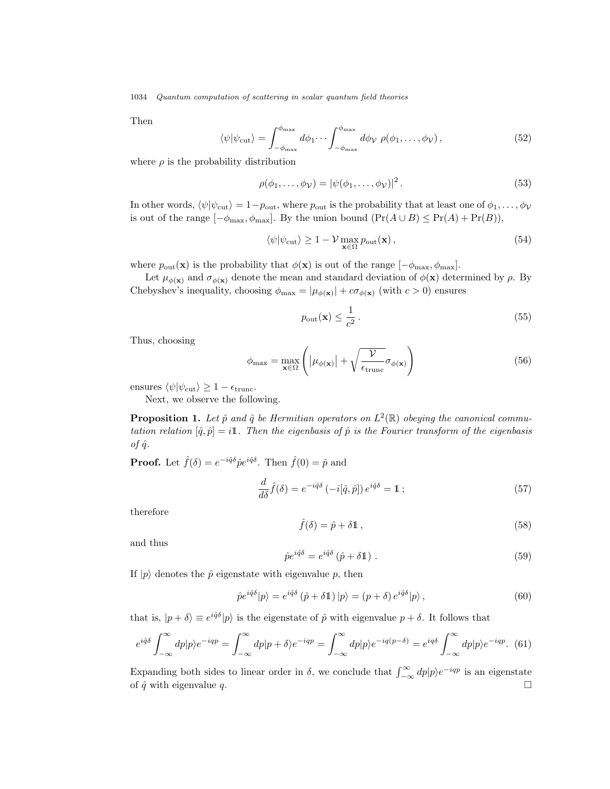Then

$$
\langle \psi | \psi_{\text{cut}} \rangle = \int_{-\phi_{\text{max}}}^{\phi_{\text{max}}} d\phi_1 \cdots \int_{-\phi_{\text{max}}}^{\phi_{\text{max}}} d\phi_{\mathcal{V}} \, \rho(\phi_1, \dots, \phi_{\mathcal{V}}), \tag{52}
$$

where  $\rho$  is the probability distribution

$$
\rho(\phi_1,\ldots,\phi_\mathcal{V}) = |\psi(\phi_1,\ldots,\phi_\mathcal{V})|^2. \tag{53}
$$

In other words,  $\langle \psi | \psi_{\text{cut}} \rangle = 1-p_{\text{out}}$ , where  $p_{\text{out}}$  is the probability that at least one of  $\phi_1, \dots, \phi_\mathcal{V}$ is out of the range  $[-\phi_{\text{max}}, \phi_{\text{max}}]$ . By the union bound  $(\Pr(A \cup B) \leq \Pr(A) + \Pr(B)),$ 

$$
\langle \psi | \psi_{\rm cut} \rangle \ge 1 - \mathcal{V} \max_{\mathbf{x} \in \Omega} p_{\rm out}(\mathbf{x}), \qquad (54)
$$

where  $p_{\text{out}}(\mathbf{x})$  is the probability that  $\phi(\mathbf{x})$  is out of the range  $[-\phi_{\text{max}}, \phi_{\text{max}}]$ .

Let  $\mu_{\phi(\mathbf{x})}$  and  $\sigma_{\phi(\mathbf{x})}$  denote the mean and standard deviation of  $\phi(\mathbf{x})$  determined by  $\rho$ . By Chebyshev's inequality, choosing  $\phi_{\text{max}} = |\mu_{\phi(\mathbf{x})}| + c\sigma_{\phi(\mathbf{x})}$  (with  $c > 0$ ) ensures

$$
p_{\text{out}}(\mathbf{x}) \le \frac{1}{c^2} \,. \tag{55}
$$

Thus, choosing

$$
\phi_{\max} = \max_{\mathbf{x} \in \Omega} \left( |\mu_{\phi(\mathbf{x})}| + \sqrt{\frac{\mathcal{V}}{\epsilon_{\text{trunc}}}} \sigma_{\phi(\mathbf{x})} \right)
$$
(56)

ensures  $\langle \psi | \psi_{\text{cut}} \rangle \geq 1 - \epsilon_{\text{trunc}}.$ 

Next, we observe the following.

**Proposition 1.** Let  $\hat{p}$  and  $\hat{q}$  be Hermitian operators on  $L^2(\mathbb{R})$  obeying the canonical commutation relation  $[\hat{q}, \hat{p}] = i\mathbb{1}$ . Then the eigenbasis of  $\hat{p}$  is the Fourier transform of the eigenbasis of  $\hat{q}$ .

**Proof.** Let  $\hat{f}(\delta) = e^{-i\hat{q}\delta} \hat{p} e^{i\hat{q}\delta}$ . Then  $\hat{f}(0) = \hat{p}$  and

$$
\frac{d}{d\delta}\hat{f}(\delta) = e^{-i\hat{q}\delta} \left( -i[\hat{q},\hat{p}] \right) e^{i\hat{q}\delta} = \mathbb{1};\tag{57}
$$

therefore

$$
\hat{f}(\delta) = \hat{p} + \delta \mathbb{1},\tag{58}
$$

and thus

$$
\hat{p}e^{i\hat{q}\delta} = e^{i\hat{q}\delta}(\hat{p} + \delta \mathbb{1}).\tag{59}
$$

If  $|p\rangle$  denotes the  $\hat{p}$  eigenstate with eigenvalue p, then

$$
\hat{p}e^{i\hat{q}\delta}|p\rangle = e^{i\hat{q}\delta}(\hat{p} + \delta \mathbb{1})|p\rangle = (p + \delta)e^{i\hat{q}\delta}|p\rangle, \qquad (60)
$$

that is,  $|p + \delta\rangle \equiv e^{i\hat{q}\delta}|p\rangle$  is the eigenstate of  $\hat{p}$  with eigenvalue  $p + \delta$ . It follows that

$$
e^{i\hat{q}\delta} \int_{-\infty}^{\infty} dp |p\rangle e^{-iqp} = \int_{-\infty}^{\infty} dp |p+\delta\rangle e^{-iqp} = \int_{-\infty}^{\infty} dp |p\rangle e^{-iq(p-\delta)} = e^{iq\delta} \int_{-\infty}^{\infty} dp |p\rangle e^{-iqp}.
$$
 (61)

Expanding both sides to linear order in  $\delta$ , we conclude that  $\int_{-\infty}^{\infty} dp |p\rangle e^{-iqp}$  is an eigenstate of  $\hat{q}$  with eigenvalue q.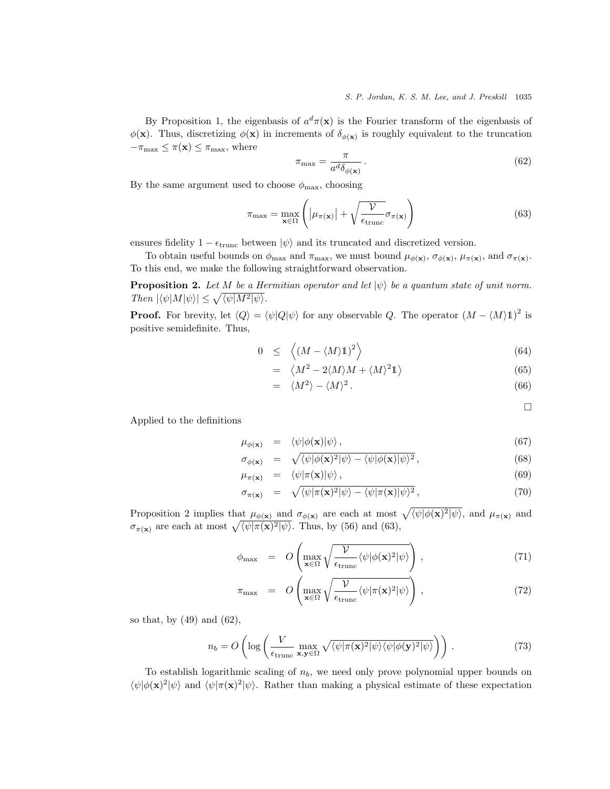By Proposition 1, the eigenbasis of  $a^d\pi(\mathbf{x})$  is the Fourier transform of the eigenbasis of  $\phi(\mathbf{x})$ . Thus, discretizing  $\phi(\mathbf{x})$  in increments of  $\delta_{\phi(\mathbf{x})}$  is roughly equivalent to the truncation  $-\pi_{\max} \leq \pi(\mathbf{x}) \leq \pi_{\max}$ , where

$$
\pi_{\text{max}} = \frac{\pi}{a^d \delta_{\phi(\mathbf{x})}} \,. \tag{62}
$$

By the same argument used to choose  $\phi_{\text{max}}$ , choosing

$$
\pi_{\max} = \max_{\mathbf{x} \in \Omega} \left( |\mu_{\pi(\mathbf{x})}| + \sqrt{\frac{\mathcal{V}}{\epsilon_{\text{trunc}}}} \sigma_{\pi(\mathbf{x})} \right)
$$
(63)

ensures fidelity  $1 - \epsilon_{\text{trunc}}$  between  $|\psi\rangle$  and its truncated and discretized version.

To obtain useful bounds on  $\phi_{\text{max}}$  and  $\pi_{\text{max}}$ , we must bound  $\mu_{\phi(\mathbf{x})}, \sigma_{\phi(\mathbf{x})}, \mu_{\pi(\mathbf{x})}$ , and  $\sigma_{\pi(\mathbf{x})}$ . To this end, we make the following straightforward observation.

**Proposition 2.** Let M be a Hermitian operator and let  $|\psi\rangle$  be a quantum state of unit norm. Then  $|\langle \psi | M | \psi \rangle| \leq \sqrt{\langle \psi | M^2 | \psi \rangle}.$ 

**Proof.** For brevity, let  $\langle Q \rangle = \langle \psi | Q | \psi \rangle$  for any observable Q. The operator  $(M - \langle M \rangle \mathbb{1})^2$  is positive semidefinite. Thus,

$$
0 \le \left\langle \left(M - \langle M \rangle \mathbb{1} \right)^2 \right\rangle \tag{64}
$$

$$
= \langle M^2 - 2\langle M \rangle M + \langle M \rangle^2 \mathbb{1} \rangle \tag{65}
$$

$$
= \langle M^2 \rangle - \langle M \rangle^2. \tag{66}
$$

 $\Box$ 

Applied to the definitions

$$
\mu_{\phi(\mathbf{x})} = \langle \psi | \phi(\mathbf{x}) | \psi \rangle, \tag{67}
$$

$$
\sigma_{\phi(\mathbf{x})} = \sqrt{\langle \psi | \phi(\mathbf{x})^2 | \psi \rangle - \langle \psi | \phi(\mathbf{x}) | \psi \rangle^2}, \tag{68}
$$

$$
\mu_{\pi(\mathbf{x})} = \langle \psi | \pi(\mathbf{x}) | \psi \rangle, \tag{69}
$$

$$
\sigma_{\pi(\mathbf{x})} = \sqrt{\langle \psi | \pi(\mathbf{x})^2 | \psi \rangle - \langle \psi | \pi(\mathbf{x}) | \psi \rangle^2}, \tag{70}
$$

Proposition 2 implies that  $\mu_{\phi(\mathbf{x})}$  and  $\sigma_{\phi(\mathbf{x})}$  are each at most  $\sqrt{\langle \psi | \phi(\mathbf{x})^2 | \psi \rangle}$ , and  $\mu_{\pi(\mathbf{x})}$  and  $\sigma_{\pi(\mathbf{x})}$  are each at most  $\sqrt{\langle \psi | \pi(\mathbf{x})^2 | \psi \rangle}$ . Thus, by (56) and (63),

$$
\phi_{\max} = O\left(\max_{\mathbf{x} \in \Omega} \sqrt{\frac{\mathcal{V}}{\epsilon_{\text{trunc}}} \langle \psi | \phi(\mathbf{x})^2 | \psi \rangle}\right),\tag{71}
$$

$$
\pi_{\max} = O\left(\max_{\mathbf{x} \in \Omega} \sqrt{\frac{\mathcal{V}}{\epsilon_{\text{trunc}}} \langle \psi | \pi(\mathbf{x})^2 | \psi \rangle}\right),\tag{72}
$$

so that, by (49) and (62),

$$
n_b = O\left(\log\left(\frac{V}{\epsilon_{\text{trunc}}}\max_{\mathbf{x}, \mathbf{y} \in \Omega} \sqrt{\langle \psi | \pi(\mathbf{x})^2 | \psi \rangle \langle \psi | \phi(\mathbf{y})^2 | \psi \rangle}\right)\right). \tag{73}
$$

To establish logarithmic scaling of  $n<sub>b</sub>$ , we need only prove polynomial upper bounds on  $\langle \psi | \phi(\mathbf{x})^2 | \psi \rangle$  and  $\langle \psi | \pi(\mathbf{x})^2 | \psi \rangle$ . Rather than making a physical estimate of these expectation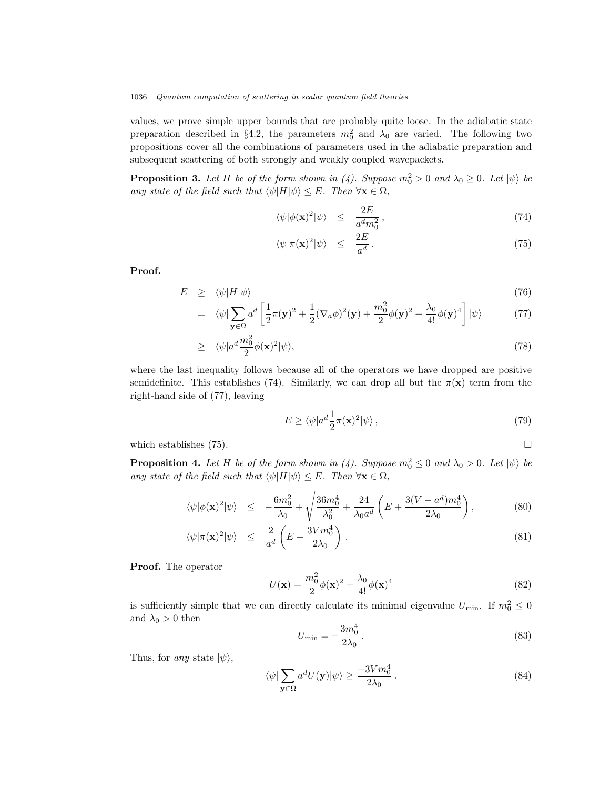values, we prove simple upper bounds that are probably quite loose. In the adiabatic state preparation described in §4.2, the parameters  $m_0^2$  and  $\lambda_0$  are varied. The following two propositions cover all the combinations of parameters used in the adiabatic preparation and subsequent scattering of both strongly and weakly coupled wavepackets.

**Proposition 3.** Let H be of the form shown in (4). Suppose  $m_0^2 > 0$  and  $\lambda_0 \geq 0$ . Let  $|\psi\rangle$  be any state of the field such that  $\langle \psi | H | \psi \rangle \leq E$ . Then  $\forall \mathbf{x} \in \Omega$ ,

$$
\langle \psi | \phi(\mathbf{x})^2 | \psi \rangle \leq \frac{2E}{a^d m_0^2}, \tag{74}
$$

$$
\langle \psi | \pi(\mathbf{x})^2 | \psi \rangle \leq \frac{2E}{a^d} \,. \tag{75}
$$

Proof.

$$
E \geq \langle \psi | H | \psi \rangle \tag{76}
$$

$$
= \langle \psi | \sum_{\mathbf{y} \in \Omega} a^d \left[ \frac{1}{2} \pi(\mathbf{y})^2 + \frac{1}{2} (\nabla_a \phi)^2(\mathbf{y}) + \frac{m_0^2}{2} \phi(\mathbf{y})^2 + \frac{\lambda_0}{4!} \phi(\mathbf{y})^4 \right] | \psi \rangle \tag{77}
$$

$$
\geq \langle \psi | a^d \frac{m_0^2}{2} \phi(\mathbf{x})^2 | \psi \rangle, \tag{78}
$$

where the last inequality follows because all of the operators we have dropped are positive semidefinite. This establishes (74). Similarly, we can drop all but the  $\pi(\mathbf{x})$  term from the right-hand side of (77), leaving

$$
E \ge \langle \psi | a^d \frac{1}{2} \pi(\mathbf{x})^2 | \psi \rangle , \qquad (79)
$$

which establishes  $(75)$ .

**Proposition 4.** Let H be of the form shown in (4). Suppose  $m_0^2 \leq 0$  and  $\lambda_0 > 0$ . Let  $|\psi\rangle$  be any state of the field such that  $\langle \psi | H | \psi \rangle \leq E$ . Then  $\forall \mathbf{x} \in \Omega$ ,

$$
\langle \psi | \phi(\mathbf{x})^2 | \psi \rangle \le -\frac{6m_0^2}{\lambda_0} + \sqrt{\frac{36m_0^4}{\lambda_0^2} + \frac{24}{\lambda_0 a^d} \left( E + \frac{3(V - a^d)m_0^4}{2\lambda_0} \right)},
$$
(80)

$$
\langle \psi | \pi(\mathbf{x})^2 | \psi \rangle \leq \frac{2}{a^d} \left( E + \frac{3V m_0^4}{2\lambda_0} \right). \tag{81}
$$

Proof. The operator

$$
U(\mathbf{x}) = \frac{m_0^2}{2}\phi(\mathbf{x})^2 + \frac{\lambda_0}{4!}\phi(\mathbf{x})^4
$$
\n(82)

is sufficiently simple that we can directly calculate its minimal eigenvalue  $U_{\text{min}}$ . If  $m_0^2 \le 0$ and  $\lambda_0>0$  then

$$
U_{\min} = -\frac{3m_0^4}{2\lambda_0} \,. \tag{83}
$$

Thus, for any state  $|\psi\rangle$ ,

$$
\langle \psi | \sum_{\mathbf{y} \in \Omega} a^d U(\mathbf{y}) | \psi \rangle \ge \frac{-3Vm_0^4}{2\lambda_0} \,. \tag{84}
$$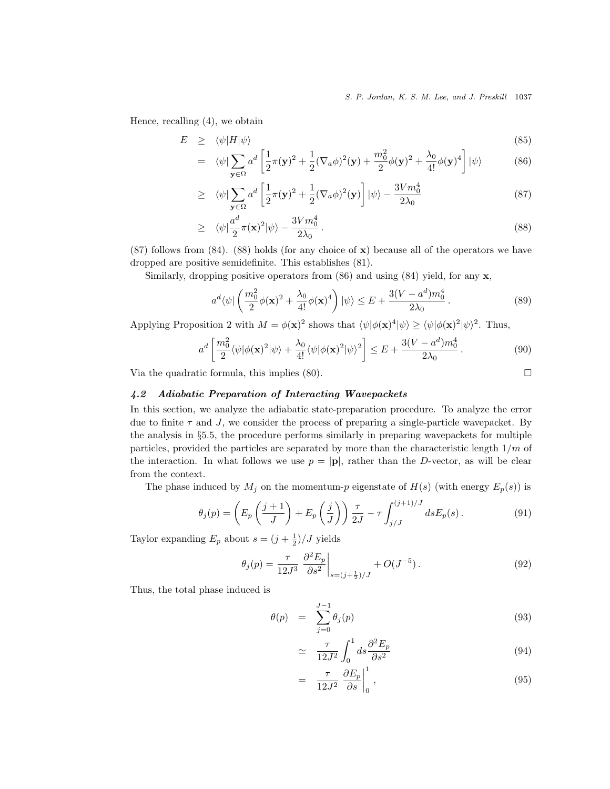S. P. Jordan, K. S. M. Lee, and J. Preskill 1037

Hence, recalling (4), we obtain

$$
E \geq \langle \psi | H | \psi \rangle \tag{85}
$$

$$
= \langle \psi | \sum_{\mathbf{y} \in \Omega} a^d \left[ \frac{1}{2} \pi(\mathbf{y})^2 + \frac{1}{2} (\nabla_a \phi)^2(\mathbf{y}) + \frac{m_0^2}{2} \phi(\mathbf{y})^2 + \frac{\lambda_0}{4!} \phi(\mathbf{y})^4 \right] |\psi\rangle \tag{86}
$$

$$
\geq \langle \psi | \sum_{\mathbf{y} \in \Omega} a^d \left[ \frac{1}{2} \pi (\mathbf{y})^2 + \frac{1}{2} (\nabla_a \phi)^2 (\mathbf{y}) \right] |\psi\rangle - \frac{3V m_0^4}{2\lambda_0} \tag{87}
$$

$$
\geq \quad \langle \psi | \frac{a^d}{2} \pi(\mathbf{x})^2 | \psi \rangle - \frac{3V m_0^4}{2\lambda_0} \,. \tag{88}
$$

(87) follows from (84). (88) holds (for any choice of x) because all of the operators we have dropped are positive semidefinite. This establishes (81).

Similarly, dropping positive operators from  $(86)$  and using  $(84)$  yield, for any **x**,

$$
a^d \langle \psi | \left( \frac{m_0^2}{2} \phi(\mathbf{x})^2 + \frac{\lambda_0}{4!} \phi(\mathbf{x})^4 \right) | \psi \rangle \le E + \frac{3(V - a^d) m_0^4}{2\lambda_0} \,. \tag{89}
$$

Applying Proposition 2 with  $M = \phi(\mathbf{x})^2$  shows that  $\langle \psi | \phi(\mathbf{x})^4 | \psi \rangle \ge \langle \psi | \phi(\mathbf{x})^2 | \psi \rangle^2$ . Thus,

$$
a^d \left[ \frac{m_0^2}{2} \langle \psi | \phi(\mathbf{x})^2 | \psi \rangle + \frac{\lambda_0}{4!} \langle \psi | \phi(\mathbf{x})^2 | \psi \rangle^2 \right] \le E + \frac{3(V - a^d) m_0^4}{2\lambda_0} \,. \tag{90}
$$

Via the quadratic formula, this implies  $(80)$ .

4.2 Adiabatic Preparation of Interacting Wavepackets

In this section, we analyze the adiabatic state-preparation procedure. To analyze the error due to finite  $\tau$  and J, we consider the process of preparing a single-particle wavepacket. By the analysis in §5.5, the procedure performs similarly in preparing wavepackets for multiple particles, provided the particles are separated by more than the characteristic length  $1/m$  of the interaction. In what follows we use  $p = |p|$ , rather than the D-vector, as will be clear from the context.

The phase induced by  $M_j$  on the momentum-p eigenstate of  $H(s)$  (with energy  $E_p(s)$ ) is

$$
\theta_j(p) = \left( E_p\left(\frac{j+1}{J}\right) + E_p\left(\frac{j}{J}\right) \right) \frac{\tau}{2J} - \tau \int_{j/J}^{(j+1)/J} ds E_p(s). \tag{91}
$$

Taylor expanding  $E_p$  about  $s = (j + \frac{1}{2})/J$  yields

$$
\theta_j(p) = \frac{\tau}{12J^3} \left. \frac{\partial^2 E_p}{\partial s^2} \right|_{s = (j + \frac{1}{2})/J} + O(J^{-5}). \tag{92}
$$

Thus, the total phase induced is

$$
\theta(p) = \sum_{j=0}^{J-1} \theta_j(p) \tag{93}
$$

$$
\simeq \frac{\tau}{12J^2} \int_0^1 ds \frac{\partial^2 E_p}{\partial s^2} \tag{94}
$$

$$
= \frac{\tau}{12J^2} \left. \frac{\partial E_p}{\partial s} \right|_0^1, \tag{95}
$$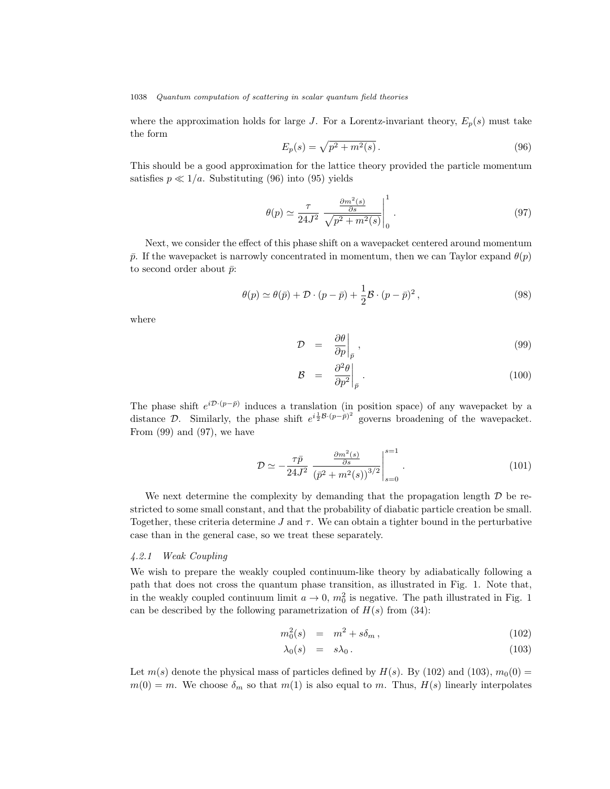where the approximation holds for large J. For a Lorentz-invariant theory,  $E_p(s)$  must take the form

$$
E_p(s) = \sqrt{p^2 + m^2(s)}.
$$
\n(96)

This should be a good approximation for the lattice theory provided the particle momentum satisfies  $p \ll 1/a$ . Substituting (96) into (95) yields

$$
\theta(p) \simeq \frac{\tau}{24J^2} \left. \frac{\frac{\partial m^2(s)}{\partial s}}{\sqrt{p^2 + m^2(s)}} \right|_0^1. \tag{97}
$$

Next, we consider the effect of this phase shift on a wavepacket centered around momentum  $\bar{p}$ . If the wavepacket is narrowly concentrated in momentum, then we can Taylor expand  $\theta(p)$ to second order about  $\bar{p}$ :

$$
\theta(p) \simeq \theta(\bar{p}) + \mathcal{D} \cdot (p - \bar{p}) + \frac{1}{2} \mathcal{B} \cdot (p - \bar{p})^2 , \qquad (98)
$$

where

$$
\mathcal{D} = \left. \frac{\partial \theta}{\partial p} \right|_{\bar{p}}, \tag{99}
$$

$$
\mathcal{B} = \left. \frac{\partial^2 \theta}{\partial p^2} \right|_{\bar{p}} . \tag{100}
$$

The phase shift  $e^{i\mathcal{D}\cdot(p-\bar{p})}$  induces a translation (in position space) of any wavepacket by a distance D. Similarly, the phase shift  $e^{i\frac{1}{2}\mathcal{B}\cdot(p-\bar{p})^2}$  governs broadening of the wavepacket. From (99) and (97), we have

$$
\mathcal{D} \simeq -\frac{\tau \bar{p}}{24J^2} \left. \frac{\frac{\partial m^2(s)}{\partial s}}{\left( \bar{p}^2 + m^2(s) \right)^{3/2}} \right|_{s=0}^{s=1} . \tag{101}
$$

We next determine the complexity by demanding that the propagation length  $\mathcal D$  be restricted to some small constant, and that the probability of diabatic particle creation be small. Together, these criteria determine J and  $\tau$ . We can obtain a tighter bound in the perturbative case than in the general case, so we treat these separately.

### 4.2.1 Weak Coupling

We wish to prepare the weakly coupled continuum-like theory by adiabatically following a path that does not cross the quantum phase transition, as illustrated in Fig. 1. Note that, in the weakly coupled continuum limit  $a \to 0$ ,  $m_0^2$  is negative. The path illustrated in Fig. 1 can be described by the following parametrization of  $H(s)$  from (34):

$$
m_0^2(s) = m^2 + s\delta_m, \qquad (102)
$$

$$
\lambda_0(s) = s\lambda_0. \tag{103}
$$

Let  $m(s)$  denote the physical mass of particles defined by  $H(s)$ . By (102) and (103),  $m_0(0)$  =  $m(0) = m$ . We choose  $\delta_m$  so that  $m(1)$  is also equal to m. Thus,  $H(s)$  linearly interpolates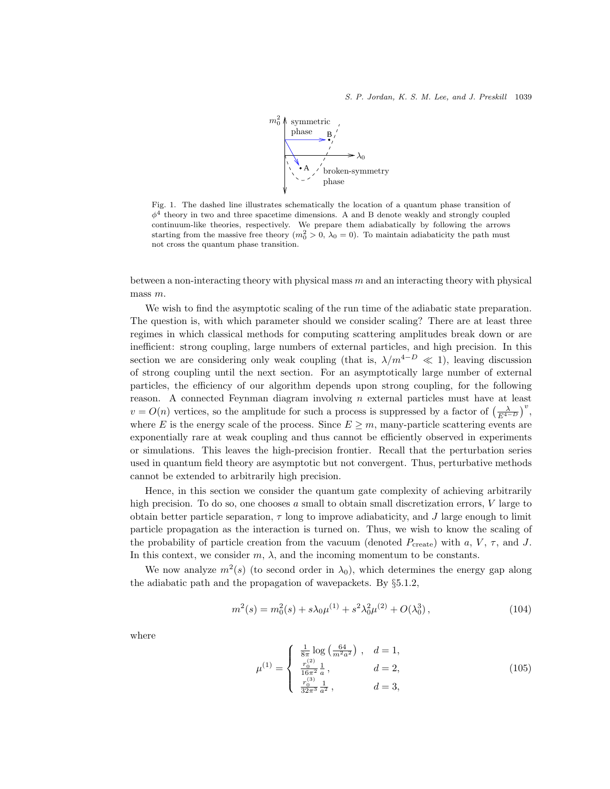

Fig. 1. The dashed line illustrates schematically the location of a quantum phase transition of  $\phi^4$  theory in two and three spacetime dimensions. A and B denote weakly and strongly coupled continuum-like theories, respectively. We prepare them adiabatically by following the arrows starting from the massive free theory  $(m_0^2 > 0, \lambda_0 = 0)$ . To maintain adiabaticity the path must not cross the quantum phase transition.

between a non-interacting theory with physical mass  $m$  and an interacting theory with physical mass m.

We wish to find the asymptotic scaling of the run time of the adiabatic state preparation. The question is, with which parameter should we consider scaling? There are at least three regimes in which classical methods for computing scattering amplitudes break down or are inefficient: strong coupling, large numbers of external particles, and high precision. In this section we are considering only weak coupling (that is,  $\lambda/m^{4-D} \ll 1$ ), leaving discussion of strong coupling until the next section. For an asymptotically large number of external particles, the efficiency of our algorithm depends upon strong coupling, for the following reason. A connected Feynman diagram involving  $n$  external particles must have at least  $v = O(n)$  vertices, so the amplitude for such a process is suppressed by a factor of  $\left(\frac{\lambda}{E^{4-D}}\right)^v$ , where E is the energy scale of the process. Since  $E \geq m$ , many-particle scattering events are exponentially rare at weak coupling and thus cannot be efficiently observed in experiments or simulations. This leaves the high-precision frontier. Recall that the perturbation series used in quantum field theory are asymptotic but not convergent. Thus, perturbative methods cannot be extended to arbitrarily high precision.

Hence, in this section we consider the quantum gate complexity of achieving arbitrarily high precision. To do so, one chooses  $\alpha$  small to obtain small discretization errors,  $V$  large to obtain better particle separation,  $\tau$  long to improve adiabaticity, and J large enough to limit particle propagation as the interaction is turned on. Thus, we wish to know the scaling of the probability of particle creation from the vacuum (denoted  $P_{\text{create}}$ ) with a, V,  $\tau$ , and J. In this context, we consider  $m, \lambda$ , and the incoming momentum to be constants.

We now analyze  $m^2(s)$  (to second order in  $\lambda_0$ ), which determines the energy gap along the adiabatic path and the propagation of wavepackets. By §5.1.2,

$$
m^{2}(s) = m_{0}^{2}(s) + s\lambda_{0}\mu^{(1)} + s^{2}\lambda_{0}^{2}\mu^{(2)} + O(\lambda_{0}^{3}), \qquad (104)
$$

where

$$
\mu^{(1)} = \begin{cases}\n\frac{1}{8\pi} \log\left(\frac{64}{m^2 a^2}\right), & d = 1, \\
\frac{r_0^{(2)}}{16\pi^2} \frac{1}{a}, & d = 2, \\
\frac{r_0^{(3)}}{32\pi^3} \frac{1}{a^2}, & d = 3,\n\end{cases}
$$
\n(105)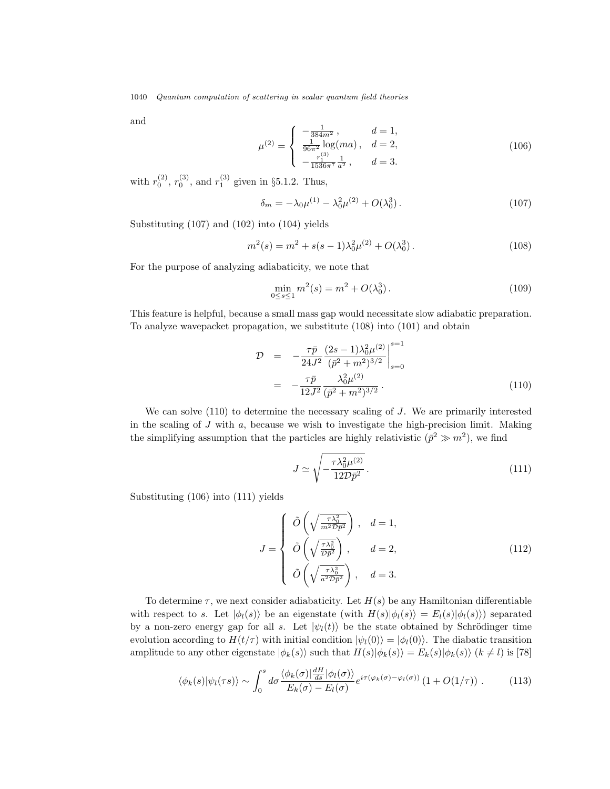and

$$
\mu^{(2)} = \begin{cases}\n-\frac{1}{384m^2}, & d = 1, \\
\frac{1}{96\pi^2} \log(ma), & d = 2, \\
-\frac{r_1^{(3)}}{1536\pi^7} \frac{1}{a^2}, & d = 3.\n\end{cases}
$$
\n(106)

with  $r_0^{(2)}$ ,  $r_0^{(3)}$ , and  $r_1^{(3)}$  given in §5.1.2. Thus,

$$
\delta_m = -\lambda_0 \mu^{(1)} - \lambda_0^2 \mu^{(2)} + O(\lambda_0^3). \tag{107}
$$

Substituting (107) and (102) into (104) yields

$$
m^{2}(s) = m^{2} + s(s - 1)\lambda_{0}^{2}\mu^{(2)} + O(\lambda_{0}^{3}).
$$
\n(108)

For the purpose of analyzing adiabaticity, we note that

$$
\min_{0 \le s \le 1} m^2(s) = m^2 + O(\lambda_0^3). \tag{109}
$$

This feature is helpful, because a small mass gap would necessitate slow adiabatic preparation. To analyze wavepacket propagation, we substitute (108) into (101) and obtain

$$
\mathcal{D} = -\frac{\tau \bar{p}}{24J^2} \frac{(2s-1)\lambda_0^2 \mu^{(2)}}{(\bar{p}^2 + m^2)^{3/2}} \Big|_{s=0}^{s=1}
$$
\n
$$
= -\frac{\tau \bar{p}}{12J^2} \frac{\lambda_0^2 \mu^{(2)}}{(\bar{p}^2 + m^2)^{3/2}}.
$$
\n(110)

We can solve  $(110)$  to determine the necessary scaling of J. We are primarily interested in the scaling of  $J$  with  $a$ , because we wish to investigate the high-precision limit. Making the simplifying assumption that the particles are highly relativistic  $(\bar{p}^2 \gg m^2)$ , we find

$$
J \simeq \sqrt{-\frac{\tau \lambda_0^2 \mu^{(2)}}{12\mathcal{D}\bar{p}^2}}.
$$
\n(111)

Substituting (106) into (111) yields

$$
J = \begin{cases} \n\tilde{O}\left(\sqrt{\frac{\tau \lambda_0^2}{m^2 D \bar{p}^2}}\right), & d = 1, \\ \n\tilde{O}\left(\sqrt{\frac{\tau \lambda_0^2}{D \bar{p}^2}}\right), & d = 2, \\ \n\tilde{O}\left(\sqrt{\frac{\tau \lambda_0^2}{a^2 D \bar{p}^2}}\right), & d = 3. \n\end{cases}
$$
\n(112)

To determine  $\tau$ , we next consider adiabaticity. Let  $H(s)$  be any Hamiltonian differentiable with respect to s. Let  $|\phi_l(s)\rangle$  be an eigenstate (with  $H(s)|\phi_l(s)\rangle = E_l(s)|\phi_l(s)\rangle$ ) separated by a non-zero energy gap for all s. Let  $|\psi_l(t)\rangle$  be the state obtained by Schrödinger time evolution according to  $H(t/\tau)$  with initial condition  $|\psi_l(0)\rangle = |\phi_l(0)\rangle$ . The diabatic transition amplitude to any other eigenstate  $|\phi_k(s)\rangle$  such that  $H(s)|\phi_k(s)\rangle = E_k(s)|\phi_k(s)\rangle$  ( $k \neq l$ ) is [78]

$$
\langle \phi_k(s) | \psi_l(\tau s) \rangle \sim \int_0^s d\sigma \frac{\langle \phi_k(\sigma) | \frac{dH}{ds} | \phi_l(\sigma) \rangle}{E_k(\sigma) - E_l(\sigma)} e^{i\tau(\varphi_k(\sigma) - \varphi_l(\sigma))} \left( 1 + O(1/\tau) \right). \tag{113}
$$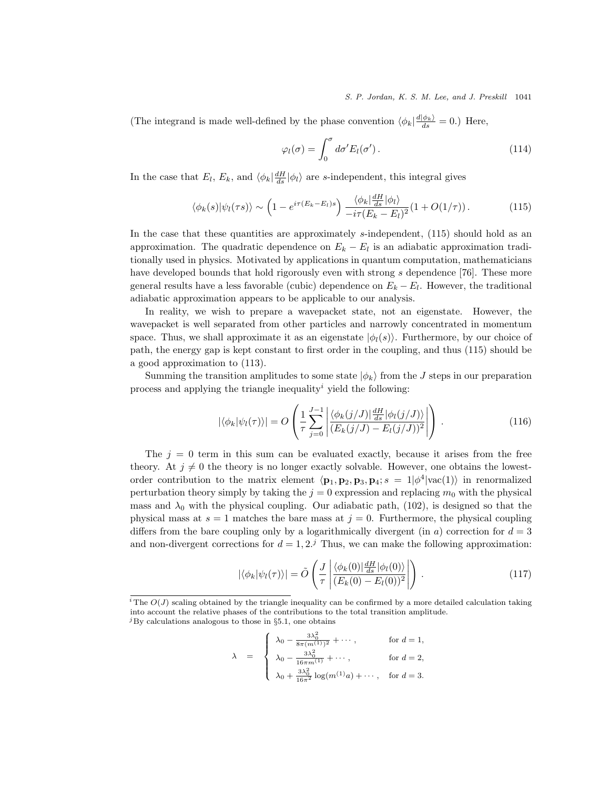#### S. P. Jordan, K. S. M. Lee, and J. Preskill 1041

(The integrand is made well-defined by the phase convention  $\langle \phi_k | \frac{d|\phi_k}{ds} \rangle = 0$ .) Here,

$$
\varphi_l(\sigma) = \int_0^{\sigma} d\sigma' E_l(\sigma'). \qquad (114)
$$

In the case that  $E_l$ ,  $E_k$ , and  $\langle \phi_k | \frac{dH}{ds} | \phi_l \rangle$  are s-independent, this integral gives

$$
\langle \phi_k(s) | \psi_l(\tau s) \rangle \sim \left( 1 - e^{i\tau (E_k - E_l)s} \right) \frac{\langle \phi_k | \frac{dH}{ds} | \phi_l \rangle}{-i\tau (E_k - E_l)^2} (1 + O(1/\tau)) \,. \tag{115}
$$

In the case that these quantities are approximately s-independent,  $(115)$  should hold as an approximation. The quadratic dependence on  $E_k - E_l$  is an adiabatic approximation traditionally used in physics. Motivated by applications in quantum computation, mathematicians have developed bounds that hold rigorously even with strong s dependence [76]. These more general results have a less favorable (cubic) dependence on  $E_k - E_l$ . However, the traditional adiabatic approximation appears to be applicable to our analysis.

In reality, we wish to prepare a wavepacket state, not an eigenstate. However, the wavepacket is well separated from other particles and narrowly concentrated in momentum space. Thus, we shall approximate it as an eigenstate  $|\phi_l(s)\rangle$ . Furthermore, by our choice of path, the energy gap is kept constant to first order in the coupling, and thus (115) should be a good approximation to (113).

Summing the transition amplitudes to some state  $|\phi_k\rangle$  from the J steps in our preparation process and applying the triangle inequality<sup> $i$ </sup> yield the following:

$$
|\langle \phi_k | \psi_l(\tau) \rangle| = O\left(\frac{1}{\tau} \sum_{j=0}^{J-1} \left| \frac{\langle \phi_k(j/J) | \frac{dH}{ds} | \phi_l(j/J) \rangle}{(E_k(j/J) - E_l(j/J))^2} \right| \right). \tag{116}
$$

The  $j = 0$  term in this sum can be evaluated exactly, because it arises from the free theory. At  $j \neq 0$  the theory is no longer exactly solvable. However, one obtains the lowestorder contribution to the matrix element  $\langle \mathbf{p}_1, \mathbf{p}_2, \mathbf{p}_3, \mathbf{p}_4$ ;  $s = 1 | \phi^4 | \text{vac}(1) \rangle$  in renormalized perturbation theory simply by taking the  $j = 0$  expression and replacing  $m_0$  with the physical mass and  $\lambda_0$  with the physical coupling. Our adiabatic path, (102), is designed so that the physical mass at  $s = 1$  matches the bare mass at  $j = 0$ . Furthermore, the physical coupling differs from the bare coupling only by a logarithmically divergent (in a) correction for  $d = 3$ and non-divergent corrections for  $d = 1, 2<sup>j</sup>$  Thus, we can make the following approximation:

$$
|\langle \phi_k | \psi_l(\tau) \rangle| = \tilde{O}\left(\frac{J}{\tau} \left| \frac{\langle \phi_k(0) | \frac{dH}{ds} | \phi_l(0) \rangle}{(E_k(0) - E_l(0))^2} \right| \right). \tag{117}
$$

$$
\lambda = \begin{cases} \lambda_0 - \frac{3\lambda_0^2}{8\pi (m^{(1)})^2} + \cdots, & \text{for } d = 1, \\ \lambda_0 - \frac{3\lambda_0^2}{16\pi m^{(1)}} + \cdots, & \text{for } d = 2, \\ \lambda_0 + \frac{3\lambda_0^2}{16\pi^2} \log(m^{(1)}a) + \cdots, & \text{for } d = 3. \end{cases}
$$

<sup>&</sup>lt;sup>*i*</sup> The  $O(J)$  scaling obtained by the triangle inequality can be confirmed by a more detailed calculation taking into account the relative phases of the contributions to the total transition amplitude.  $^{j}$ By calculations analogous to those in §5.1, one obtains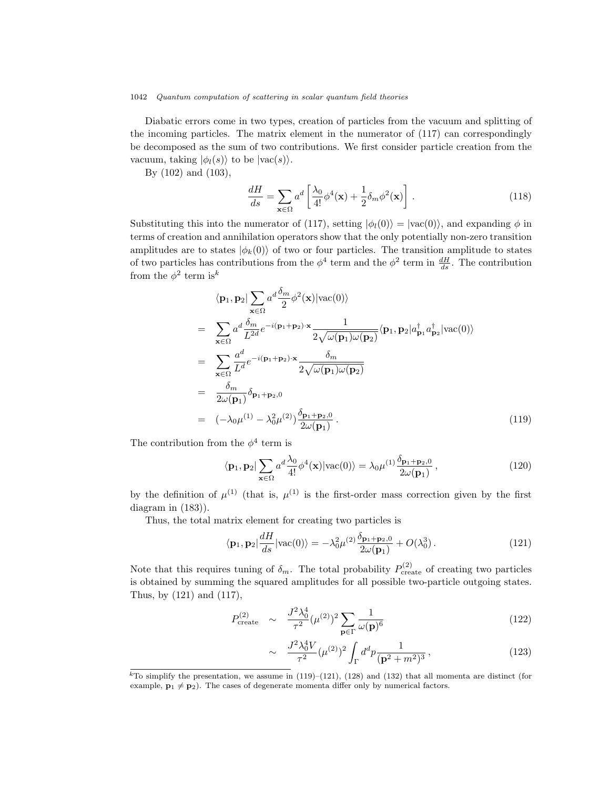Diabatic errors come in two types, creation of particles from the vacuum and splitting of the incoming particles. The matrix element in the numerator of (117) can correspondingly be decomposed as the sum of two contributions. We first consider particle creation from the vacuum, taking  $|\phi_l(s)\rangle$  to be  $|{\rm vac}(s)\rangle$ .

By (102) and (103),

$$
\frac{dH}{ds} = \sum_{\mathbf{x} \in \Omega} a^d \left[ \frac{\lambda_0}{4!} \phi^4(\mathbf{x}) + \frac{1}{2} \delta_m \phi^2(\mathbf{x}) \right].
$$
\n(118)

Substituting this into the numerator of (117), setting  $|\phi_l(0)\rangle = |\text{vac}(0)\rangle$ , and expanding  $\phi$  in terms of creation and annihilation operators show that the only potentially non-zero transition amplitudes are to states  $|\phi_k(0)\rangle$  of two or four particles. The transition amplitude to states of two particles has contributions from the  $\phi^4$  term and the  $\phi^2$  term in  $\frac{dH}{ds}$ . The contribution from the  $\phi^2$  term is<sup>k</sup>

$$
\langle \mathbf{p}_1, \mathbf{p}_2 | \sum_{\mathbf{x} \in \Omega} a^d \frac{\delta_m}{2} \phi^2(\mathbf{x}) | \text{vac}(0) \rangle
$$
  
\n
$$
= \sum_{\mathbf{x} \in \Omega} a^d \frac{\delta_m}{L^{2d}} e^{-i(\mathbf{p}_1 + \mathbf{p}_2) \cdot \mathbf{x}} \frac{1}{2\sqrt{\omega(\mathbf{p}_1)\omega(\mathbf{p}_2)}} \langle \mathbf{p}_1, \mathbf{p}_2 | a_{\mathbf{p}_1}^{\dagger} a_{\mathbf{p}_2}^{\dagger} | \text{vac}(0) \rangle
$$
  
\n
$$
= \sum_{\mathbf{x} \in \Omega} \frac{a^d}{L^d} e^{-i(\mathbf{p}_1 + \mathbf{p}_2) \cdot \mathbf{x}} \frac{\delta_m}{2\sqrt{\omega(\mathbf{p}_1)\omega(\mathbf{p}_2)}}
$$
  
\n
$$
= \frac{\delta_m}{2\omega(\mathbf{p}_1)} \delta_{\mathbf{p}_1 + \mathbf{p}_2,0}
$$
  
\n
$$
= (-\lambda_0 \mu^{(1)} - \lambda_0^2 \mu^{(2)}) \frac{\delta_{\mathbf{p}_1 + \mathbf{p}_2,0}}{2\omega(\mathbf{p}_1)}.
$$
 (119)

The contribution from the  $\phi^4$  term is

$$
\langle \mathbf{p}_1, \mathbf{p}_2 \vert \sum_{\mathbf{x} \in \Omega} a^d \frac{\lambda_0}{4!} \phi^4(\mathbf{x}) \vert \text{vac}(0) \rangle = \lambda_0 \mu^{(1)} \frac{\delta_{\mathbf{p}_1 + \mathbf{p}_2, 0}}{2\omega(\mathbf{p}_1)}, \tag{120}
$$

by the definition of  $\mu^{(1)}$  (that is,  $\mu^{(1)}$  is the first-order mass correction given by the first diagram in (183)).

Thus, the total matrix element for creating two particles is

$$
\langle \mathbf{p}_1, \mathbf{p}_2 \vert \frac{dH}{ds} \vert \text{vac}(0) \rangle = -\lambda_0^2 \mu^{(2)} \frac{\delta_{\mathbf{p}_1 + \mathbf{p}_2, 0}}{2\omega(\mathbf{p}_1)} + O(\lambda_0^3) \,. \tag{121}
$$

Note that this requires tuning of  $\delta_m$ . The total probability  $P_{\text{create}}^{(2)}$  of creating two particles is obtained by summing the squared amplitudes for all possible two-particle outgoing states. Thus, by (121) and (117),

$$
P_{\text{create}}^{(2)} \sim \frac{J^2 \lambda_0^4}{\tau^2} (\mu^{(2)})^2 \sum_{\mathbf{p} \in \Gamma} \frac{1}{\omega(\mathbf{p})^6} \tag{122}
$$

$$
\sim \frac{J^2 \lambda_0^4 V}{\tau^2} (\mu^{(2)})^2 \int_{\Gamma} d^d p \frac{1}{(\mathbf{p}^2 + m^2)^3},\tag{123}
$$

<sup>&</sup>lt;sup>k</sup>To simplify the presentation, we assume in (119)–(121), (128) and (132) that all momenta are distinct (for example,  $\mathbf{p}_1 \neq \mathbf{p}_2$ ). The cases of degenerate momenta differ only by numerical factors.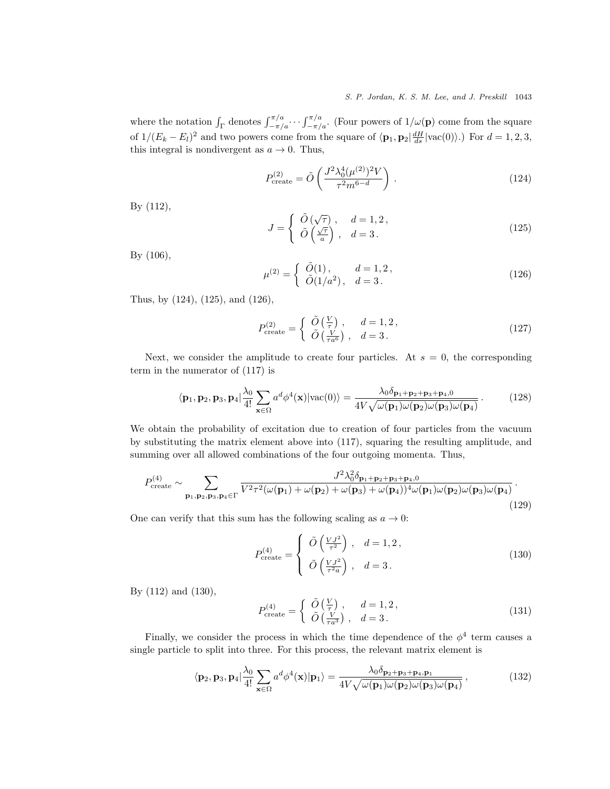where the notation  $\int_{\Gamma}$  denotes  $\int_{-\pi/a}^{\pi/a} \cdots \int_{-\pi/a}^{\pi/a}$ . (Four powers of  $1/\omega(\mathbf{p})$  come from the square of  $1/(E_k - E_l)^2$  and two powers come from the square of  $\langle \mathbf{p}_1, \mathbf{p}_2 | \frac{dH}{ds} | \text{vac}(0) \rangle$ .) For  $d = 1, 2, 3$ , this integral is nondivergent as  $a \to 0$ . Thus,

$$
P_{\text{create}}^{(2)} = \tilde{O}\left(\frac{J^2 \lambda_0^4 (\mu^{(2)})^2 V}{\tau^2 m^{6-d}}\right). \tag{124}
$$

By (112),

$$
J = \begin{cases} \tilde{O}(\sqrt{\tau}), & d = 1, 2, \\ \tilde{O}(\frac{\sqrt{\tau}}{a}), & d = 3. \end{cases}
$$
 (125)

By (106),

$$
\mu^{(2)} = \begin{cases} \tilde{O}(1), & d = 1, 2, \\ \tilde{O}(1/a^2), & d = 3. \end{cases}
$$
\n(126)

Thus, by (124), (125), and (126),

$$
P_{\text{create}}^{(2)} = \begin{cases} \tilde{O}\left(\frac{V}{\tau}\right), & d = 1, 2, \\ \tilde{O}\left(\frac{V}{\tau a^6}\right), & d = 3. \end{cases}
$$
 (127)

Next, we consider the amplitude to create four particles. At  $s = 0$ , the corresponding term in the numerator of (117) is

$$
\langle \mathbf{p}_1, \mathbf{p}_2, \mathbf{p}_3, \mathbf{p}_4 \vert \frac{\lambda_0}{4!} \sum_{\mathbf{x} \in \Omega} a^d \phi^4(\mathbf{x}) \vert \text{vac}(0) \rangle = \frac{\lambda_0 \delta_{\mathbf{p}_1 + \mathbf{p}_2 + \mathbf{p}_3 + \mathbf{p}_4, 0}}{4V \sqrt{\omega(\mathbf{p}_1)\omega(\mathbf{p}_2)\omega(\mathbf{p}_3)\omega(\mathbf{p}_4)}}.
$$
(128)

We obtain the probability of excitation due to creation of four particles from the vacuum by substituting the matrix element above into (117), squaring the resulting amplitude, and summing over all allowed combinations of the four outgoing momenta. Thus,

$$
P_{\text{create}}^{(4)} \sim \sum_{\mathbf{p}_1, \mathbf{p}_2, \mathbf{p}_3, \mathbf{p}_4 \in \Gamma} \frac{J^2 \lambda_0^2 \delta_{\mathbf{p}_1 + \mathbf{p}_2 + \mathbf{p}_3 + \mathbf{p}_4, 0}}{V^2 \tau^2 (\omega(\mathbf{p}_1) + \omega(\mathbf{p}_2) + \omega(\mathbf{p}_3) + \omega(\mathbf{p}_4))^4 \omega(\mathbf{p}_1) \omega(\mathbf{p}_2) \omega(\mathbf{p}_3) \omega(\mathbf{p}_4)}.
$$
\n(129)

One can verify that this sum has the following scaling as  $a \to 0$ :

$$
P_{\text{create}}^{(4)} = \begin{cases} \tilde{O}\left(\frac{VJ^2}{\tau^2}\right), & d = 1, 2, \\ \tilde{O}\left(\frac{VJ^2}{\tau^2 a}\right), & d = 3. \end{cases}
$$
 (130)

By (112) and (130),

$$
P_{\text{create}}^{(4)} = \begin{cases} \tilde{O}\left(\frac{V}{\tau}\right), & d = 1, 2, \\ \tilde{O}\left(\frac{V}{\tau a^3}\right), & d = 3. \end{cases}
$$
 (131)

Finally, we consider the process in which the time dependence of the  $\phi^4$  term causes a single particle to split into three. For this process, the relevant matrix element is

$$
\langle \mathbf{p}_2, \mathbf{p}_3, \mathbf{p}_4 \vert \frac{\lambda_0}{4!} \sum_{\mathbf{x} \in \Omega} a^d \phi^4(\mathbf{x}) \vert \mathbf{p}_1 \rangle = \frac{\lambda_0 \delta_{\mathbf{p}_2 + \mathbf{p}_3 + \mathbf{p}_4, \mathbf{p}_1}}{4V \sqrt{\omega(\mathbf{p}_1)\omega(\mathbf{p}_2)\omega(\mathbf{p}_3)\omega(\mathbf{p}_4)}},
$$
(132)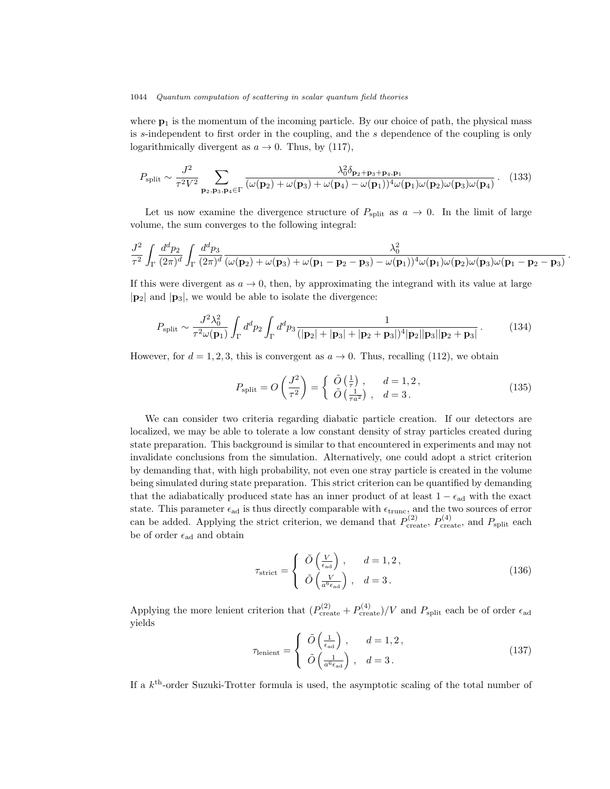where  $\mathbf{p}_1$  is the momentum of the incoming particle. By our choice of path, the physical mass is s-independent to first order in the coupling, and the s dependence of the coupling is only logarithmically divergent as  $a \to 0$ . Thus, by (117),

$$
P_{\text{split}} \sim \frac{J^2}{\tau^2 V^2} \sum_{\mathbf{p}_2, \mathbf{p}_3, \mathbf{p}_4 \in \Gamma} \frac{\lambda_0^2 \delta_{\mathbf{p}_2 + \mathbf{p}_3 + \mathbf{p}_4, \mathbf{p}_1}}{(\omega(\mathbf{p}_2) + \omega(\mathbf{p}_3) + \omega(\mathbf{p}_4) - \omega(\mathbf{p}_1))^4 \omega(\mathbf{p}_1) \omega(\mathbf{p}_2) \omega(\mathbf{p}_3) \omega(\mathbf{p}_4)}.
$$
(133)

Let us now examine the divergence structure of  $P_{split}$  as  $a \to 0$ . In the limit of large volume, the sum converges to the following integral:

$$
\frac{J^2}{\tau^2} \int_{\Gamma} \frac{d^d p_2}{(2\pi)^d} \int_{\Gamma} \frac{d^d p_3}{(2\pi)^d} \frac{\lambda_0^2}{(\omega({\bf p}_2) + \omega({\bf p}_3) + \omega({\bf p}_1-{\bf p}_2-{\bf p}_3)-\omega({\bf p}_1))^4 \omega({\bf p}_1) \omega({\bf p}_2) \omega({\bf p}_3) \omega({\bf p}_1-{\bf p}_2-{\bf p}_3)}
$$

If this were divergent as  $a \to 0$ , then, by approximating the integrand with its value at large  $|\mathbf{p}_2|$  and  $|\mathbf{p}_3|$ , we would be able to isolate the divergence:

$$
P_{\text{split}} \sim \frac{J^2 \lambda_0^2}{\tau^2 \omega(\mathbf{p}_1)} \int_{\Gamma} d^d p_2 \int_{\Gamma} d^d p_3 \frac{1}{(|\mathbf{p}_2| + |\mathbf{p}_3| + |\mathbf{p}_2 + \mathbf{p}_3|)^4 |\mathbf{p}_2||\mathbf{p}_3||\mathbf{p}_2 + \mathbf{p}_3|}.
$$
 (134)

However, for  $d = 1, 2, 3$ , this is convergent as  $a \to 0$ . Thus, recalling (112), we obtain

$$
P_{\text{split}} = O\left(\frac{J^2}{\tau^2}\right) = \begin{cases} \tilde{O}\left(\frac{1}{\tau}\right), & d = 1, 2, \\ \tilde{O}\left(\frac{1}{\tau a^2}\right), & d = 3. \end{cases}
$$
(135)

.

We can consider two criteria regarding diabatic particle creation. If our detectors are localized, we may be able to tolerate a low constant density of stray particles created during state preparation. This background is similar to that encountered in experiments and may not invalidate conclusions from the simulation. Alternatively, one could adopt a strict criterion by demanding that, with high probability, not even one stray particle is created in the volume being simulated during state preparation. This strict criterion can be quantified by demanding that the adiabatically produced state has an inner product of at least  $1 - \epsilon_{ad}$  with the exact state. This parameter  $\epsilon_{ad}$  is thus directly comparable with  $\epsilon_{trunc}$ , and the two sources of error can be added. Applying the strict criterion, we demand that  $P_{\text{create}}^{(2)}$ ,  $P_{\text{create}}^{(4)}$ , and  $P_{\text{split}}$  each be of order  $\epsilon_{\text{ad}}$  and obtain

$$
\tau_{\text{strict}} = \begin{cases} \tilde{O}\left(\frac{V}{\epsilon_{\text{ad}}}\right), & d = 1, 2, \\ \tilde{O}\left(\frac{V}{a^6 \epsilon_{\text{ad}}}\right), & d = 3. \end{cases}
$$
\n(136)

Applying the more lenient criterion that  $(P_{\text{create}}^{(2)} + P_{\text{create}}^{(4)})/V$  and  $P_{\text{split}}$  each be of order  $\epsilon_{\text{ad}}$ yields

$$
\tau_{\text{lenient}} = \begin{cases} \tilde{O}\left(\frac{1}{\epsilon_{\text{ad}}}\right), & d = 1, 2, \\ \tilde{O}\left(\frac{1}{a^6 \epsilon_{\text{ad}}}\right), & d = 3. \end{cases}
$$
\n(137)

If a  $k^{\text{th}}$ -order Suzuki-Trotter formula is used, the asymptotic scaling of the total number of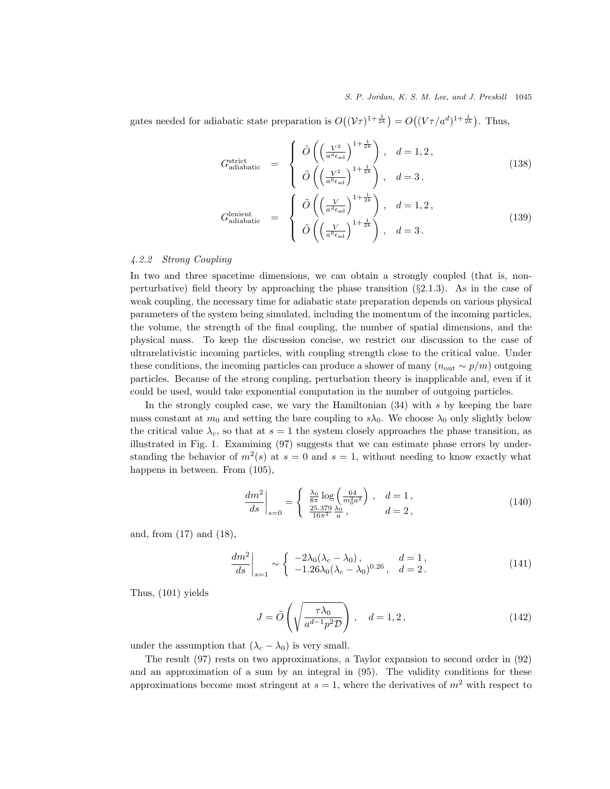### S. P. Jordan, K. S. M. Lee, and J. Preskill 1045

gates needed for adiabatic state preparation is  $O((\mathcal{V}\tau)^{1+\frac{1}{2k}}) = O((\mathcal{V}\tau/a^d)^{1+\frac{1}{2k}})$ . Thus,

$$
G_{\text{adiabatic}}^{\text{strict}} = \begin{cases} \tilde{O}\left(\left(\frac{V^2}{a^d \epsilon_{\text{ad}}}\right)^{1+\frac{1}{2k}}\right), & d = 1, 2, \\ \tilde{O}\left(\left(\frac{V^2}{a^9 \epsilon_{\text{ad}}}\right)^{1+\frac{1}{2k}}\right), & d = 3. \end{cases}
$$
(138)

$$
G_{\text{adiabatic}}^{\text{lenient}} = \begin{cases} \tilde{O}\left(\left(\frac{V}{a^d \epsilon_{\text{ad}}}\right)^{1+\frac{1}{2k}}\right), & d = 1, 2, \\ \tilde{O}\left(\left(\frac{V}{a^9 \epsilon_{\text{ad}}}\right)^{1+\frac{1}{2k}}\right), & d = 3. \end{cases}
$$
(139)

### 4.2.2 Strong Coupling

In two and three spacetime dimensions, we can obtain a strongly coupled (that is, nonperturbative) field theory by approaching the phase transition  $(\S 2.1.3)$ . As in the case of weak coupling, the necessary time for adiabatic state preparation depends on various physical parameters of the system being simulated, including the momentum of the incoming particles, the volume, the strength of the final coupling, the number of spatial dimensions, and the physical mass. To keep the discussion concise, we restrict our discussion to the case of ultrarelativistic incoming particles, with coupling strength close to the critical value. Under these conditions, the incoming particles can produce a shower of many  $(n_{\text{out}} \sim p/m)$  outgoing particles. Because of the strong coupling, perturbation theory is inapplicable and, even if it could be used, would take exponential computation in the number of outgoing particles.

In the strongly coupled case, we vary the Hamiltonian  $(34)$  with s by keeping the bare mass constant at  $m_0$  and setting the bare coupling to  $s\lambda_0$ . We choose  $\lambda_0$  only slightly below the critical value  $\lambda_c$ , so that at  $s = 1$  the system closely approaches the phase transition, as illustrated in Fig. 1. Examining (97) suggests that we can estimate phase errors by understanding the behavior of  $m^2(s)$  at  $s = 0$  and  $s = 1$ , without needing to know exactly what happens in between. From  $(105)$ ,

$$
\left. \frac{dm^2}{ds} \right|_{s=0} = \begin{cases} \left. \frac{\lambda_0}{8\pi} \log \left( \frac{64}{m_0^2 a^2} \right) \right., & d = 1, \\ \left. \frac{25.379}{16\pi^2} \frac{\lambda_0}{a}, & d = 2, \end{cases}
$$
\n(140)

and, from (17) and (18),

$$
\left. \frac{dm^2}{ds} \right|_{s=1} \sim \begin{cases} -2\lambda_0(\lambda_c - \lambda_0), & d = 1, \\ -1.26\lambda_0(\lambda_c - \lambda_0)^{0.26}, & d = 2. \end{cases}
$$
\n(141)

Thus, (101) yields

$$
J = \tilde{O}\left(\sqrt{\frac{\tau \lambda_0}{a^{d-1} p^2 D}}\right), \quad d = 1, 2,
$$
\n(142)

under the assumption that  $(\lambda_c - \lambda_0)$  is very small.

The result (97) rests on two approximations, a Taylor expansion to second order in (92) and an approximation of a sum by an integral in (95). The validity conditions for these approximations become most stringent at  $s = 1$ , where the derivatives of  $m<sup>2</sup>$  with respect to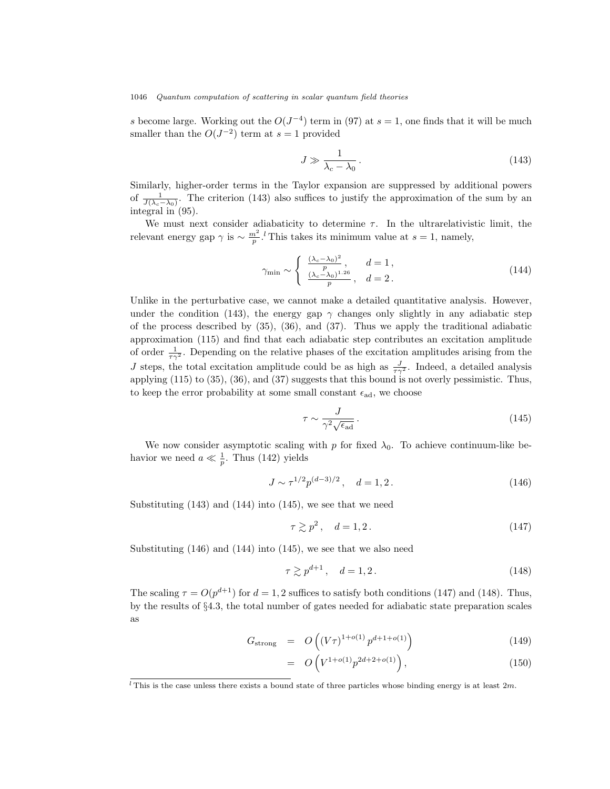s become large. Working out the  $O(J^{-4})$  term in (97) at  $s = 1$ , one finds that it will be much smaller than the  $O(J^{-2})$  term at  $s=1$  provided

$$
J \gg \frac{1}{\lambda_c - \lambda_0} \,. \tag{143}
$$

Similarly, higher-order terms in the Taylor expansion are suppressed by additional powers of  $\frac{1}{J(\lambda_c-\lambda_0)}$ . The criterion (143) also suffices to justify the approximation of the sum by an integral in (95).

We must next consider adiabaticity to determine  $\tau$ . In the ultrarelativistic limit, the relevant energy gap  $\gamma$  is  $\sim \frac{m^2}{p}$ .<sup>*t*</sup> This takes its minimum value at  $s = 1$ , namely,

$$
\gamma_{\min} \sim \begin{cases} \frac{(\lambda_c - \lambda_0)^2}{p}, & d = 1, \\ \frac{(\lambda_c - \lambda_0)^{1.26}}{p}, & d = 2. \end{cases}
$$
 (144)

Unlike in the perturbative case, we cannot make a detailed quantitative analysis. However, under the condition (143), the energy gap  $\gamma$  changes only slightly in any adiabatic step of the process described by (35), (36), and (37). Thus we apply the traditional adiabatic approximation (115) and find that each adiabatic step contributes an excitation amplitude of order  $\frac{1}{\tau \gamma^2}$ . Depending on the relative phases of the excitation amplitudes arising from the J steps, the total excitation amplitude could be as high as  $\frac{J}{\tau \gamma^2}$ . Indeed, a detailed analysis applying (115) to (35), (36), and (37) suggests that this bound is not overly pessimistic. Thus, to keep the error probability at some small constant  $\epsilon_{ad}$ , we choose

$$
\tau \sim \frac{J}{\gamma^2 \sqrt{\epsilon_{\text{ad}}}}\,. \tag{145}
$$

We now consider asymptotic scaling with p for fixed  $\lambda_0$ . To achieve continuum-like behavior we need  $a \ll \frac{1}{p}$ . Thus (142) yields

$$
J \sim \tau^{1/2} p^{(d-3)/2}, \quad d = 1, 2. \tag{146}
$$

Substituting (143) and (144) into (145), we see that we need

$$
\tau \gtrsim p^2, \quad d = 1, 2. \tag{147}
$$

Substituting (146) and (144) into (145), we see that we also need

$$
\tau \gtrsim p^{d+1}, \quad d = 1, 2. \tag{148}
$$

The scaling  $\tau = O(p^{d+1})$  for  $d = 1, 2$  suffices to satisfy both conditions (147) and (148). Thus, by the results of §4.3, the total number of gates needed for adiabatic state preparation scales as

$$
G_{\text{strong}} = O\left( (V\tau)^{1+o(1)} p^{d+1+o(1)} \right) \tag{149}
$$

$$
= O\left(V^{1+o(1)}p^{2d+2+o(1)}\right),\tag{150}
$$

<sup>&</sup>lt;sup>l</sup> This is the case unless there exists a bound state of three particles whose binding energy is at least  $2m$ .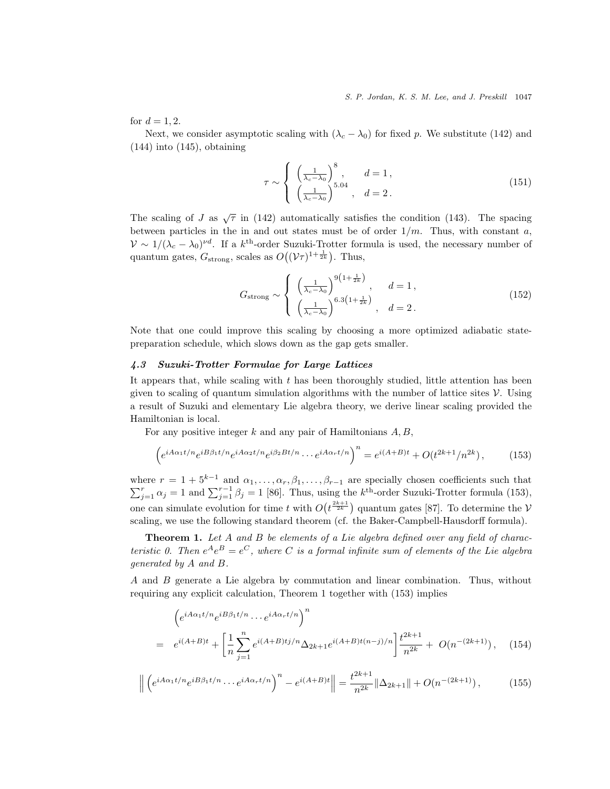for  $d = 1, 2$ .

Next, we consider asymptotic scaling with  $(\lambda_c - \lambda_0)$  for fixed p. We substitute (142) and  $(144)$  into  $(145)$ , obtaining

$$
\tau \sim \begin{cases} \left(\frac{1}{\lambda_c - \lambda_0}\right)^8, & d = 1, \\ \left(\frac{1}{\lambda_c - \lambda_0}\right)^{5.04}, & d = 2. \end{cases}
$$
 (151)

The scaling of J as  $\sqrt{\tau}$  in (142) automatically satisfies the condition (143). The spacing between particles in the in and out states must be of order  $1/m$ . Thus, with constant a,  $V \sim 1/(\lambda_c - \lambda_0)^{\nu d}$ . If a k<sup>th</sup>-order Suzuki-Trotter formula is used, the necessary number of quantum gates,  $G_{\text{strong}}$ , scales as  $O((\mathcal{V}\tau)^{1+\frac{1}{2k}})$ . Thus,

$$
G_{\text{strong}} \sim \begin{cases} \left(\frac{1}{\lambda_c - \lambda_0}\right)^{9\left(1 + \frac{1}{2k}\right)}, & d = 1, \\ \left(\frac{1}{\lambda_c - \lambda_0}\right)^{6.3\left(1 + \frac{1}{2k}\right)}, & d = 2. \end{cases}
$$
\n
$$
(152)
$$

Note that one could improve this scaling by choosing a more optimized adiabatic statepreparation schedule, which slows down as the gap gets smaller.

### 4.3 Suzuki-Trotter Formulae for Large Lattices

It appears that, while scaling with  $t$  has been thoroughly studied, little attention has been given to scaling of quantum simulation algorithms with the number of lattice sites  $\mathcal V$ . Using a result of Suzuki and elementary Lie algebra theory, we derive linear scaling provided the Hamiltonian is local.

For any positive integer  $k$  and any pair of Hamiltonians  $A, B$ ,

$$
\left(e^{iA\alpha_1t/n}e^{iB\beta_1t/n}e^{iA\alpha_2t/n}e^{i\beta_2Bt/n}\cdots e^{iA\alpha_rt/n}\right)^n = e^{i(A+B)t} + O(t^{2k+1}/n^{2k}),\tag{153}
$$

where  $r = 1 + 5^{k-1}$  and  $\alpha_1, \ldots, \alpha_r, \beta_1, \ldots, \beta_{r-1}$  are specially chosen coefficients such that  $\sum_{j=1}^{r} \alpha_j = 1$  and  $\sum_{j=1}^{r-1} \beta_j = 1$  [86]. Thus, using the k<sup>th</sup>-order Suzuki-Trotter formula (153), one can simulate evolution for time t with  $O(t^{\frac{2k+1}{2k}})$  quantum gates [87]. To determine the V scaling, we use the following standard theorem (cf. the Baker-Campbell-Hausdorff formula).

**Theorem 1.** Let  $A$  and  $B$  be elements of a Lie algebra defined over any field of characteristic 0. Then  $e^{A}e^{B} = e^{C}$ , where C is a formal infinite sum of elements of the Lie algebra generated by A and B.

A and B generate a Lie algebra by commutation and linear combination. Thus, without requiring any explicit calculation, Theorem 1 together with (153) implies

$$
\left(e^{iA\alpha_1t/n}e^{iB\beta_1t/n}\cdots e^{iA\alpha_r t/n}\right)^n
$$
\n
$$
= e^{i(A+B)t} + \left[\frac{1}{n}\sum_{j=1}^n e^{i(A+B)tj/n}\Delta_{2k+1}e^{i(A+B)t(n-j)/n}\right]\frac{t^{2k+1}}{n^{2k}} + O(n^{-(2k+1)}), \quad (154)
$$

$$
\left\| \left( e^{iA\alpha_1 t/n} e^{iB\beta_1 t/n} \cdots e^{iA\alpha_r t/n} \right)^n - e^{i(A+B)t} \right\| = \frac{t^{2k+1}}{n^{2k}} \|\Delta_{2k+1}\| + O(n^{-(2k+1)}),\tag{155}
$$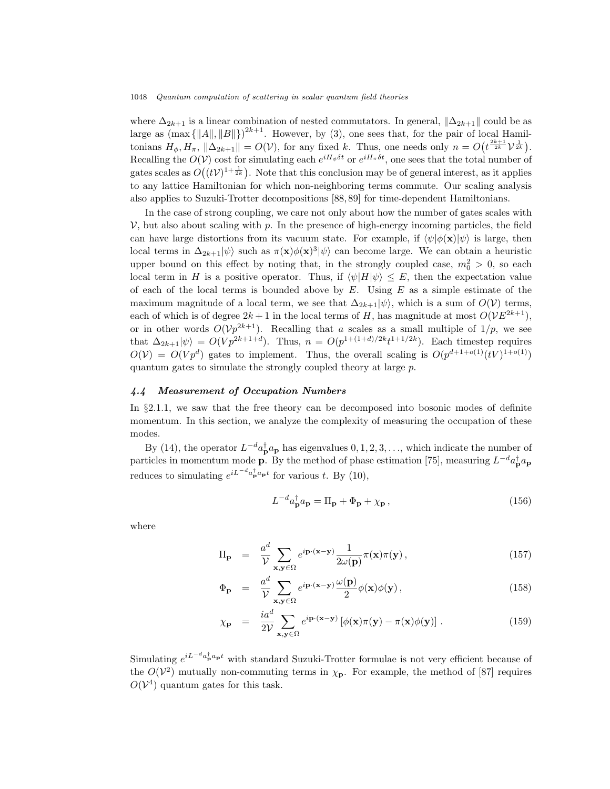where  $\Delta_{2k+1}$  is a linear combination of nested commutators. In general,  $\Delta_{2k+1}$  could be as large as  $(\max\{\Vert A\Vert, \Vert B\Vert\})^{2k+1}$ . However, by (3), one sees that, for the pair of local Hamiltonians  $H_{\phi}, H_{\pi}$ ,  $\|\Delta_{2k+1}\| = O(\mathcal{V})$ , for any fixed k. Thus, one needs only  $n = O(t^{\frac{2k+1}{2k}}\mathcal{V}^{\frac{1}{2k}})$ . Recalling the  $O(V)$  cost for simulating each  $e^{iH_{\phi}\delta t}$  or  $e^{iH_{\pi}\delta t}$ , one sees that the total number of gates scales as  $O((tV)^{1+\frac{1}{2k}})$ . Note that this conclusion may be of general interest, as it applies to any lattice Hamiltonian for which non-neighboring terms commute. Our scaling analysis also applies to Suzuki-Trotter decompositions [88, 89] for time-dependent Hamiltonians.

In the case of strong coupling, we care not only about how the number of gates scales with  $V$ , but also about scaling with p. In the presence of high-energy incoming particles, the field can have large distortions from its vacuum state. For example, if  $\langle \psi | \phi(\mathbf{x}) | \psi \rangle$  is large, then local terms in  $\Delta_{2k+1}|\psi\rangle$  such as  $\pi(\mathbf{x})\phi(\mathbf{x})^3|\psi\rangle$  can become large. We can obtain a heuristic upper bound on this effect by noting that, in the strongly coupled case,  $m_0^2 > 0$ , so each local term in H is a positive operator. Thus, if  $\langle \psi | H | \psi \rangle \leq E$ , then the expectation value of each of the local terms is bounded above by  $E$ . Using  $E$  as a simple estimate of the maximum magnitude of a local term, we see that  $\Delta_{2k+1}|\psi\rangle$ , which is a sum of  $O(\mathcal{V})$  terms, each of which is of degree  $2k+1$  in the local terms of H, has magnitude at most  $O(VE^{2k+1})$ , or in other words  $O(\mathcal{V}^{2k+1})$ . Recalling that a scales as a small multiple of  $1/p$ , we see that  $\Delta_{2k+1}|\psi\rangle = O(Vp^{2k+1+d})$ . Thus,  $n = O(p^{1+(1+d)/2k}t^{1+1/2k})$ . Each timestep requires  $O(V) = O(Vp^d)$  gates to implement. Thus, the overall scaling is  $O(p^{d+1+o(1)}(tV)^{1+o(1)})$ quantum gates to simulate the strongly coupled theory at large p.

### 4.4 Measurement of Occupation Numbers

In §2.1.1, we saw that the free theory can be decomposed into bosonic modes of definite momentum. In this section, we analyze the complexity of measuring the occupation of these modes.

By (14), the operator  $L^{-d}a_{\mathbf{p}}^{\dagger}a_{\mathbf{p}}$  has eigenvalues  $0, 1, 2, 3, \ldots$ , which indicate the number of particles in momentum mode **p**. By the method of phase estimation [75], measuring  $L^{-d}a_{\mathbf{p}}^{\dagger}a_{\mathbf{p}}$ reduces to simulating  $e^{iL^{-d}a_{\mathbf{p}}^{\dagger}a_{\mathbf{p}}t}$  for various t. By (10),

$$
L^{-d}a_{\mathbf{p}}^{\dagger}a_{\mathbf{p}} = \Pi_{\mathbf{p}} + \Phi_{\mathbf{p}} + \chi_{\mathbf{p}}\,,\tag{156}
$$

where

$$
\Pi_{\mathbf{p}} = \frac{a^d}{\mathcal{V}} \sum_{\mathbf{x}, \mathbf{y} \in \Omega} e^{i \mathbf{p} \cdot (\mathbf{x} - \mathbf{y})} \frac{1}{2\omega(\mathbf{p})} \pi(\mathbf{x}) \pi(\mathbf{y}), \qquad (157)
$$

$$
\Phi_{\mathbf{p}} = \frac{a^d}{\mathcal{V}} \sum_{\mathbf{x}, \mathbf{y} \in \Omega} e^{i \mathbf{p} \cdot (\mathbf{x} - \mathbf{y})} \frac{\omega(\mathbf{p})}{2} \phi(\mathbf{x}) \phi(\mathbf{y}), \qquad (158)
$$

$$
\chi_{\mathbf{p}} = \frac{ia^d}{2V} \sum_{\mathbf{x}, \mathbf{y} \in \Omega} e^{i\mathbf{p} \cdot (\mathbf{x} - \mathbf{y})} \left[ \phi(\mathbf{x}) \pi(\mathbf{y}) - \pi(\mathbf{x}) \phi(\mathbf{y}) \right]. \tag{159}
$$

Simulating  $e^{iL^{-d}a_{\mathbf{p}}^{\dagger}a_{\mathbf{p}}t}$  with standard Suzuki-Trotter formulae is not very efficient because of the  $O(V^2)$  mutually non-commuting terms in  $\chi_{\mathbf{p}}$ . For example, the method of [87] requires  $O(V^4)$  quantum gates for this task.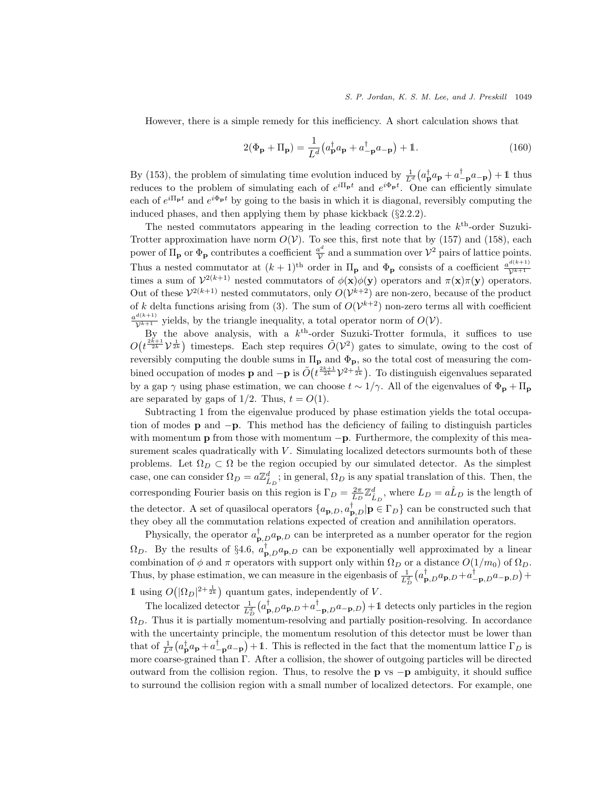However, there is a simple remedy for this inefficiency. A short calculation shows that

$$
2(\Phi_{\mathbf{p}} + \Pi_{\mathbf{p}}) = \frac{1}{L^d} \left( a_{\mathbf{p}}^\dagger a_{\mathbf{p}} + a_{-\mathbf{p}}^\dagger a_{-\mathbf{p}} \right) + \mathbb{1}.
$$
 (160)

By (153), the problem of simulating time evolution induced by  $\frac{1}{L^d} (a_{\mathbf{p}}^{\dagger} a_{\mathbf{p}} + a_{-\mathbf{p}}^{\dagger} a_{-\mathbf{p}}) + 1$  thus reduces to the problem of simulating each of  $e^{i\Pi_{\mathbf{p}}t}$  and  $e^{i\Phi_{\mathbf{p}}t}$ . One can efficiently simulate each of  $e^{i\Pi_{\bf p}t}$  and  $e^{i\Phi_{\bf p}t}$  by going to the basis in which it is diagonal, reversibly computing the induced phases, and then applying them by phase kickback (§2.2.2).

The nested commutators appearing in the leading correction to the  $k<sup>th</sup>$ -order Suzuki-Trotter approximation have norm  $O(V)$ . To see this, first note that by (157) and (158), each power of  $\Pi_{\bf p}$  or  $\Phi_{\bf p}$  contributes a coefficient  $\frac{a^d}{\mathcal{V}}$  and a summation over  $\mathcal{V}^2$  pairs of lattice points. Thus a nested commutator at  $(k + 1)$ <sup>th</sup> order in  $\Pi_p$  and  $\Phi_p$  consists of a coefficient  $\frac{a^{d(k+1)}}{k^{k+1}}$ Thus a nested commutator at  $(\kappa + 1)$  of other in  $\mathbf{H}_{\mathbf{p}}$  and  $\mathbf{\Psi}_{\mathbf{p}}$  consists of a coefficient  $\gamma^{k+1}$  times a sum of  $\gamma^{2(k+1)}$  nested commutators of  $\phi(\mathbf{x})\phi(\mathbf{y})$  operators and  $\pi(\mathbf{x})\pi(\mathbf{y})$  ope Out of these  $\mathcal{V}^{2(k+1)}$  nested commutators, only  $O(\mathcal{V}^{k+2})$  are non-zero, because of the product of k delta functions arising from (3). The sum of  $O(\mathcal{V}^{k+2})$  non-zero terms all with coefficient  $\frac{a^{d(k+1)}}{\mathcal{V}^{k+1}}$  yields, by the triangle inequality, a total operator norm of  $O(\mathcal{V})$ .

By the above analysis, with a  $k<sup>th</sup>$ -order Suzuki-Trotter formula, it suffices to use  $O(t^{\frac{2k+1}{2k}})$  timesteps. Each step requires  $\tilde{O}(V^2)$  gates to simulate, owing to the cost of reversibly computing the double sums in  $\Pi_p$  and  $\Phi_p$ , so the total cost of measuring the combined occupation of modes **p** and  $-p$  is  $\tilde{O}\left(t^{\frac{2k+1}{2k}}\mathcal{V}^{2+\frac{1}{2k}}\right)$ . To distinguish eigenvalues separated by a gap  $\gamma$  using phase estimation, we can choose  $t \sim 1/\gamma$ . All of the eigenvalues of  $\Phi_{\bf p} + \Pi_{\bf p}$ are separated by gaps of  $1/2$ . Thus,  $t = O(1)$ .

Subtracting 1 from the eigenvalue produced by phase estimation yields the total occupation of modes p and −p. This method has the deficiency of failing to distinguish particles with momentum **p** from those with momentum  $-p$ . Furthermore, the complexity of this measurement scales quadratically with  $V$ . Simulating localized detectors surmounts both of these problems. Let  $\Omega_D \subset \Omega$  be the region occupied by our simulated detector. As the simplest case, one can consider  $\Omega_D = a\mathbb{Z}_{\hat{L}_D}^d$ ; in general,  $\Omega_D$  is any spatial translation of this. Then, the corresponding Fourier basis on this region is  $\Gamma_D = \frac{2\pi}{L_D} \mathbb{Z}_{\hat{L}_D}^d$ , where  $L_D = a\hat{L}_D$  is the length of the detector. A set of quasilocal operators  $\{a_{p,D}, a_{p,D}^{\dagger} | p \in \Gamma_D \}$  can be constructed such that they obey all the commutation relations expected of creation and annihilation operators.

Physically, the operator  $a_{\mathbf{p},D}^{\dagger}a_{\mathbf{p},D}$  can be interpreted as a number operator for the region  $\Omega_D$ . By the results of §4.6,  $a_{\mathbf{p},D}^{\dagger}a_{\mathbf{p},D}$  can be exponentially well approximated by a linear combination of  $\phi$  and  $\pi$  operators with support only within  $\Omega_D$  or a distance  $O(1/m_0)$  of  $\Omega_D$ . Thus, by phase estimation, we can measure in the eigenbasis of  $\frac{1}{L_D^d} (a_{\mathbf{p},D}^{\dagger} a_{\mathbf{p},D} + a_{-\mathbf{p},D}^{\dagger} a_{-\mathbf{p},D}) +$ 1 using  $O(|\Omega_D|^{2+\frac{1}{2k}})$  quantum gates, independently of V.

The localized detector  $\frac{1}{L_D^d} (a_{\mathbf{p},D}^{\dagger} a_{\mathbf{p},D} + a_{-\mathbf{p},D}^{\dagger} a_{-\mathbf{p},D}) + 1$  detects only particles in the region  $\Omega_D$ . Thus it is partially momentum-resolving and partially position-resolving. In accordance with the uncertainty principle, the momentum resolution of this detector must be lower than that of  $\frac{1}{L^d} (a_P^{\dagger} a_P + a_{-P}^{\dagger} a_{-P}) + 1$ . This is reflected in the fact that the momentum lattice  $\Gamma_D$  is more coarse-grained than Γ. After a collision, the shower of outgoing particles will be directed outward from the collision region. Thus, to resolve the **p** vs  $-p$  ambiguity, it should suffice to surround the collision region with a small number of localized detectors. For example, one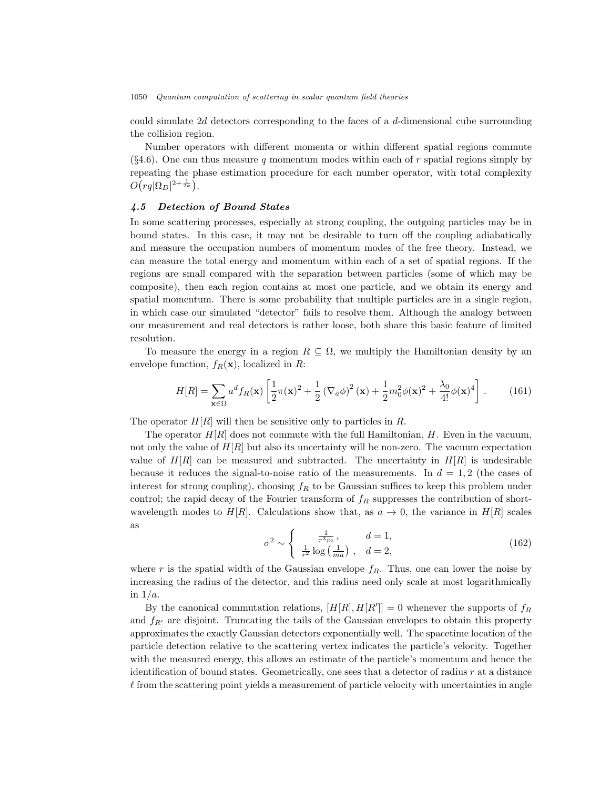could simulate  $2d$  detectors corresponding to the faces of a  $d$ -dimensional cube surrounding the collision region.

Number operators with different momenta or within different spatial regions commute  $(\S 4.6)$ . One can thus measure q momentum modes within each of r spatial regions simply by repeating the phase estimation procedure for each number operator, with total complexity  $O\bigl(rq|\Omega_D|^{2+\frac{1}{2k}}\bigr).$ 

### 4.5 Detection of Bound States

In some scattering processes, especially at strong coupling, the outgoing particles may be in bound states. In this case, it may not be desirable to turn off the coupling adiabatically and measure the occupation numbers of momentum modes of the free theory. Instead, we can measure the total energy and momentum within each of a set of spatial regions. If the regions are small compared with the separation between particles (some of which may be composite), then each region contains at most one particle, and we obtain its energy and spatial momentum. There is some probability that multiple particles are in a single region, in which case our simulated "detector" fails to resolve them. Although the analogy between our measurement and real detectors is rather loose, both share this basic feature of limited resolution.

To measure the energy in a region  $R \subseteq \Omega$ , we multiply the Hamiltonian density by an envelope function,  $f_R(\mathbf{x})$ , localized in R:

$$
H[R] = \sum_{\mathbf{x}\in\Omega} a^d f_R(\mathbf{x}) \left[ \frac{1}{2} \pi(\mathbf{x})^2 + \frac{1}{2} \left( \nabla_a \phi \right)^2 (\mathbf{x}) + \frac{1}{2} m_0^2 \phi(\mathbf{x})^2 + \frac{\lambda_0}{4!} \phi(\mathbf{x})^4 \right].
$$
 (161)

The operator  $H[R]$  will then be sensitive only to particles in R.

The operator  $H[R]$  does not commute with the full Hamiltonian,  $H$ . Even in the vacuum, not only the value of  $H[R]$  but also its uncertainty will be non-zero. The vacuum expectation value of  $H[R]$  can be measured and subtracted. The uncertainty in  $H[R]$  is undesirable because it reduces the signal-to-noise ratio of the measurements. In  $d = 1, 2$  (the cases of interest for strong coupling), choosing  $f_R$  to be Gaussian suffices to keep this problem under control; the rapid decay of the Fourier transform of  $f_R$  suppresses the contribution of shortwavelength modes to  $H|R|$ . Calculations show that, as  $a \to 0$ , the variance in  $H|R|$  scales as

$$
\sigma^2 \sim \begin{cases} \frac{1}{r^3 m}, & d = 1, \\ \frac{1}{r^2} \log \left( \frac{1}{m a} \right), & d = 2, \end{cases}
$$
 (162)

where r is the spatial width of the Gaussian envelope  $f_R$ . Thus, one can lower the noise by increasing the radius of the detector, and this radius need only scale at most logarithmically in  $1/a$ .

By the canonical commutation relations,  $[H[R], H[R']]=0$  whenever the supports of  $f_R$ and  $f_{R'}$  are disjoint. Truncating the tails of the Gaussian envelopes to obtain this property approximates the exactly Gaussian detectors exponentially well. The spacetime location of the particle detection relative to the scattering vertex indicates the particle's velocity. Together with the measured energy, this allows an estimate of the particle's momentum and hence the identification of bound states. Geometrically, one sees that a detector of radius  $r$  at a distance  $\ell$  from the scattering point yields a measurement of particle velocity with uncertainties in angle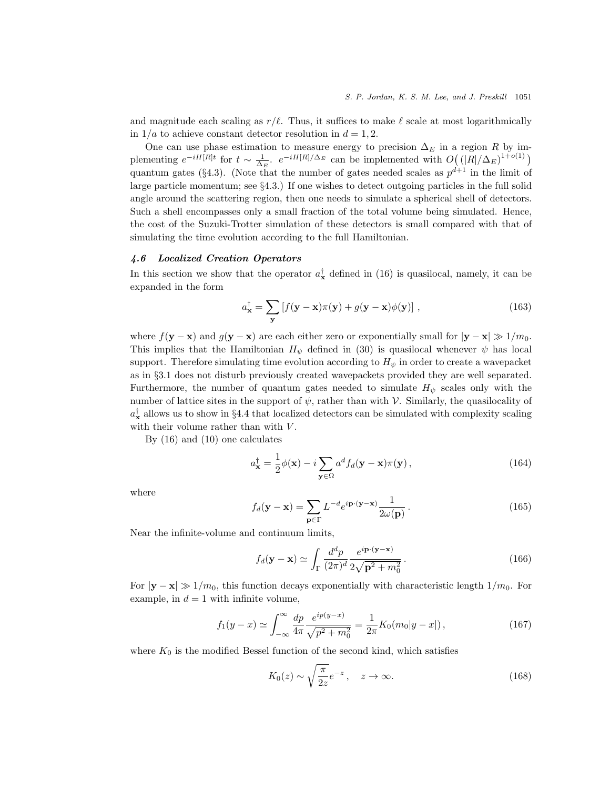and magnitude each scaling as  $r/\ell$ . Thus, it suffices to make  $\ell$  scale at most logarithmically in  $1/a$  to achieve constant detector resolution in  $d = 1, 2$ .

One can use phase estimation to measure energy to precision  $\Delta_E$  in a region R by implementing  $e^{-iH[R]t}$  for  $t \sim \frac{1}{\Delta_E}$ .  $e^{-iH[R]/\Delta_E}$  can be implemented with  $O((|R|/\Delta_E)^{1+o(1)})$ quantum gates (§4.3). (Note that the number of gates needed scales as  $p^{d+1}$  in the limit of large particle momentum; see §4.3.) If one wishes to detect outgoing particles in the full solid angle around the scattering region, then one needs to simulate a spherical shell of detectors. Such a shell encompasses only a small fraction of the total volume being simulated. Hence, the cost of the Suzuki-Trotter simulation of these detectors is small compared with that of simulating the time evolution according to the full Hamiltonian.

# 4.6 Localized Creation Operators

In this section we show that the operator  $a_{\mathbf{x}}^{\dagger}$  defined in (16) is quasilocal, namely, it can be expanded in the form

$$
a_{\mathbf{x}}^{\dagger} = \sum_{\mathbf{y}} \left[ f(\mathbf{y} - \mathbf{x}) \pi(\mathbf{y}) + g(\mathbf{y} - \mathbf{x}) \phi(\mathbf{y}) \right], \qquad (163)
$$

where  $f(\mathbf{y} - \mathbf{x})$  and  $g(\mathbf{y} - \mathbf{x})$  are each either zero or exponentially small for  $|\mathbf{y} - \mathbf{x}| \gg 1/m_0$ . This implies that the Hamiltonian  $H_{\psi}$  defined in (30) is quasilocal whenever  $\psi$  has local support. Therefore simulating time evolution according to  $H_{\psi}$  in order to create a wavepacket as in §3.1 does not disturb previously created wavepackets provided they are well separated. Furthermore, the number of quantum gates needed to simulate  $H_{\psi}$  scales only with the number of lattice sites in the support of  $\psi$ , rather than with V. Similarly, the quasilocality of  $a_{\mathbf{x}}^{\dagger}$  allows us to show in §4.4 that localized detectors can be simulated with complexity scaling with their volume rather than with  $V$ .

By (16) and (10) one calculates

$$
a_{\mathbf{x}}^{\dagger} = \frac{1}{2}\phi(\mathbf{x}) - i \sum_{\mathbf{y} \in \Omega} a^d f_d(\mathbf{y} - \mathbf{x}) \pi(\mathbf{y}), \qquad (164)
$$

where

$$
f_d(\mathbf{y} - \mathbf{x}) = \sum_{\mathbf{p} \in \Gamma} L^{-d} e^{i\mathbf{p} \cdot (\mathbf{y} - \mathbf{x})} \frac{1}{2\omega(\mathbf{p})}.
$$
 (165)

Near the infinite-volume and continuum limits,

$$
f_d(\mathbf{y} - \mathbf{x}) \simeq \int_{\Gamma} \frac{d^d p}{(2\pi)^d} \frac{e^{i\mathbf{p} \cdot (\mathbf{y} - \mathbf{x})}}{2\sqrt{\mathbf{p}^2 + m_0^2}}.
$$
 (166)

For  $|y - x| \gg 1/m_0$ , this function decays exponentially with characteristic length  $1/m_0$ . For example, in  $d = 1$  with infinite volume,

$$
f_1(y-x) \simeq \int_{-\infty}^{\infty} \frac{dp}{4\pi} \frac{e^{ip(y-x)}}{\sqrt{p^2 + m_0^2}} = \frac{1}{2\pi} K_0(m_0|y-x|) , \qquad (167)
$$

where  $K_0$  is the modified Bessel function of the second kind, which satisfies

$$
K_0(z) \sim \sqrt{\frac{\pi}{2z}} e^{-z}, \quad z \to \infty.
$$
 (168)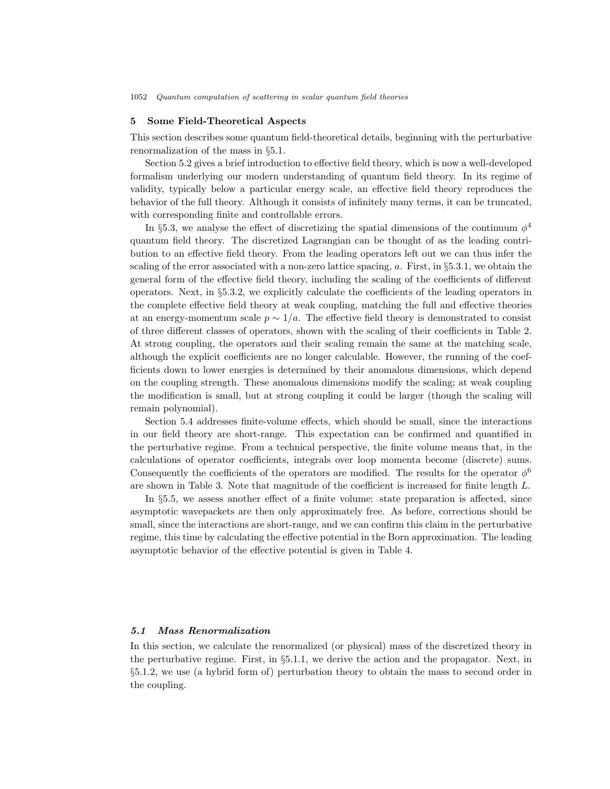# 5 Some Field-Theoretical Aspects

This section describes some quantum field-theoretical details, beginning with the perturbative renormalization of the mass in §5.1.

Section 5.2 gives a brief introduction to effective field theory, which is now a well-developed formalism underlying our modern understanding of quantum field theory. In its regime of validity, typically below a particular energy scale, an effective field theory reproduces the behavior of the full theory. Although it consists of infinitely many terms, it can be truncated, with corresponding finite and controllable errors.

In §5.3, we analyse the effect of discretizing the spatial dimensions of the continuum  $\phi^4$ quantum field theory. The discretized Lagrangian can be thought of as the leading contribution to an effective field theory. From the leading operators left out we can thus infer the scaling of the error associated with a non-zero lattice spacing, a. First, in §5.3.1, we obtain the general form of the effective field theory, including the scaling of the coefficients of different operators. Next, in §5.3.2, we explicitly calculate the coefficients of the leading operators in the complete effective field theory at weak coupling, matching the full and effective theories at an energy-momentum scale  $p \sim 1/a$ . The effective field theory is demonstrated to consist of three different classes of operators, shown with the scaling of their coefficients in Table 2. At strong coupling, the operators and their scaling remain the same at the matching scale, although the explicit coefficients are no longer calculable. However, the running of the coefficients down to lower energies is determined by their anomalous dimensions, which depend on the coupling strength. These anomalous dimensions modify the scaling; at weak coupling the modification is small, but at strong coupling it could be larger (though the scaling will remain polynomial).

Section 5.4 addresses finite-volume effects, which should be small, since the interactions in our field theory are short-range. This expectation can be confirmed and quantified in the perturbative regime. From a technical perspective, the finite volume means that, in the calculations of operator coefficients, integrals over loop momenta become (discrete) sums. Consequently the coefficients of the operators are modified. The results for the operator  $\phi^6$ are shown in Table 3. Note that magnitude of the coefficient is increased for finite length L.

In §5.5, we assess another effect of a finite volume: state preparation is affected, since asymptotic wavepackets are then only approximately free. As before, corrections should be small, since the interactions are short-range, and we can confirm this claim in the perturbative regime, this time by calculating the effective potential in the Born approximation. The leading asymptotic behavior of the effective potential is given in Table 4.

### 5.1 Mass Renormalization

In this section, we calculate the renormalized (or physical) mass of the discretized theory in the perturbative regime. First, in §5.1.1, we derive the action and the propagator. Next, in §5.1.2, we use (a hybrid form of) perturbation theory to obtain the mass to second order in the coupling.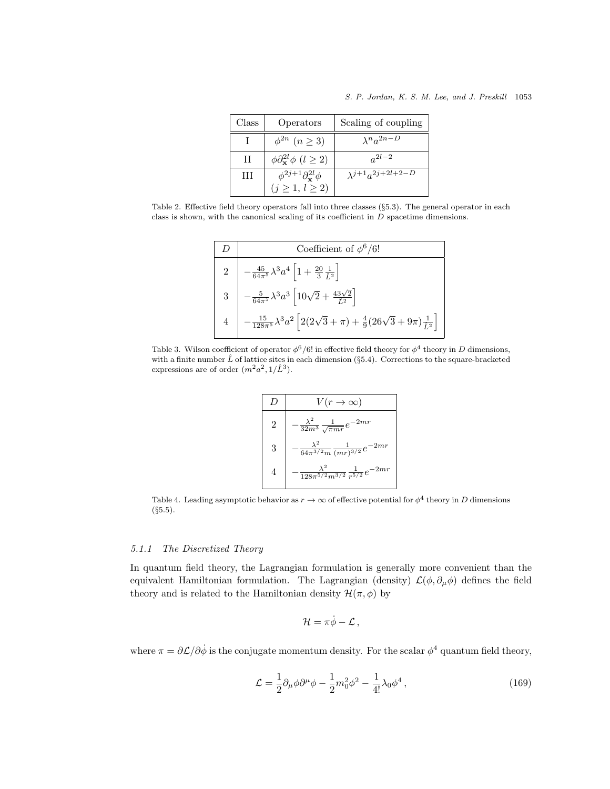| Class | Operators                                           | Scaling of coupling          |
|-------|-----------------------------------------------------|------------------------------|
|       | $\phi^{2n}$ $(n \geq 3)$                            | $\lambda^n a^{2n-D}$         |
| H     | $\phi \partial_{\mathbf{x}}^{2l} \phi$ $(l \geq 2)$ | $a^{2l-2}$                   |
| Ш     | $\phi^{2j+1}\partial_{\mathbf{x}}^{2l}\phi$         | $\lambda^{j+1}a^{2j+2l+2-D}$ |
|       | $(j \geq 1, l \geq 2)$                              |                              |

Table 2. Effective field theory operators fall into three classes (§5.3). The general operator in each class is shown, with the canonical scaling of its coefficient in  $D$  spacetime dimensions.

$$
\begin{array}{|c|c|} \hline D & \text{Coefficient of } \phi^6/6! \\ \hline 2 & -\frac{45}{64\pi^5} \lambda^3 a^4 \left[ 1 + \frac{20}{3} \frac{1}{\hat{L}^2} \right] \\ 3 & -\frac{5}{64\pi^5} \lambda^3 a^3 \left[ 10\sqrt{2} + \frac{43\sqrt{2}}{\hat{L}^2} \right] \\ 4 & -\frac{15}{128\pi^5} \lambda^3 a^2 \left[ 2(2\sqrt{3} + \pi) + \frac{4}{9} (26\sqrt{3} + 9\pi) \frac{1}{\hat{L}^2} \right] \end{array}
$$

Table 3. Wilson coefficient of operator  $\phi^6/6!$  in effective field theory for  $\phi^4$  theory in D dimensions, with a finite number  $\hat{L}$  of lattice sites in each dimension (§5.4). Corrections to the square-bracketed expressions are of order  $(m^2a^2, 1/\hat{L}^3)$ .

$$
\begin{array}{|c|c|} \hline D & V(r \to \infty) \\ \hline 2 & -\frac{\lambda^2}{32m^3} \frac{1}{\sqrt{\pi m r}} e^{-2mr} \\ 3 & -\frac{\lambda^2}{64\pi^{3/2}m} \frac{1}{(mr)^{3/2}} e^{-2mr} \\ 4 & -\frac{\lambda^2}{128\pi^{5/2}m^{3/2}} \frac{1}{r^{5/2}} e^{-2mr} \\ \hline \end{array}
$$

Table 4. Leading asymptotic behavior as  $r \to \infty$  of effective potential for  $\phi^4$  theory in D dimensions (§5.5).

### 5.1.1 The Discretized Theory

In quantum field theory, the Lagrangian formulation is generally more convenient than the equivalent Hamiltonian formulation. The Lagrangian (density)  $\mathcal{L}(\phi, \partial_{\mu}\phi)$  defines the field theory and is related to the Hamiltonian density  $\mathcal{H}(\pi,\phi)$  by

$$
\mathcal{H}=\pi\dot{\phi}-\mathcal{L}\,,
$$

where  $\pi = \partial \mathcal{L}/\partial \dot{\phi}$  is the conjugate momentum density. For the scalar  $\phi^4$  quantum field theory,

$$
\mathcal{L} = \frac{1}{2} \partial_{\mu} \phi \partial^{\mu} \phi - \frac{1}{2} m_0^2 \phi^2 - \frac{1}{4!} \lambda_0 \phi^4 , \qquad (169)
$$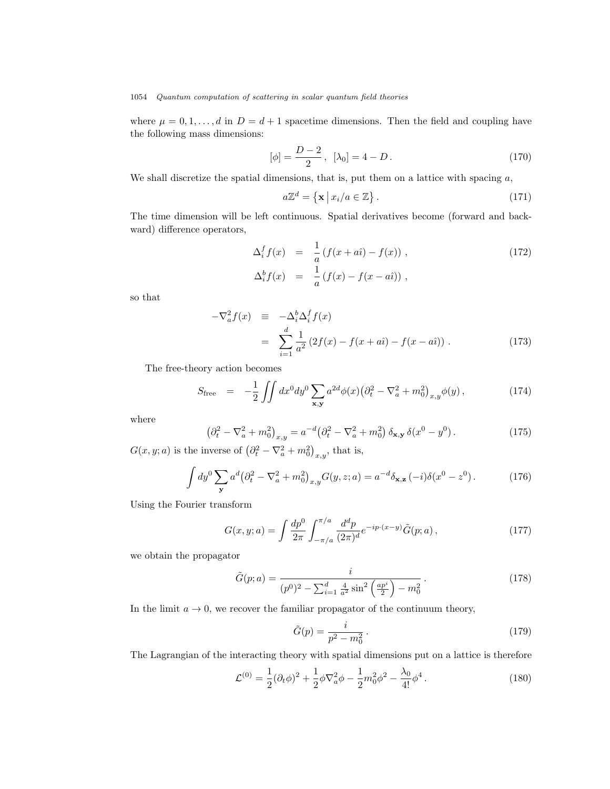where  $\mu = 0, 1, \ldots, d$  in  $D = d + 1$  spacetime dimensions. Then the field and coupling have the following mass dimensions:

$$
[\phi] = \frac{D-2}{2}, \ [\lambda_0] = 4 - D. \tag{170}
$$

We shall discretize the spatial dimensions, that is, put them on a lattice with spacing  $a$ ,

$$
a\mathbb{Z}^d = \{ \mathbf{x} \mid x_i/a \in \mathbb{Z} \}.
$$
 (171)

The time dimension will be left continuous. Spatial derivatives become (forward and backward) difference operators,

$$
\Delta_i^f f(x) = \frac{1}{a} \left( f(x + a\hat{i}) - f(x) \right),
$$
\n
$$
\Delta_i^b f(x) = \frac{1}{a} \left( f(x) - f(x - a\hat{i}) \right),
$$
\n(172)

so that

$$
-\nabla_a^2 f(x) = -\Delta_i^b \Delta_i^f f(x)
$$
  
= 
$$
\sum_{i=1}^d \frac{1}{a^2} (2f(x) - f(x + a\hat{i}) - f(x - a\hat{i})).
$$
 (173)

The free-theory action becomes

$$
S_{\text{free}} = -\frac{1}{2} \iint dx^0 dy^0 \sum_{\mathbf{x}, \mathbf{y}} a^{2d} \phi(x) \left( \partial_t^2 - \nabla_a^2 + m_0^2 \right)_{x, y} \phi(y) , \qquad (174)
$$

where

$$
\left(\partial_t^2 - \nabla_a^2 + m_0^2\right)_{x,y} = a^{-d} \left(\partial_t^2 - \nabla_a^2 + m_0^2\right) \delta_{\mathbf{x},\mathbf{y}} \delta(x^0 - y^0). \tag{175}
$$

 $G(x, y; a)$  is the inverse of  $(\partial_t^2 - \nabla_a^2 + m_0^2)_{x, y}$ , that is,

$$
\int dy^0 \sum_{\mathbf{y}} a^d \left(\partial_t^2 - \nabla_a^2 + m_0^2\right)_{x,y} G(y, z; a) = a^{-d} \delta_{\mathbf{x},\mathbf{z}} (-i) \delta(x^0 - z^0). \tag{176}
$$

Using the Fourier transform

$$
G(x, y; a) = \int \frac{dp^0}{2\pi} \int_{-\pi/a}^{\pi/a} \frac{d^d p}{(2\pi)^d} e^{-ip \cdot (x-y)} \tilde{G}(p; a) , \qquad (177)
$$

we obtain the propagator

$$
\tilde{G}(p;a) = \frac{i}{(p^0)^2 - \sum_{i=1}^d \frac{4}{a^2} \sin^2\left(\frac{ap^i}{2}\right) - m_0^2}.
$$
\n(178)

In the limit  $a \to 0$ , we recover the familiar propagator of the continuum theory,

$$
\tilde{G}(p) = \frac{i}{p^2 - m_0^2} \,. \tag{179}
$$

The Lagrangian of the interacting theory with spatial dimensions put on a lattice is therefore

$$
\mathcal{L}^{(0)} = \frac{1}{2} (\partial_t \phi)^2 + \frac{1}{2} \phi \nabla_a^2 \phi - \frac{1}{2} m_0^2 \phi^2 - \frac{\lambda_0}{4!} \phi^4.
$$
 (180)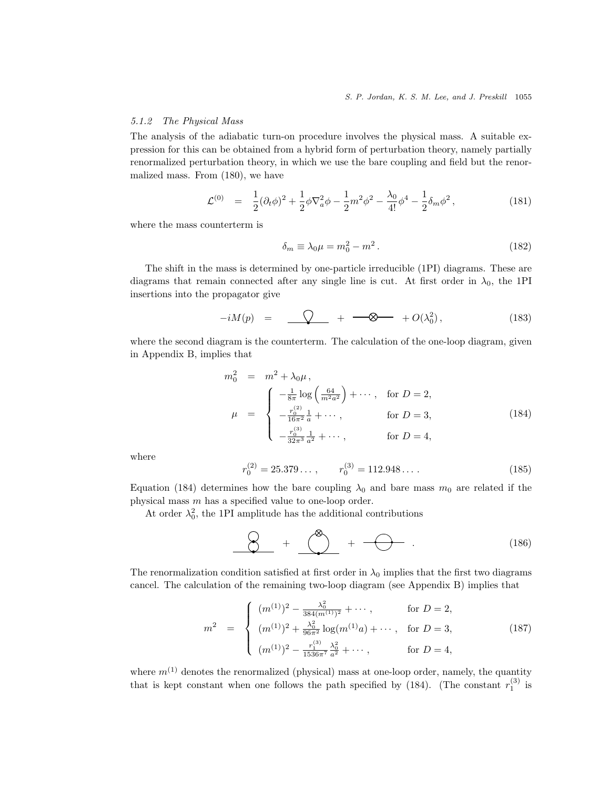# 5.1.2 The Physical Mass

The analysis of the adiabatic turn-on procedure involves the physical mass. A suitable expression for this can be obtained from a hybrid form of perturbation theory, namely partially renormalized perturbation theory, in which we use the bare coupling and field but the renormalized mass. From (180), we have

$$
\mathcal{L}^{(0)} = \frac{1}{2} (\partial_t \phi)^2 + \frac{1}{2} \phi \nabla_a^2 \phi - \frac{1}{2} m^2 \phi^2 - \frac{\lambda_0}{4!} \phi^4 - \frac{1}{2} \delta_m \phi^2, \qquad (181)
$$

where the mass counterterm is

$$
\delta_m \equiv \lambda_0 \mu = m_0^2 - m^2. \tag{182}
$$

The shift in the mass is determined by one-particle irreducible (1PI) diagrams. These are diagrams that remain connected after any single line is cut. At first order in  $\lambda_0$ , the 1PI insertions into the propagator give

$$
-iM(p) = \underline{\bigcirc} + \underline{\longrightarrow} + O(\lambda_0^2), \qquad (183)
$$

where the second diagram is the counterterm. The calculation of the one-loop diagram, given in Appendix B, implies that

$$
m_0^2 = m^2 + \lambda_0 \mu,
$$
  
\n
$$
\mu = \begin{cases}\n-\frac{1}{8\pi} \log \left( \frac{64}{m^2 a^2} \right) + \cdots, & \text{for } D = 2, \\
-\frac{r_0^{(2)}}{16\pi^2} \frac{1}{a} + \cdots, & \text{for } D = 3, \\
-\frac{r_0^{(3)}}{32\pi^3} \frac{1}{a^2} + \cdots, & \text{for } D = 4,\n\end{cases}
$$
\n(184)

where

$$
r_0^{(2)} = 25.379\dots, \qquad r_0^{(3)} = 112.948\dots \tag{185}
$$

Equation (184) determines how the bare coupling  $\lambda_0$  and bare mass  $m_0$  are related if the physical mass m has a specified value to one-loop order.

At order  $\lambda_0^2$ , the 1PI amplitude has the additional contributions

$$
\bigotimes + \bigotimes^{\otimes} + \longrightarrow + \longrightarrow . \tag{186}
$$

The renormalization condition satisfied at first order in  $\lambda_0$  implies that the first two diagrams cancel. The calculation of the remaining two-loop diagram (see Appendix B) implies that

$$
m^{2} = \begin{cases} (m^{(1)})^{2} - \frac{\lambda_{0}^{2}}{384(m^{(1)})^{2}} + \cdots, & \text{for } D = 2, \\ (m^{(1)})^{2} + \frac{\lambda_{0}^{2}}{96\pi^{2}} \log(m^{(1)}a) + \cdots, & \text{for } D = 3, \\ (m^{(1)})^{2} - \frac{r_{1}^{(3)}}{1536\pi^{7}} \frac{\lambda_{0}^{2}}{a^{2}} + \cdots, & \text{for } D = 4, \end{cases}
$$
(187)

where  $m^{(1)}$  denotes the renormalized (physical) mass at one-loop order, namely, the quantity that is kept constant when one follows the path specified by (184). (The constant  $r_1^{(3)}$  is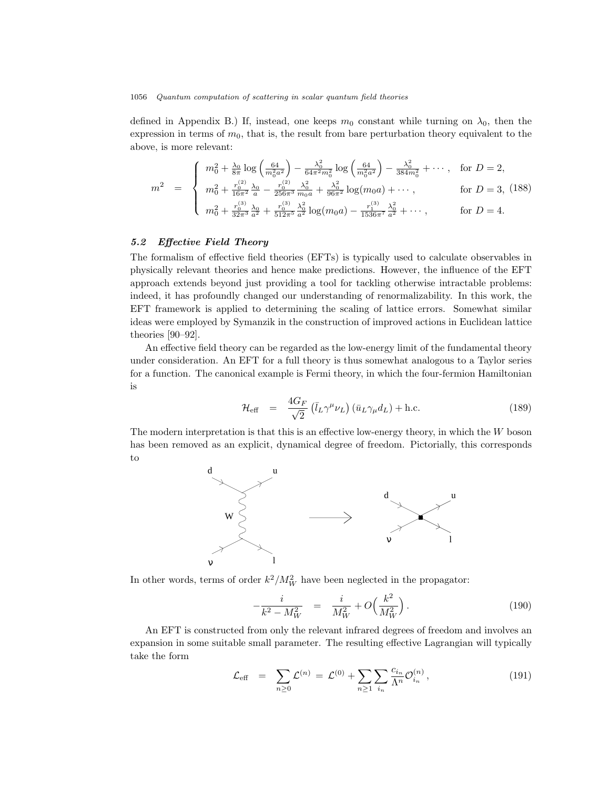defined in Appendix B.) If, instead, one keeps  $m_0$  constant while turning on  $\lambda_0$ , then the expression in terms of  $m_0$ , that is, the result from bare perturbation theory equivalent to the above, is more relevant:

$$
m^{2} = \begin{cases} m_{0}^{2} + \frac{\lambda_{0}}{8\pi} \log\left(\frac{64}{m_{0}^{2}a^{2}}\right) - \frac{\lambda_{0}^{2}}{64\pi^{2}m_{0}^{2}} \log\left(\frac{64}{m_{0}^{2}a^{2}}\right) - \frac{\lambda_{0}^{2}}{384m_{0}^{2}} + \cdots, \text{ for } D = 2, \\ m_{0}^{2} + \frac{r_{0}^{(2)}}{16\pi^{2}} \frac{\lambda_{0}}{a} - \frac{r_{0}^{(2)}}{256\pi^{3}} \frac{\lambda_{0}^{2}}{m_{0}a} + \frac{\lambda_{0}^{2}}{96\pi^{2}} \log(m_{0}a) + \cdots, \text{ for } D = 3, (188) \\ m_{0}^{2} + \frac{r_{0}^{(3)}}{32\pi^{3}} \frac{\lambda_{0}}{a^{2}} + \frac{r_{0}^{(3)}}{512\pi^{5}} \frac{\lambda_{0}^{2}}{a^{2}} \log(m_{0}a) - \frac{r_{1}^{(3)}}{1536\pi^{7}} \frac{\lambda_{0}^{2}}{a^{2}} + \cdots, \text{ for } D = 4. \end{cases}
$$

# 5.2 Effective Field Theory

The formalism of effective field theories (EFTs) is typically used to calculate observables in physically relevant theories and hence make predictions. However, the influence of the EFT approach extends beyond just providing a tool for tackling otherwise intractable problems: indeed, it has profoundly changed our understanding of renormalizability. In this work, the EFT framework is applied to determining the scaling of lattice errors. Somewhat similar ideas were employed by Symanzik in the construction of improved actions in Euclidean lattice theories [90–92].

An effective field theory can be regarded as the low-energy limit of the fundamental theory under consideration. An EFT for a full theory is thus somewhat analogous to a Taylor series for a function. The canonical example is Fermi theory, in which the four-fermion Hamiltonian is

$$
\mathcal{H}_{\text{eff}} = \frac{4G_F}{\sqrt{2}} \left( \bar{l}_L \gamma^\mu \nu_L \right) \left( \bar{u}_L \gamma_\mu d_L \right) + \text{h.c.}
$$
\n(189)

The modern interpretation is that this is an effective low-energy theory, in which the  $W$  boson has been removed as an explicit, dynamical degree of freedom. Pictorially, this corresponds to



In other words, terms of order  $k^2/M_W^2$  have been neglected in the propagator:

$$
-\frac{i}{k^2 - M_W^2} = \frac{i}{M_W^2} + O\left(\frac{k^2}{M_W^2}\right). \tag{190}
$$

An EFT is constructed from only the relevant infrared degrees of freedom and involves an expansion in some suitable small parameter. The resulting effective Lagrangian will typically take the form

$$
\mathcal{L}_{\text{eff}} = \sum_{n \ge 0} \mathcal{L}^{(n)} = \mathcal{L}^{(0)} + \sum_{n \ge 1} \sum_{i_n} \frac{c_{i_n}}{\Lambda^n} \mathcal{O}_{i_n}^{(n)}, \qquad (191)
$$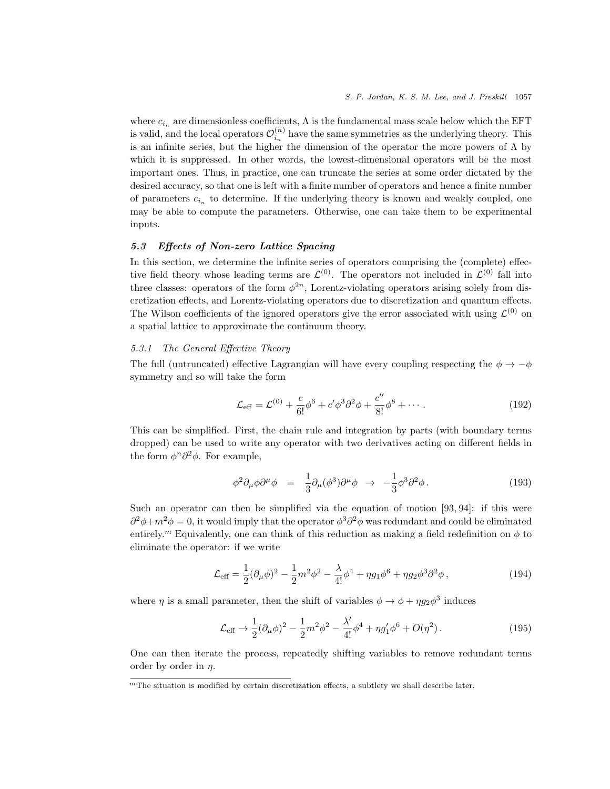where  $c_{i_n}$  are dimensionless coefficients,  $\Lambda$  is the fundamental mass scale below which the EFT is valid, and the local operators  $\mathcal{O}_{i_n}^{(n)}$  have the same symmetries as the underlying theory. This is an infinite series, but the higher the dimension of the operator the more powers of  $\Lambda$  by which it is suppressed. In other words, the lowest-dimensional operators will be the most important ones. Thus, in practice, one can truncate the series at some order dictated by the desired accuracy, so that one is left with a finite number of operators and hence a finite number of parameters  $c_{i_n}$  to determine. If the underlying theory is known and weakly coupled, one may be able to compute the parameters. Otherwise, one can take them to be experimental inputs.

# 5.3 Effects of Non-zero Lattice Spacing

In this section, we determine the infinite series of operators comprising the (complete) effective field theory whose leading terms are  $\mathcal{L}^{(0)}$ . The operators not included in  $\mathcal{L}^{(0)}$  fall into three classes: operators of the form  $\phi^{2n}$ , Lorentz-violating operators arising solely from discretization effects, and Lorentz-violating operators due to discretization and quantum effects. The Wilson coefficients of the ignored operators give the error associated with using  $\mathcal{L}^{(0)}$  on a spatial lattice to approximate the continuum theory.

# 5.3.1 The General Effective Theory

The full (untruncated) effective Lagrangian will have every coupling respecting the  $\phi \to -\phi$ symmetry and so will take the form

$$
\mathcal{L}_{\text{eff}} = \mathcal{L}^{(0)} + \frac{c}{6!} \phi^6 + c' \phi^3 \partial^2 \phi + \frac{c''}{8!} \phi^8 + \cdots
$$
 (192)

This can be simplified. First, the chain rule and integration by parts (with boundary terms dropped) can be used to write any operator with two derivatives acting on different fields in the form  $\phi^n \partial^2 \phi$ . For example,

$$
\phi^2 \partial_\mu \phi \partial^\mu \phi = \frac{1}{3} \partial_\mu (\phi^3) \partial^\mu \phi \rightarrow -\frac{1}{3} \phi^3 \partial^2 \phi. \tag{193}
$$

Such an operator can then be simplified via the equation of motion [93, 94]: if this were  $\partial^2 \phi + m^2 \phi = 0$ , it would imply that the operator  $\phi^3 \partial^2 \phi$  was redundant and could be eliminated entirely.<sup>m</sup> Equivalently, one can think of this reduction as making a field redefinition on  $\phi$  to eliminate the operator: if we write

$$
\mathcal{L}_{\text{eff}} = \frac{1}{2} (\partial_{\mu} \phi)^2 - \frac{1}{2} m^2 \phi^2 - \frac{\lambda}{4!} \phi^4 + \eta g_1 \phi^6 + \eta g_2 \phi^3 \partial^2 \phi \,, \tag{194}
$$

where  $\eta$  is a small parameter, then the shift of variables  $\phi \to \phi + \eta g_2 \phi^3$  induces

$$
\mathcal{L}_{\text{eff}} \to \frac{1}{2} (\partial_{\mu} \phi)^2 - \frac{1}{2} m^2 \phi^2 - \frac{\lambda'}{4!} \phi^4 + \eta g_1' \phi^6 + O(\eta^2). \tag{195}
$$

One can then iterate the process, repeatedly shifting variables to remove redundant terms order by order in  $\eta$ .

 ${}^m$ The situation is modified by certain discretization effects, a subtlety we shall describe later.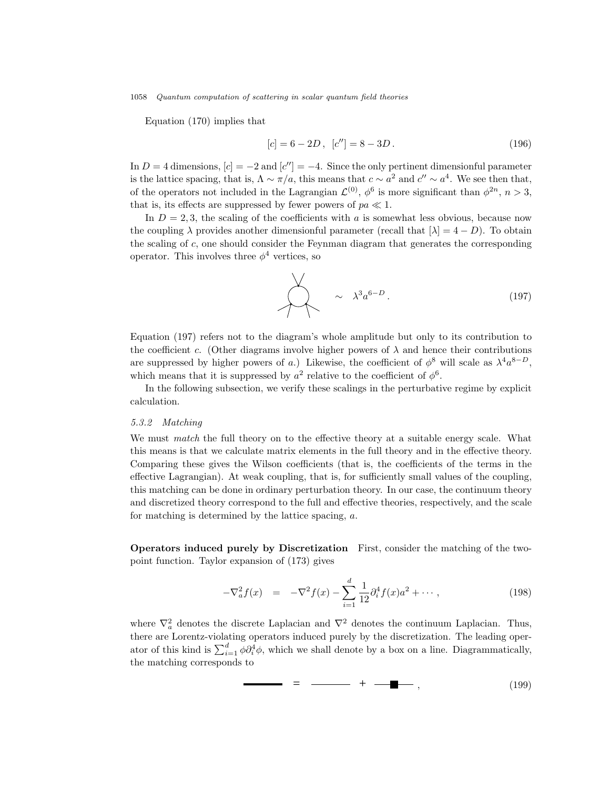Equation (170) implies that

$$
[c] = 6 - 2D, \ [c''] = 8 - 3D. \tag{196}
$$

In  $D = 4$  dimensions,  $[c] = -2$  and  $[c''] = -4$ . Since the only pertinent dimensionful parameter is the lattice spacing, that is,  $\Lambda \sim \pi/a$ , this means that  $c \sim a^2$  and  $c'' \sim a^4$ . We see then that, of the operators not included in the Lagrangian  $\mathcal{L}^{(0)}$ ,  $\phi^6$  is more significant than  $\phi^{2n}$ ,  $n > 3$ , that is, its effects are suppressed by fewer powers of  $pa \ll 1$ .

In  $D = 2, 3$ , the scaling of the coefficients with a is somewhat less obvious, because now the coupling  $\lambda$  provides another dimensionful parameter (recall that  $[\lambda] = 4 - D$ ). To obtain the scaling of c, one should consider the Feynman diagram that generates the corresponding operator. This involves three  $\phi^4$  vertices, so

$$
\sim \lambda^3 a^{6-D}.
$$
 (197)

Equation (197) refers not to the diagram's whole amplitude but only to its contribution to the coefficient c. (Other diagrams involve higher powers of  $\lambda$  and hence their contributions are suppressed by higher powers of a.) Likewise, the coefficient of  $\phi^8$  will scale as  $\lambda^4 a^{8-D}$ , which means that it is suppressed by  $a^2$  relative to the coefficient of  $\phi^6$ .

In the following subsection, we verify these scalings in the perturbative regime by explicit calculation.

#### 5.3.2 Matching

We must *match* the full theory on to the effective theory at a suitable energy scale. What this means is that we calculate matrix elements in the full theory and in the effective theory. Comparing these gives the Wilson coefficients (that is, the coefficients of the terms in the effective Lagrangian). At weak coupling, that is, for sufficiently small values of the coupling, this matching can be done in ordinary perturbation theory. In our case, the continuum theory and discretized theory correspond to the full and effective theories, respectively, and the scale for matching is determined by the lattice spacing, a.

Operators induced purely by Discretization First, consider the matching of the twopoint function. Taylor expansion of (173) gives

$$
-\nabla_a^2 f(x) = -\nabla^2 f(x) - \sum_{i=1}^d \frac{1}{12} \partial_i^4 f(x) a^2 + \cdots, \qquad (198)
$$

where  $\nabla_a^2$  denotes the discrete Laplacian and  $\nabla^2$  denotes the continuum Laplacian. Thus, there are Lorentz-violating operators induced purely by the discretization. The leading operator of this kind is  $\sum_{i=1}^{d} \phi \partial_i^4 \phi$ , which we shall denote by a box on a line. Diagrammatically, the matching corresponds to

= + , (199)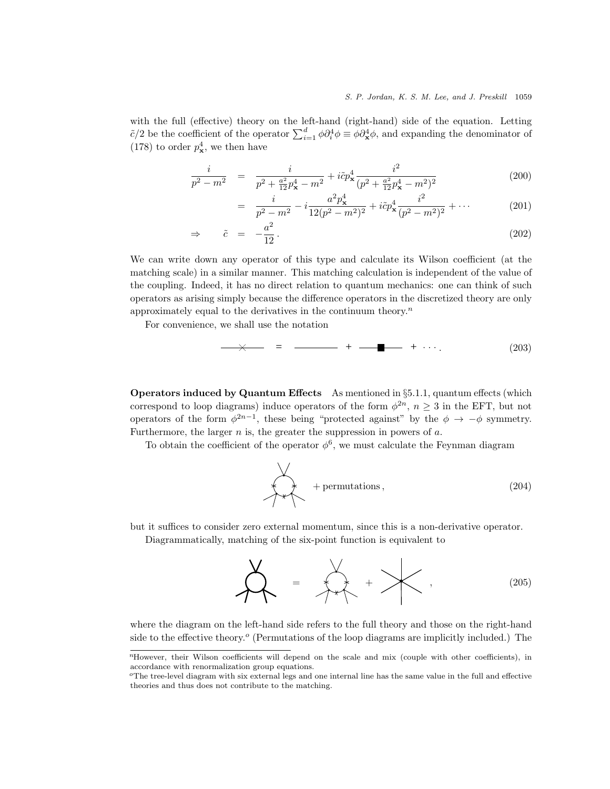with the full (effective) theory on the left-hand (right-hand) side of the equation. Letting  $\tilde{c}/2$  be the coefficient of the operator  $\sum_{i=1}^d \phi \partial_i^4 \phi \equiv \phi \partial_x^4 \phi$ , and expanding the denominator of (178) to order  $p_{\mathbf{x}}^4$ , we then have

$$
\frac{i}{p^2 - m^2} = \frac{i}{p^2 + \frac{a^2}{12}p_x^4 - m^2} + i\tilde{c}p_x^4 \frac{i^2}{(p^2 + \frac{a^2}{12}p_x^4 - m^2)^2}
$$
(200)

$$
= \frac{i}{p^2 - m^2} - i \frac{a^2 p_{\mathbf{x}}^4}{12(p^2 - m^2)^2} + i \tilde{c} p_{\mathbf{x}}^4 \frac{i^2}{(p^2 - m^2)^2} + \cdots
$$
 (201)

$$
\Rightarrow \qquad \tilde{c} = -\frac{a^2}{12} \,. \tag{202}
$$

We can write down any operator of this type and calculate its Wilson coefficient (at the matching scale) in a similar manner. This matching calculation is independent of the value of the coupling. Indeed, it has no direct relation to quantum mechanics: one can think of such operators as arising simply because the difference operators in the discretized theory are only approximately equal to the derivatives in the continuum theory.<sup> $n$ </sup>

For convenience, we shall use the notation

= + + . (203)

**Operators induced by Quantum Effects** As mentioned in  $\S 5.1.1$ , quantum effects (which correspond to loop diagrams) induce operators of the form  $\phi^{2n}$ ,  $n \geq 3$  in the EFT, but not operators of the form  $\phi^{2n-1}$ , these being "protected against" by the  $\phi \to -\phi$  symmetry. Furthermore, the larger  $n$  is, the greater the suppression in powers of  $a$ .

To obtain the coefficient of the operator  $\phi^6$ , we must calculate the Feynman diagram

$$
+ permutations,
$$
\n(204)

but it suffices to consider zero external momentum, since this is a non-derivative operator.

Diagrammatically, matching of the six-point function is equivalent to

$$
\sum_{i=1}^{N} \left| \frac{1}{i} \right| \left| \frac{1}{i} \right| \left| \frac{1}{i} \right| \left| \frac{1}{i} \right| \left| \frac{1}{i} \right| \left| \frac{1}{i} \right| \left| \frac{1}{i} \right| \left| \frac{1}{i} \right| \left| \frac{1}{i} \right| \left| \frac{1}{i} \right| \left| \frac{1}{i} \right| \left| \frac{1}{i} \right| \left| \frac{1}{i} \right| \left| \frac{1}{i} \right| \left| \frac{1}{i} \right| \left| \frac{1}{i} \right| \left| \frac{1}{i} \right| \left| \frac{1}{i} \right| \left| \frac{1}{i} \right| \left| \frac{1}{i} \right| \left| \frac{1}{i} \right| \left| \frac{1}{i} \right| \left| \frac{1}{i} \right| \left| \frac{1}{i} \right| \left| \frac{1}{i} \right| \left| \frac{1}{i} \right| \left| \frac{1}{i} \right| \left| \frac{1}{i} \right| \left| \frac{1}{i} \right| \left| \frac{1}{i} \right| \left| \frac{1}{i} \right| \left| \frac{1}{i} \right| \left| \frac{1}{i} \right| \left| \frac{1}{i} \right| \left| \frac{1}{i} \right| \left| \frac{1}{i} \right| \left| \frac{1}{i} \right| \left| \frac{1}{i} \right| \left| \frac{1}{i} \right| \left| \frac{1}{i} \right| \left| \frac{1}{i} \right| \left| \frac{1}{i} \right| \left| \frac{1}{i} \right| \left| \frac{1}{i} \right| \left| \frac{1}{i} \right| \left| \frac{1}{i} \right| \left| \frac{1}{i} \right| \left| \frac{1}{i} \right| \left| \frac{1}{i} \right| \left| \frac{1}{i} \right| \left| \frac{1}{i} \right| \left| \frac{1}{i} \right| \left| \frac{1}{i} \right| \left| \frac{1}{i} \right| \left| \frac{1}{i} \right| \left| \frac{1}{i} \right| \left| \frac{1}{i} \right| \left| \frac{1}{i
$$

where the diagram on the left-hand side refers to the full theory and those on the right-hand side to the effective theory.<sup>o</sup> (Permutations of the loop diagrams are implicitly included.) The

<sup>&</sup>lt;sup>n</sup>However, their Wilson coefficients will depend on the scale and mix (couple with other coefficients), in accordance with renormalization group equations.

 $\sigma$ The tree-level diagram with six external legs and one internal line has the same value in the full and effective theories and thus does not contribute to the matching.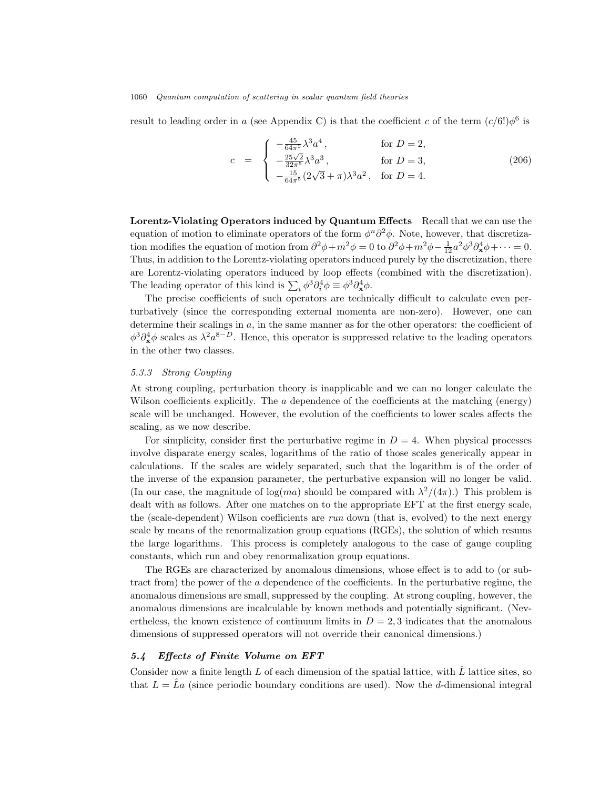result to leading order in a (see Appendix C) is that the coefficient c of the term  $(c/6!) \phi^6$  is

$$
c = \begin{cases} -\frac{45}{64\pi^5} \lambda^3 a^4, & \text{for } D = 2, \\ -\frac{25\sqrt{2}}{32\pi^5} \lambda^3 a^3, & \text{for } D = 3, \\ -\frac{15}{64\pi^5} (2\sqrt{3} + \pi) \lambda^3 a^2, & \text{for } D = 4. \end{cases}
$$
(206)

Lorentz-Violating Operators induced by Quantum Effects Recall that we can use the equation of motion to eliminate operators of the form  $\phi^n \partial^2 \phi$ . Note, however, that discretization modifies the equation of motion from  $\partial^2 \phi + m^2 \phi = 0$  to  $\partial^2 \phi + m^2 \phi - \frac{1}{12} a^2 \phi^3 \partial_x^4 \phi + \cdots = 0$ . Thus, in addition to the Lorentz-violating operators induced purely by the discretization, there are Lorentz-violating operators induced by loop effects (combined with the discretization). The leading operator of this kind is  $\sum_i \phi^3 \partial_i^4 \phi \equiv \phi^3 \partial_{\mathbf{x}}^4 \phi$ .

The precise coefficients of such operators are technically difficult to calculate even perturbatively (since the corresponding external momenta are non-zero). However, one can determine their scalings in  $a$ , in the same manner as for the other operators: the coefficient of  $\phi^3 \partial_x^4 \phi$  scales as  $\lambda^2 a^{8-D}$ . Hence, this operator is suppressed relative to the leading operators in the other two classes.

#### 5.3.3 Strong Coupling

At strong coupling, perturbation theory is inapplicable and we can no longer calculate the Wilson coefficients explicitly. The  $\alpha$  dependence of the coefficients at the matching (energy) scale will be unchanged. However, the evolution of the coefficients to lower scales affects the scaling, as we now describe.

For simplicity, consider first the perturbative regime in  $D = 4$ . When physical processes involve disparate energy scales, logarithms of the ratio of those scales generically appear in calculations. If the scales are widely separated, such that the logarithm is of the order of the inverse of the expansion parameter, the perturbative expansion will no longer be valid. (In our case, the magnitude of  $log(ma)$  should be compared with  $\lambda^2/(4\pi)$ .) This problem is dealt with as follows. After one matches on to the appropriate EFT at the first energy scale, the (scale-dependent) Wilson coefficients are run down (that is, evolved) to the next energy scale by means of the renormalization group equations (RGEs), the solution of which resums the large logarithms. This process is completely analogous to the case of gauge coupling constants, which run and obey renormalization group equations.

The RGEs are characterized by anomalous dimensions, whose effect is to add to (or subtract from) the power of the a dependence of the coefficients. In the perturbative regime, the anomalous dimensions are small, suppressed by the coupling. At strong coupling, however, the anomalous dimensions are incalculable by known methods and potentially significant. (Nevertheless, the known existence of continuum limits in  $D = 2, 3$  indicates that the anomalous dimensions of suppressed operators will not override their canonical dimensions.)

### 5.4 Effects of Finite Volume on EFT

Consider now a finite length L of each dimension of the spatial lattice, with  $\hat{L}$  lattice sites, so that  $L = \hat{L}a$  (since periodic boundary conditions are used). Now the d-dimensional integral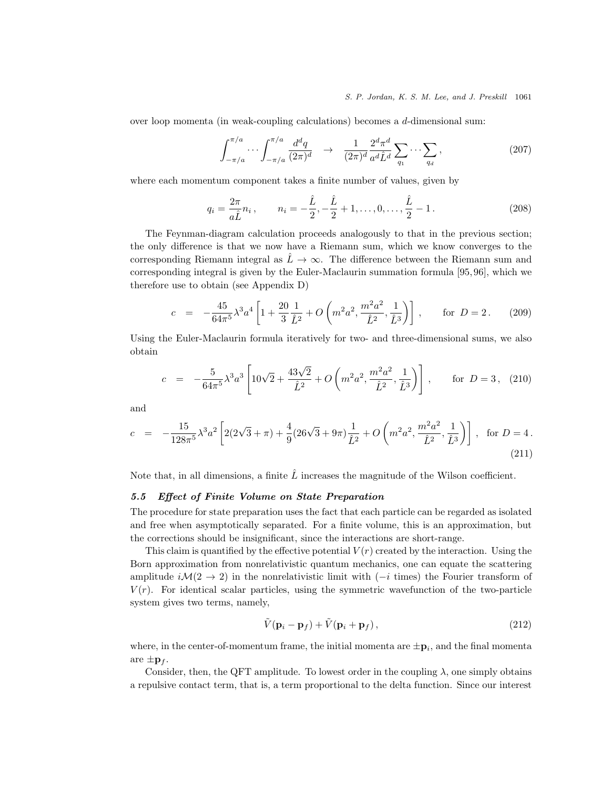#### S. P. Jordan, K. S. M. Lee, and J. Preskill 1061

over loop momenta (in weak-coupling calculations) becomes a  $d$ -dimensional sum:

$$
\int_{-\pi/a}^{\pi/a} \cdots \int_{-\pi/a}^{\pi/a} \frac{d^d q}{(2\pi)^d} \quad \to \quad \frac{1}{(2\pi)^d} \frac{2^d \pi^d}{a^d \hat{L}^d} \sum_{q_1} \cdots \sum_{q_d} , \tag{207}
$$

where each momentum component takes a finite number of values, given by

$$
q_i = \frac{2\pi}{a\hat{L}} n_i, \qquad n_i = -\frac{\hat{L}}{2}, -\frac{\hat{L}}{2} + 1, \dots, 0, \dots, \frac{\hat{L}}{2} - 1.
$$
 (208)

The Feynman-diagram calculation proceeds analogously to that in the previous section; the only difference is that we now have a Riemann sum, which we know converges to the corresponding Riemann integral as  $\hat{L} \rightarrow \infty$ . The difference between the Riemann sum and corresponding integral is given by the Euler-Maclaurin summation formula [95, 96], which we therefore use to obtain (see Appendix D)

$$
c = -\frac{45}{64\pi^5} \lambda^3 a^4 \left[ 1 + \frac{20}{3} \frac{1}{\hat{L}^2} + O\left(m^2 a^2, \frac{m^2 a^2}{\hat{L}^2}, \frac{1}{\hat{L}^3}\right) \right], \quad \text{for } D = 2. \tag{209}
$$

Using the Euler-Maclaurin formula iteratively for two- and three-dimensional sums, we also obtain

$$
c = -\frac{5}{64\pi^5} \lambda^3 a^3 \left[ 10\sqrt{2} + \frac{43\sqrt{2}}{\hat{L}^2} + O\left(m^2 a^2, \frac{m^2 a^2}{\hat{L}^2}, \frac{1}{\hat{L}^3}\right) \right], \quad \text{for } D = 3, \tag{210}
$$

and

$$
c = -\frac{15}{128\pi^5} \lambda^3 a^2 \left[ 2(2\sqrt{3} + \pi) + \frac{4}{9} (26\sqrt{3} + 9\pi) \frac{1}{\hat{L}^2} + O\left(m^2 a^2, \frac{m^2 a^2}{\hat{L}^2}, \frac{1}{\hat{L}^3}\right) \right], \text{ for } D = 4.
$$
\n(211)

Note that, in all dimensions, a finite  $\hat{L}$  increases the magnitude of the Wilson coefficient.

### 5.5 Effect of Finite Volume on State Preparation

The procedure for state preparation uses the fact that each particle can be regarded as isolated and free when asymptotically separated. For a finite volume, this is an approximation, but the corrections should be insignificant, since the interactions are short-range.

This claim is quantified by the effective potential  $V(r)$  created by the interaction. Using the Born approximation from nonrelativistic quantum mechanics, one can equate the scattering amplitude  $i\mathcal{M}(2 \to 2)$  in the nonrelativistic limit with  $(-i$  times) the Fourier transform of  $V(r)$ . For identical scalar particles, using the symmetric wavefunction of the two-particle system gives two terms, namely,

$$
\tilde{V}(\mathbf{p}_i - \mathbf{p}_f) + \tilde{V}(\mathbf{p}_i + \mathbf{p}_f),\tag{212}
$$

where, in the center-of-momentum frame, the initial momenta are  $\pm \mathbf{p}_i$ , and the final momenta are  $\pm \mathbf{p}_f$ .

Consider, then, the QFT amplitude. To lowest order in the coupling  $\lambda$ , one simply obtains a repulsive contact term, that is, a term proportional to the delta function. Since our interest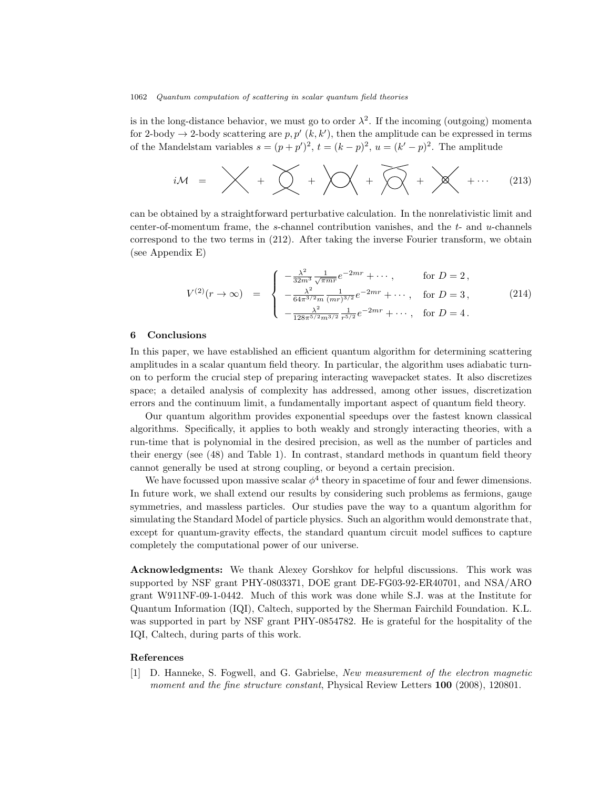is in the long-distance behavior, we must go to order  $\lambda^2$ . If the incoming (outgoing) momenta for 2-body  $\rightarrow$  2-body scattering are p, p'  $(k, k')$ , then the amplitude can be expressed in terms of the Mandelstam variables  $s = (p + p')^2$ ,  $t = (k - p)^2$ ,  $u = (k' - p)^2$ . The amplitude

$$
iM = \bigtimes + \bigtimes + \bigtimes + \bigtimes + \bigtimes + \bigtimes + \bigtimes + \cdots \qquad (213)
$$

can be obtained by a straightforward perturbative calculation. In the nonrelativistic limit and center-of-momentum frame, the s-channel contribution vanishes, and the  $t$ - and  $u$ -channels correspond to the two terms in (212). After taking the inverse Fourier transform, we obtain (see Appendix E)

$$
V^{(2)}(r \to \infty) = \begin{cases} -\frac{\lambda^2}{32m^3} \frac{1}{\sqrt{\pi m r}} e^{-2mr} + \cdots, & \text{for } D = 2, \\ -\frac{\lambda^2}{64\pi^{3/2} m} \frac{1}{(mr)^{3/2}} e^{-2mr} + \cdots, & \text{for } D = 3, \\ -\frac{\lambda^2}{128\pi^{5/2} m^{3/2}} \frac{1}{r^{5/2}} e^{-2mr} + \cdots, & \text{for } D = 4. \end{cases}
$$
(214)

#### 6 Conclusions

In this paper, we have established an efficient quantum algorithm for determining scattering amplitudes in a scalar quantum field theory. In particular, the algorithm uses adiabatic turnon to perform the crucial step of preparing interacting wavepacket states. It also discretizes space; a detailed analysis of complexity has addressed, among other issues, discretization errors and the continuum limit, a fundamentally important aspect of quantum field theory.

Our quantum algorithm provides exponential speedups over the fastest known classical algorithms. Specifically, it applies to both weakly and strongly interacting theories, with a run-time that is polynomial in the desired precision, as well as the number of particles and their energy (see (48) and Table 1). In contrast, standard methods in quantum field theory cannot generally be used at strong coupling, or beyond a certain precision.

We have focussed upon massive scalar  $\phi^4$  theory in spacetime of four and fewer dimensions. In future work, we shall extend our results by considering such problems as fermions, gauge symmetries, and massless particles. Our studies pave the way to a quantum algorithm for simulating the Standard Model of particle physics. Such an algorithm would demonstrate that, except for quantum-gravity effects, the standard quantum circuit model suffices to capture completely the computational power of our universe.

Acknowledgments: We thank Alexey Gorshkov for helpful discussions. This work was supported by NSF grant PHY-0803371, DOE grant DE-FG03-92-ER40701, and NSA/ARO grant W911NF-09-1-0442. Much of this work was done while S.J. was at the Institute for Quantum Information (IQI), Caltech, supported by the Sherman Fairchild Foundation. K.L. was supported in part by NSF grant PHY-0854782. He is grateful for the hospitality of the IQI, Caltech, during parts of this work.

### References

D. Hanneke, S. Fogwell, and G. Gabrielse, New measurement of the electron magnetic moment and the fine structure constant, Physical Review Letters 100 (2008), 120801.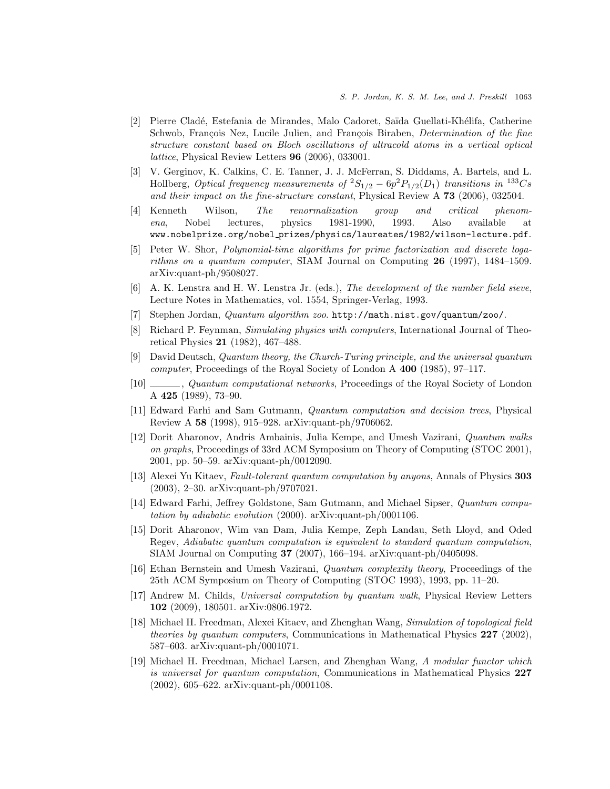- [2] Pierre Clad´e, Estefania de Mirandes, Malo Cadoret, Sa¨ıda Guellati-Kh´elifa, Catherine Schwob, François Nez, Lucile Julien, and François Biraben, *Determination of the fine* structure constant based on Bloch oscillations of ultracold atoms in a vertical optical lattice, Physical Review Letters 96 (2006), 033001.
- [3] V. Gerginov, K. Calkins, C. E. Tanner, J. J. McFerran, S. Diddams, A. Bartels, and L. Hollberg, Optical frequency measurements of  ${}^{2}S_{1/2} - 6p^{2}P_{1/2}(D_{1})$  transitions in  ${}^{133}Cs$ and their impact on the fine-structure constant, Physical Review A 73 (2006), 032504.
- [4] Kenneth Wilson, The renormalization group and critical phenomena, Nobel lectures, physics 1981-1990, 1993. Also available at www.nobelprize.org/nobel prizes/physics/laureates/1982/wilson-lecture.pdf.
- [5] Peter W. Shor, Polynomial-time algorithms for prime factorization and discrete logarithms on a quantum computer, SIAM Journal on Computing  $26$  (1997), 1484–1509. arXiv:quant-ph/9508027.
- [6] A. K. Lenstra and H. W. Lenstra Jr. (eds.), The development of the number field sieve, Lecture Notes in Mathematics, vol. 1554, Springer-Verlag, 1993.
- [7] Stephen Jordan, Quantum algorithm zoo. http://math.nist.gov/quantum/zoo/.
- [8] Richard P. Feynman, Simulating physics with computers, International Journal of Theoretical Physics 21 (1982), 467–488.
- [9] David Deutsch, Quantum theory, the Church-Turing principle, and the universal quantum computer, Proceedings of the Royal Society of London A 400 (1985), 97–117.
- [10] , Quantum computational networks, Proceedings of the Royal Society of London A 425 (1989), 73–90.
- [11] Edward Farhi and Sam Gutmann, Quantum computation and decision trees, Physical Review A 58 (1998), 915–928. arXiv:quant-ph/9706062.
- [12] Dorit Aharonov, Andris Ambainis, Julia Kempe, and Umesh Vazirani, Quantum walks on graphs, Proceedings of 33rd ACM Symposium on Theory of Computing (STOC 2001), 2001, pp. 50–59. arXiv:quant-ph/0012090.
- [13] Alexei Yu Kitaev, Fault-tolerant quantum computation by anyons, Annals of Physics 303 (2003), 2–30. arXiv:quant-ph/9707021.
- [14] Edward Farhi, Jeffrey Goldstone, Sam Gutmann, and Michael Sipser, Quantum computation by adiabatic evolution (2000). arXiv:quant-ph/0001106.
- [15] Dorit Aharonov, Wim van Dam, Julia Kempe, Zeph Landau, Seth Lloyd, and Oded Regev, Adiabatic quantum computation is equivalent to standard quantum computation, SIAM Journal on Computing 37 (2007), 166–194. arXiv:quant-ph/0405098.
- [16] Ethan Bernstein and Umesh Vazirani, Quantum complexity theory, Proceedings of the 25th ACM Symposium on Theory of Computing (STOC 1993), 1993, pp. 11–20.
- [17] Andrew M. Childs, Universal computation by quantum walk, Physical Review Letters 102 (2009), 180501. arXiv:0806.1972.
- [18] Michael H. Freedman, Alexei Kitaev, and Zhenghan Wang, Simulation of topological field theories by quantum computers, Communications in Mathematical Physics  $227$  (2002), 587–603. arXiv:quant-ph/0001071.
- [19] Michael H. Freedman, Michael Larsen, and Zhenghan Wang, A modular functor which is universal for quantum computation, Communications in Mathematical Physics 227 (2002), 605–622. arXiv:quant-ph/0001108.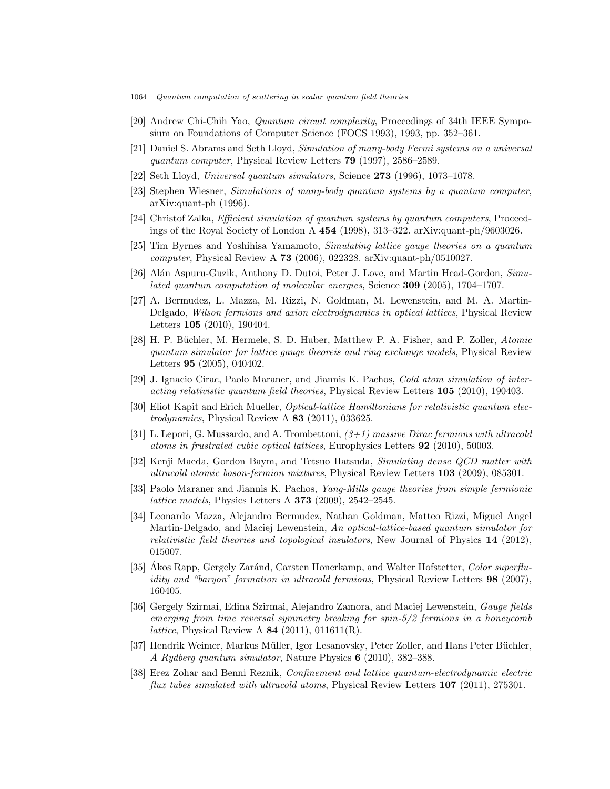- 1064 Quantum computation of scattering in scalar quantum field theories
- [20] Andrew Chi-Chih Yao, Quantum circuit complexity, Proceedings of 34th IEEE Symposium on Foundations of Computer Science (FOCS 1993), 1993, pp. 352–361.
- [21] Daniel S. Abrams and Seth Lloyd, Simulation of many-body Fermi systems on a universal quantum computer, Physical Review Letters 79 (1997), 2586–2589.
- [22] Seth Lloyd, Universal quantum simulators, Science 273 (1996), 1073–1078.
- [23] Stephen Wiesner, Simulations of many-body quantum systems by a quantum computer, arXiv:quant-ph (1996).
- [24] Christof Zalka, Efficient simulation of quantum systems by quantum computers, Proceedings of the Royal Society of London A 454 (1998), 313–322. arXiv:quant-ph/9603026.
- [25] Tim Byrnes and Yoshihisa Yamamoto, Simulating lattice gauge theories on a quantum computer, Physical Review A 73 (2006), 022328. arXiv:quant-ph/0510027.
- [26] Alán Aspuru-Guzik, Anthony D. Dutoi, Peter J. Love, and Martin Head-Gordon, Simulated quantum computation of molecular energies, Science 309 (2005), 1704–1707.
- [27] A. Bermudez, L. Mazza, M. Rizzi, N. Goldman, M. Lewenstein, and M. A. Martin-Delgado, Wilson fermions and axion electrodynamics in optical lattices, Physical Review Letters 105 (2010), 190404.
- [28] H. P. Büchler, M. Hermele, S. D. Huber, Matthew P. A. Fisher, and P. Zoller, Atomic quantum simulator for lattice gauge theoreis and ring exchange models, Physical Review Letters 95 (2005), 040402.
- [29] J. Ignacio Cirac, Paolo Maraner, and Jiannis K. Pachos, Cold atom simulation of interacting relativistic quantum field theories, Physical Review Letters 105 (2010), 190403.
- [30] Eliot Kapit and Erich Mueller, *Optical-lattice Hamiltonians for relativistic quantum elec*trodynamics, Physical Review A  $83$  (2011), 033625.
- [31] L. Lepori, G. Mussardo, and A. Trombettoni,  $(3+1)$  massive Dirac fermions with ultracold atoms in frustrated cubic optical lattices, Europhysics Letters 92 (2010), 50003.
- [32] Kenji Maeda, Gordon Baym, and Tetsuo Hatsuda, Simulating dense QCD matter with ultracold atomic boson-fermion mixtures, Physical Review Letters 103 (2009), 085301.
- [33] Paolo Maraner and Jiannis K. Pachos, Yang-Mills gauge theories from simple fermionic *lattice models*, Physics Letters A **373** (2009), 2542-2545.
- [34] Leonardo Mazza, Alejandro Bermudez, Nathan Goldman, Matteo Rizzi, Miguel Angel Martin-Delgado, and Maciej Lewenstein, An optical-lattice-based quantum simulator for relativistic field theories and topological insulators, New Journal of Physics 14 (2012), 015007.
- [35] Akos Rapp, Gergely Zaránd, Carsten Honerkamp, and Walter Hofstetter, Color superfluidity and "baryon" formation in ultracold fermions, Physical Review Letters 98 (2007), 160405.
- [36] Gergely Szirmai, Edina Szirmai, Alejandro Zamora, and Maciej Lewenstein, Gauge fields emerging from time reversal symmetry breaking for spin-5/2 fermions in a honeycomb *lattice*, Physical Review A  $84$  (2011), 011611(R).
- [37] Hendrik Weimer, Markus Müller, Igor Lesanovsky, Peter Zoller, and Hans Peter Büchler, A Rydberg quantum simulator, Nature Physics 6 (2010), 382–388.
- [38] Erez Zohar and Benni Reznik, Confinement and lattice quantum-electrodynamic electric flux tubes simulated with ultracold atoms, Physical Review Letters 107 (2011), 275301.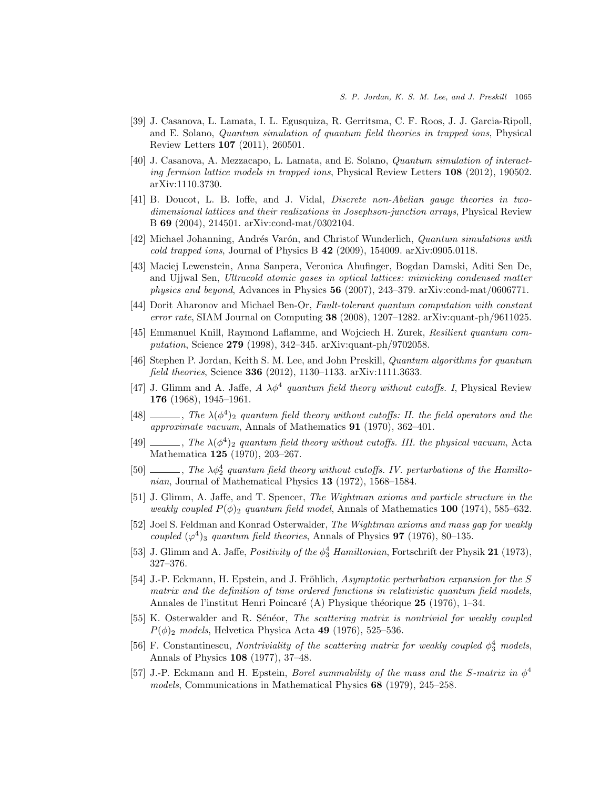- [39] J. Casanova, L. Lamata, I. L. Egusquiza, R. Gerritsma, C. F. Roos, J. J. Garcia-Ripoll, and E. Solano, Quantum simulation of quantum field theories in trapped ions, Physical Review Letters 107 (2011), 260501.
- [40] J. Casanova, A. Mezzacapo, L. Lamata, and E. Solano, Quantum simulation of interacting fermion lattice models in trapped ions, Physical Review Letters 108 (2012), 190502. arXiv:1110.3730.
- [41] B. Doucot, L. B. Ioffe, and J. Vidal, Discrete non-Abelian gauge theories in twodimensional lattices and their realizations in Josephson-junction arrays, Physical Review B 69 (2004), 214501. arXiv:cond-mat/0302104.
- [42] Michael Johanning, Andrés Varón, and Christof Wunderlich, *Quantum simulations with* cold trapped ions, Journal of Physics B 42 (2009), 154009. arXiv:0905.0118.
- [43] Maciej Lewenstein, Anna Sanpera, Veronica Ahufinger, Bogdan Damski, Aditi Sen De, and Ujjwal Sen, Ultracold atomic gases in optical lattices: mimicking condensed matter physics and beyond, Advances in Physics  $56$  (2007), 243–379. arXiv:cond-mat/0606771.
- [44] Dorit Aharonov and Michael Ben-Or, Fault-tolerant quantum computation with constant error rate, SIAM Journal on Computing 38 (2008), 1207–1282. arXiv:quant-ph/9611025.
- [45] Emmanuel Knill, Raymond Laflamme, and Wojciech H. Zurek, Resilient quantum computation, Science 279 (1998), 342–345. arXiv:quant-ph/9702058.
- [46] Stephen P. Jordan, Keith S. M. Lee, and John Preskill, Quantum algorithms for quantum field theories, Science 336 (2012), 1130–1133. arXiv:1111.3633.
- [47] J. Glimm and A. Jaffe,  $A \lambda \phi^4$  quantum field theory without cutoffs. I, Physical Review 176 (1968), 1945–1961.
- [48]  $\ldots$ , The  $\lambda(\phi^4)$ <sub>2</sub> quantum field theory without cutoffs: II. the field operators and the approximate vacuum, Annals of Mathematics 91 (1970), 362–401.
- [49]  $\ldots$ , The  $\lambda(\phi^4)$ <sub>2</sub> quantum field theory without cutoffs. III. the physical vacuum, Acta Mathematica 125 (1970), 203–267.
- [50]  $\ldots$ , The  $\lambda \phi_2^4$  quantum field theory without cutoffs. IV. perturbations of the Hamiltonian, Journal of Mathematical Physics 13 (1972), 1568–1584.
- [51] J. Glimm, A. Jaffe, and T. Spencer, The Wightman axioms and particle structure in the weakly coupled  $P(\phi)$ <sub>2</sub> quantum field model, Annals of Mathematics 100 (1974), 585–632.
- [52] Joel S. Feldman and Konrad Osterwalder, The Wightman axioms and mass gap for weakly coupled  $(\varphi^4)$ <sub>3</sub> quantum field theories, Annals of Physics **97** (1976), 80–135.
- [53] J. Glimm and A. Jaffe, *Positivity of the*  $\phi_3^4$  *Hamiltonian*, Fortschrift der Physik 21 (1973), 327–376.
- [54] J.-P. Eckmann, H. Epstein, and J. Fröhlich, Asymptotic perturbation expansion for the S matrix and the definition of time ordered functions in relativistic quantum field models, Annales de l'institut Henri Poincaré (A) Physique théorique 25 (1976), 1–34.
- [55] K. Osterwalder and R. Sénéor, The scattering matrix is nontrivial for weakly coupled  $P(\phi)$ <sub>2</sub> models, Helvetica Physica Acta 49 (1976), 525–536.
- [56] F. Constantinescu, Nontriviality of the scattering matrix for weakly coupled  $\phi_3^4$  models, Annals of Physics 108 (1977), 37–48.
- [57] J.-P. Eckmann and H. Epstein, *Borel summability of the mass and the S-matrix in*  $\phi^4$ models, Communications in Mathematical Physics 68 (1979), 245–258.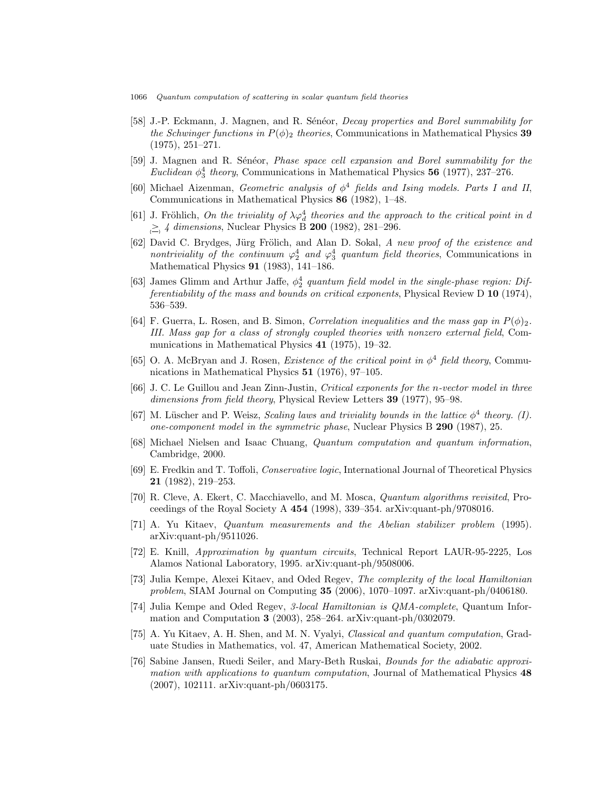- 1066 Quantum computation of scattering in scalar quantum field theories
- [58] J.-P. Eckmann, J. Magnen, and R. Sénéor, *Decay properties and Borel summability for* the Schwinger functions in  $P(\phi)_2$  theories, Communications in Mathematical Physics 39 (1975), 251–271.
- [59] J. Magnen and R. Sénéor, *Phase space cell expansion and Borel summability for the* Euclidean  $\phi_3^4$  theory, Communications in Mathematical Physics 56 (1977), 237–276.
- [60] Michael Aizenman, Geometric analysis of  $\phi^4$  fields and Ising models. Parts I and II, Communications in Mathematical Physics 86 (1982), 1–48.
- [61] J. Fröhlich, On the triviality of  $\lambda \varphi_d^4$  theories and the approach to the critical point in d  $\geq$  4 dimensions, Nuclear Physics B 200 (1982), 281–296.
- [62] David C. Brydges, Jürg Frölich, and Alan D. Sokal, A new proof of the existence and nontriviality of the continuum  $\varphi_2^4$  and  $\varphi_3^4$  quantum field theories, Communications in Mathematical Physics 91 (1983), 141–186.
- [63] James Glimm and Arthur Jaffe,  $\phi_2^4$  quantum field model in the single-phase region: Differentiability of the mass and bounds on critical exponents, Physical Review D  $10$  (1974), 536–539.
- [64] F. Guerra, L. Rosen, and B. Simon, Correlation inequalities and the mass gap in  $P(\phi)_2$ . III. Mass gap for a class of strongly coupled theories with nonzero external field, Communications in Mathematical Physics 41 (1975), 19–32.
- [65] O. A. McBryan and J. Rosen, *Existence of the critical point in*  $\phi^4$  *field theory*, Communications in Mathematical Physics 51 (1976), 97–105.
- [66] J. C. Le Guillou and Jean Zinn-Justin, Critical exponents for the n-vector model in three dimensions from field theory, Physical Review Letters 39 (1977), 95-98.
- [67] M. Lüscher and P. Weisz, Scaling laws and triviality bounds in the lattice  $\phi^4$  theory. (I). one-component model in the symmetric phase, Nuclear Physics B 290 (1987), 25.
- [68] Michael Nielsen and Isaac Chuang, Quantum computation and quantum information, Cambridge, 2000.
- [69] E. Fredkin and T. Toffoli, Conservative logic, International Journal of Theoretical Physics 21 (1982), 219–253.
- [70] R. Cleve, A. Ekert, C. Macchiavello, and M. Mosca, Quantum algorithms revisited, Proceedings of the Royal Society A 454 (1998), 339–354. arXiv:quant-ph/9708016.
- [71] A. Yu Kitaev, Quantum measurements and the Abelian stabilizer problem (1995). arXiv:quant-ph/9511026.
- [72] E. Knill, Approximation by quantum circuits, Technical Report LAUR-95-2225, Los Alamos National Laboratory, 1995. arXiv:quant-ph/9508006.
- [73] Julia Kempe, Alexei Kitaev, and Oded Regev, The complexity of the local Hamiltonian problem, SIAM Journal on Computing 35 (2006), 1070–1097. arXiv:quant-ph/0406180.
- [74] Julia Kempe and Oded Regev, 3-local Hamiltonian is QMA-complete, Quantum Information and Computation 3 (2003), 258–264. arXiv:quant-ph/0302079.
- [75] A. Yu Kitaev, A. H. Shen, and M. N. Vyalyi, Classical and quantum computation, Graduate Studies in Mathematics, vol. 47, American Mathematical Society, 2002.
- [76] Sabine Jansen, Ruedi Seiler, and Mary-Beth Ruskai, Bounds for the adiabatic approximation with applications to quantum computation, Journal of Mathematical Physics 48 (2007), 102111. arXiv:quant-ph/0603175.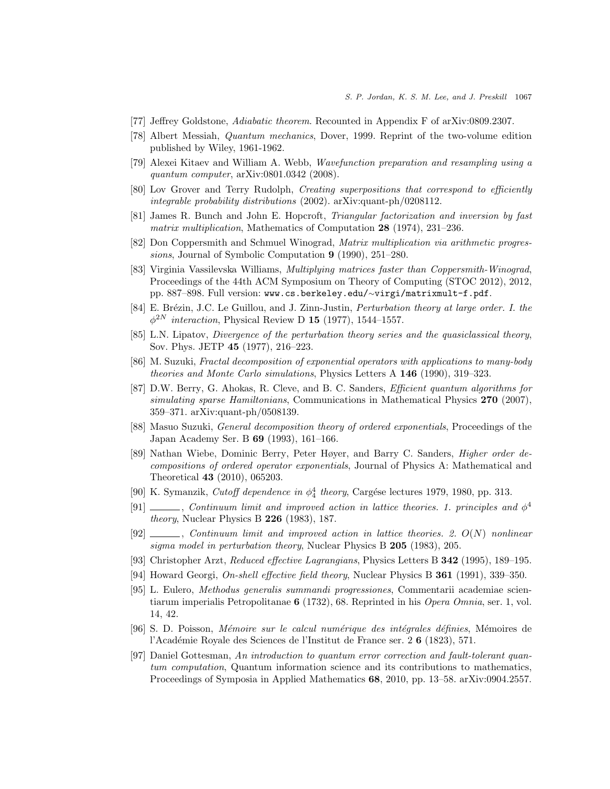- [77] Jeffrey Goldstone, Adiabatic theorem. Recounted in Appendix F of arXiv:0809.2307.
- [78] Albert Messiah, Quantum mechanics, Dover, 1999. Reprint of the two-volume edition published by Wiley, 1961-1962.
- [79] Alexei Kitaev and William A. Webb, Wavefunction preparation and resampling using a quantum computer, arXiv:0801.0342 (2008).
- [80] Lov Grover and Terry Rudolph, Creating superpositions that correspond to efficiently integrable probability distributions (2002). arXiv:quant-ph/0208112.
- [81] James R. Bunch and John E. Hopcroft, Triangular factorization and inversion by fast matrix multiplication, Mathematics of Computation 28 (1974), 231–236.
- [82] Don Coppersmith and Schmuel Winograd, Matrix multiplication via arithmetic progressions, Journal of Symbolic Computation 9 (1990), 251–280.
- [83] Virginia Vassilevska Williams, Multiplying matrices faster than Coppersmith-Winograd, Proceedings of the 44th ACM Symposium on Theory of Computing (STOC 2012), 2012, pp. 887–898. Full version: www.cs.berkeley.edu/∼virgi/matrixmult-f.pdf.
- [84] E. Brézin, J.C. Le Guillou, and J. Zinn-Justin, *Perturbation theory at large order. I. the*  $\phi^{2N}$  interaction, Physical Review D 15 (1977), 1544-1557.
- [85] L.N. Lipatov, *Divergence of the perturbation theory series and the quasiclassical theory*, Sov. Phys. JETP 45 (1977), 216–223.
- [86] M. Suzuki, Fractal decomposition of exponential operators with applications to many-body theories and Monte Carlo simulations, Physics Letters A 146 (1990), 319–323.
- [87] D.W. Berry, G. Ahokas, R. Cleve, and B. C. Sanders, Efficient quantum algorithms for simulating sparse Hamiltonians, Communications in Mathematical Physics 270 (2007), 359–371. arXiv:quant-ph/0508139.
- [88] Masuo Suzuki, General decomposition theory of ordered exponentials, Proceedings of the Japan Academy Ser. B 69 (1993), 161–166.
- [89] Nathan Wiebe, Dominic Berry, Peter Høyer, and Barry C. Sanders, Higher order decompositions of ordered operator exponentials, Journal of Physics A: Mathematical and Theoretical 43 (2010), 065203.
- [90] K. Symanzik, *Cutoff dependence in*  $\phi_4^4$  *theory*, Cargése lectures 1979, 1980, pp. 313.
- [91]  $\_\_\_\_\_$ , Continuum limit and improved action in lattice theories. 1. principles and  $\phi^4$ theory, Nuclear Physics B 226 (1983), 187.
- $[92]$  , Continuum limit and improved action in lattice theories. 2.  $O(N)$  nonlinear sigma model in perturbation theory, Nuclear Physics B 205 (1983), 205.
- [93] Christopher Arzt, Reduced effective Lagrangians, Physics Letters B 342 (1995), 189–195.
- [94] Howard Georgi, On-shell effective field theory, Nuclear Physics B 361 (1991), 339–350.
- [95] L. Eulero, Methodus generalis summandi progressiones, Commentarii academiae scientiarum imperialis Petropolitanae 6 (1732), 68. Reprinted in his Opera Omnia, ser. 1, vol. 14, 42.
- [96] S. D. Poisson, Mémoire sur le calcul numérique des intégrales définies, Mémoires de l'Académie Royale des Sciences de l'Institut de France ser. 2 6 (1823), 571.
- [97] Daniel Gottesman, An introduction to quantum error correction and fault-tolerant quantum computation, Quantum information science and its contributions to mathematics, Proceedings of Symposia in Applied Mathematics 68, 2010, pp. 13–58. arXiv:0904.2557.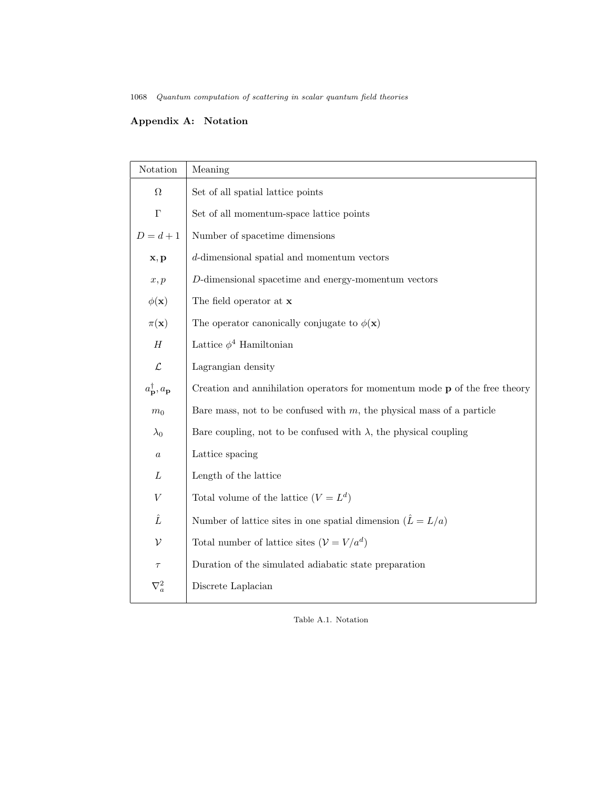# Appendix A: Notation

| Notation                                   | Meaning                                                                           |  |
|--------------------------------------------|-----------------------------------------------------------------------------------|--|
| Ω                                          | Set of all spatial lattice points                                                 |  |
| $\Gamma$                                   | Set of all momentum-space lattice points                                          |  |
| $D = d + 1$                                | Number of spacetime dimensions                                                    |  |
| $\mathbf{x}, \mathbf{p}$                   | $d$ -dimensional spatial and momentum vectors                                     |  |
| x, p                                       | $D$ -dimensional spacetime and energy-momentum vectors                            |  |
| $\phi(\mathbf{x})$                         | The field operator at $x$                                                         |  |
| $\pi(\mathbf{x})$                          | The operator canonically conjugate to $\phi(\mathbf{x})$                          |  |
| Н                                          | Lattice $\phi^4$ Hamiltonian                                                      |  |
| $\mathcal{L}% _{G}$                        | Lagrangian density                                                                |  |
| $a^{\dagger}_{\mathbf{p}}, a_{\mathbf{p}}$ | Creation and annihilation operators for momentum mode $\bf{p}$ of the free theory |  |
| $m_0$                                      | Bare mass, not to be confused with $m$ , the physical mass of a particle          |  |
| $\lambda_0$                                | Bare coupling, not to be confused with $\lambda$ , the physical coupling          |  |
| $\boldsymbol{a}$                           | Lattice spacing                                                                   |  |
| L                                          | Length of the lattice                                                             |  |
| $\boldsymbol{V}$                           | Total volume of the lattice $(V = L^d)$                                           |  |
| Ê                                          | Number of lattice sites in one spatial dimension $(\hat{L} = L/a)$                |  |
| $\mathcal V$                               | Total number of lattice sites $(\mathcal{V}=V/a^d)$                               |  |
| $\tau$                                     | Duration of the simulated adiabatic state preparation                             |  |
| $\nabla_a^2$                               | Discrete Laplacian                                                                |  |

Table A.1. Notation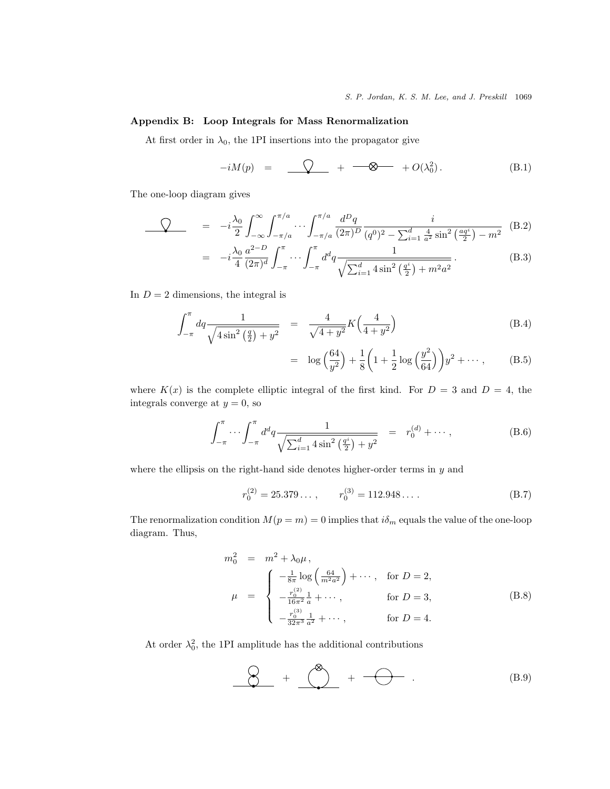# Appendix B: Loop Integrals for Mass Renormalization

At first order in  $\lambda_0$ , the 1PI insertions into the propagator give

$$
-iM(p) = \underline{\bigcirc} + \underline{\longrightarrow} + O(\lambda_0^2). \tag{B.1}
$$

The one-loop diagram gives

$$
\begin{split}\n\mathcal{Q} &= -i\frac{\lambda_0}{2} \int_{-\infty}^{\infty} \int_{-\pi/a}^{\pi/a} \cdots \int_{-\pi/a}^{\pi/a} \frac{d^D q}{(2\pi)^D} \frac{i}{(q^0)^2 - \sum_{i=1}^d \frac{4}{a^2} \sin^2 \left(\frac{aq^i}{2}\right) - m^2} \quad (B.2) \\
&= -i\frac{\lambda_0}{4} \frac{a^{2-D}}{(2\pi)^d} \int_{-\pi}^{\pi} \cdots \int_{-\pi}^{\pi} d^dq \frac{1}{\sqrt{\sum_{i=1}^d 4 \sin^2 \left(\frac{q^i}{2}\right) + m^2 a^2}} \quad (B.3)\n\end{split}
$$

In  $D = 2$  dimensions, the integral is

$$
\int_{-\pi}^{\pi} dq \frac{1}{\sqrt{4\sin^2\left(\frac{q}{2}\right) + y^2}} = \frac{4}{\sqrt{4 + y^2}} K\left(\frac{4}{4 + y^2}\right)
$$
(B.4)

$$
= \log\left(\frac{64}{y^2}\right) + \frac{1}{8}\left(1 + \frac{1}{2}\log\left(\frac{y^2}{64}\right)\right)y^2 + \cdots, \tag{B.5}
$$

where  $K(x)$  is the complete elliptic integral of the first kind. For  $D = 3$  and  $D = 4$ , the integrals converge at  $y = 0$ , so

$$
\int_{-\pi}^{\pi} \cdots \int_{-\pi}^{\pi} d^d q \frac{1}{\sqrt{\sum_{i=1}^d 4 \sin^2 \left(\frac{q^i}{2}\right) + y^2}} = r_0^{(d)} + \cdots, \tag{B.6}
$$

where the ellipsis on the right-hand side denotes higher-order terms in  $y$  and

$$
r_0^{(2)} = 25.379\dots, \qquad r_0^{(3)} = 112.948\dots \tag{B.7}
$$

The renormalization condition  $M(p = m) = 0$  implies that  $i\delta_m$  equals the value of the one-loop diagram. Thus,

$$
m_0^2 = m^2 + \lambda_0 \mu,
$$
  
\n
$$
\mu = \begin{cases}\n-\frac{1}{8\pi} \log \left(\frac{64}{m^2 a^2}\right) + \cdots, & \text{for } D = 2, \\
-\frac{r_0^{(2)}}{16\pi^2} \frac{1}{a} + \cdots, & \text{for } D = 3, \\
-\frac{r_0^{(3)}}{32\pi^3} \frac{1}{a^2} + \cdots, & \text{for } D = 4.\n\end{cases}
$$
\n(B.8)

At order  $\lambda_0^2$ , the 1PI amplitude has the additional contributions

$$
\begin{array}{c}\n\bigotimes\n\end{array} + \begin{array}{c}\n\bigotimes\n\end{array} + \begin{array}{c}\n\bigoplus\n\end{array} + \begin{array}{c}\n\bigoplus\n\end{array} . \tag{B.9}
$$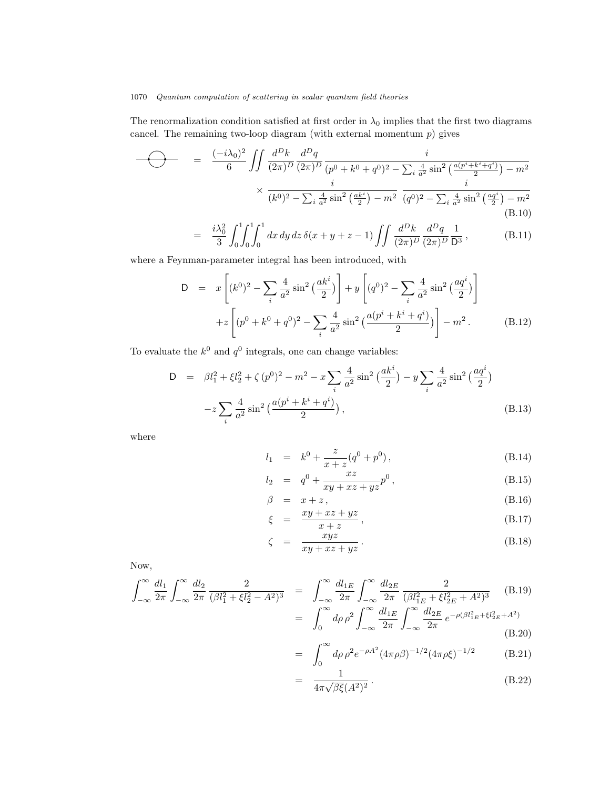The renormalization condition satisfied at first order in  $\lambda_0$  implies that the first two diagrams cancel. The remaining two-loop diagram (with external momentum  $p$ ) gives

$$
\begin{array}{rcl}\n\hline\n\end{array}\n\qquad & = & \frac{(-i\lambda_0)^2}{6} \iint \frac{d^D k}{(2\pi)^D} \frac{d^D q}{(2\pi)^D} \frac{i}{(p^0 + k^0 + q^0)^2 - \sum_i \frac{4}{a^2} \sin^2 \left(\frac{a(p^i + k^i + q^i)}{2}\right) - m^2} \\
& \times \frac{i}{(k^0)^2 - \sum_i \frac{4}{a^2} \sin^2 \left(\frac{ak^i}{2}\right) - m^2} \frac{i}{(q^0)^2 - \sum_i \frac{4}{a^2} \sin^2 \left(\frac{aq^i}{2}\right) - m^2} \\
& & \tag{B.10}\n\end{array}
$$

$$
= \frac{i\lambda_0^2}{3} \int_0^1 \int_0^1 \int_0^1 dx \, dy \, dz \, \delta(x+y+z-1) \iint \frac{d^D k}{(2\pi)^D} \frac{d^D q}{(2\pi)^D} \frac{1}{D^3}, \tag{B.11}
$$

where a Feynman-parameter integral has been introduced, with

$$
D = x \left[ (k^0)^2 - \sum_i \frac{4}{a^2} \sin^2 \left( \frac{ak^i}{2} \right) \right] + y \left[ (q^0)^2 - \sum_i \frac{4}{a^2} \sin^2 \left( \frac{aq^i}{2} \right) \right]
$$
  
+ 
$$
z \left[ (p^0 + k^0 + q^0)^2 - \sum_i \frac{4}{a^2} \sin^2 \left( \frac{a(p^i + k^i + q^i)}{2} \right) \right] - m^2.
$$
 (B.12)

To evaluate the  $k^0$  and  $q^0$  integrals, one can change variables:

$$
D = \beta l_1^2 + \xi l_2^2 + \zeta (p^0)^2 - m^2 - x \sum_i \frac{4}{a^2} \sin^2 \left(\frac{ak^i}{2}\right) - y \sum_i \frac{4}{a^2} \sin^2 \left(\frac{aq^i}{2}\right)
$$

$$
-z \sum_i \frac{4}{a^2} \sin^2 \left(\frac{a(p^i + k^i + q^i)}{2}\right), \tag{B.13}
$$

where

$$
l_1 = k^0 + \frac{z}{x+z} (q^0 + p^0), \qquad (B.14)
$$

$$
l_2 = q^0 + \frac{xz}{xy + xz + yz}p^0,
$$
 (B.15)

$$
\beta = x + z, \tag{B.16}
$$

$$
\xi = \frac{xy + xz + yz}{x + z},\tag{B.17}
$$

$$
\zeta = \frac{xyz}{xy + xz + yz}.
$$
\n(B.18)

Now,

$$
\int_{-\infty}^{\infty} \frac{dl_1}{2\pi} \int_{-\infty}^{\infty} \frac{dl_2}{2\pi} \frac{2}{(\beta l_1^2 + \xi l_2^2 - A^2)^3} = \int_{-\infty}^{\infty} \frac{dl_{1E}}{2\pi} \int_{-\infty}^{\infty} \frac{dl_{2E}}{2\pi} \frac{2}{(\beta l_{1E}^2 + \xi l_{2E}^2 + A^2)^3}
$$
(B.19)  

$$
= \int_{0}^{\infty} d\rho \rho^2 \int_{-\infty}^{\infty} \frac{dl_{1E}}{2\pi} \int_{-\infty}^{\infty} \frac{dl_{2E}}{2\pi} e^{-\rho(\beta l_{1E}^2 + \xi l_{2E}^2 + A^2)}
$$
(B.20)

$$
= \int_0^\infty d\rho \,\rho^2 e^{-\rho A^2} (4\pi \rho \beta)^{-1/2} (4\pi \rho \xi)^{-1/2} \tag{B.21}
$$

$$
= \frac{1}{4\pi\sqrt{\beta\xi(A^2)^2}}.
$$
 (B.22)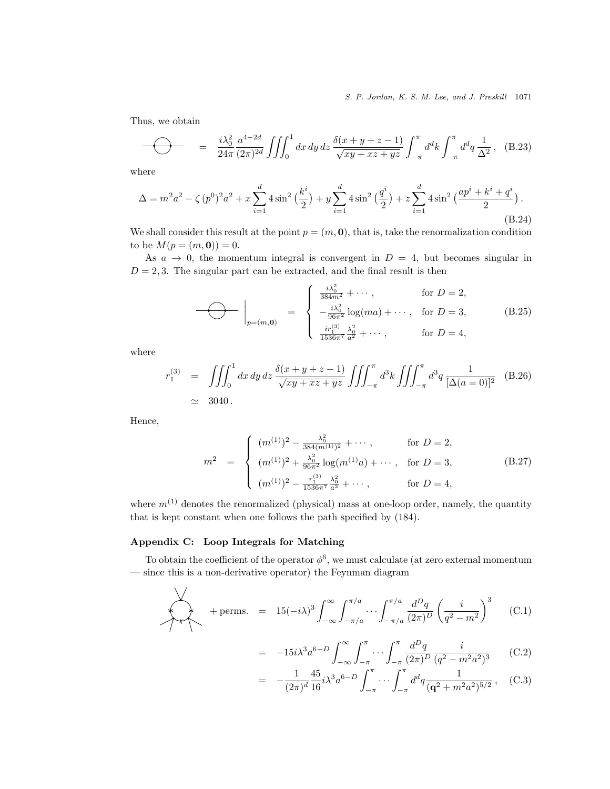S. P. Jordan, K. S. M. Lee, and J. Preskill 1071

Thus, we obtain

$$
\widehat{\phantom{a}} \widehat{\phantom{a}} = \frac{i\lambda_0^2}{24\pi} \frac{a^{4-2d}}{(2\pi)^{2d}} \iiint_0^1 dx \, dy \, dz \, \frac{\delta(x+y+z-1)}{\sqrt{xy+xz+yz}} \int_{-\pi}^{\pi} d^d k \int_{-\pi}^{\pi} d^d q \, \frac{1}{\Delta^2} \,, \quad \text{(B.23)}
$$

where

$$
\Delta = m^2 a^2 - \zeta (p^0)^2 a^2 + x \sum_{i=1}^d 4 \sin^2 \left(\frac{k^i}{2}\right) + y \sum_{i=1}^d 4 \sin^2 \left(\frac{q^i}{2}\right) + z \sum_{i=1}^d 4 \sin^2 \left(\frac{ap^i + k^i + q^i}{2}\right). \tag{B.24}
$$

We shall consider this result at the point  $p = (m, 0)$ , that is, take the renormalization condition to be  $M(p = (m, 0)) = 0$ .

As  $a \rightarrow 0$ , the momentum integral is convergent in  $D = 4$ , but becomes singular in  $D = 2, 3$ . The singular part can be extracted, and the final result is then

$$
\bigodot \qquad \bigg|_{p=(m,0)} = \begin{cases} \frac{i\lambda_0^2}{384m^2} + \cdots, & \text{for } D = 2, \\ -\frac{i\lambda_0^2}{96\pi^2} \log(ma) + \cdots, & \text{for } D = 3, \\ \frac{ir_1^{(3)}}{1536\pi^7} \frac{\lambda_0^2}{a^2} + \cdots, & \text{for } D = 4, \end{cases} \tag{B.25}
$$

where

$$
r_1^{(3)} = \iiint_0^1 dx \, dy \, dz \, \frac{\delta(x + y + z - 1)}{\sqrt{xy + xz + yz}} \iiint_{-\pi}^{\pi} d^3k \iiint_{-\pi}^{\pi} d^3q \, \frac{1}{[\Delta(a = 0)]^2} \quad (B.26)
$$
  
  $\approx 3040.$ 

Hence,

$$
m^{2} = \begin{cases} (m^{(1)})^{2} - \frac{\lambda_{0}^{2}}{384(m^{(1)})^{2}} + \cdots, & \text{for } D = 2, \\ (m^{(1)})^{2} + \frac{\lambda_{0}^{2}}{96\pi^{2}} \log(m^{(1)}a) + \cdots, & \text{for } D = 3, \\ (m^{(1)})^{2} - \frac{r_{1}^{(3)}}{1536\pi^{7}} \frac{\lambda_{0}^{2}}{a^{2}} + \cdots, & \text{for } D = 4, \end{cases}
$$
(B.27)

where  $m^{(1)}$  denotes the renormalized (physical) mass at one-loop order, namely, the quantity that is kept constant when one follows the path specified by (184).

# Appendix C: Loop Integrals for Matching

To obtain the coefficient of the operator  $\phi^6$ , we must calculate (at zero external momentum — since this is a non-derivative operator) the Feynman diagram

$$
+\text{perms.} = 15(-i\lambda)^3 \int_{-\infty}^{\infty} \int_{-\pi/a}^{\pi/a} \cdots \int_{-\pi/a}^{\pi/a} \frac{d^Dq}{(2\pi)^D} \left(\frac{i}{q^2 - m^2}\right)^3 \quad (C.1)
$$

$$
= -15i\lambda^3 a^{6-D} \int_{-\infty}^{\infty} \int_{-\pi}^{\pi} \cdots \int_{-\pi}^{\pi} \frac{d^D q}{(2\pi)^D} \frac{i}{(q^2 - m^2 a^2)^3}
$$
(C.2)

$$
= -\frac{1}{(2\pi)^d} \frac{45}{16} i \lambda^3 a^{6-D} \int_{-\pi}^{\pi} \cdots \int_{-\pi}^{\pi} d^d q \frac{1}{(\mathbf{q}^2 + m^2 a^2)^{5/2}}, \quad \text{(C.3)}
$$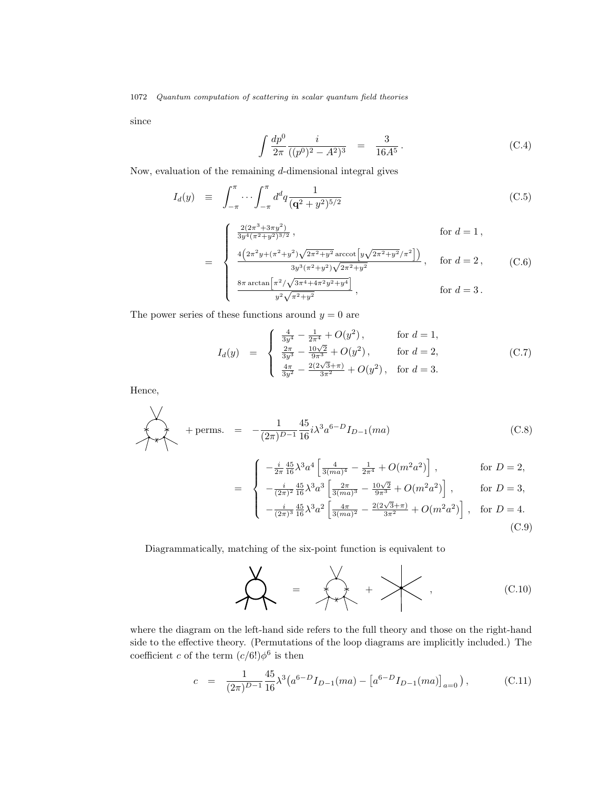since

$$
\int \frac{dp^0}{2\pi} \frac{i}{((p^0)^2 - A^2)^3} = \frac{3}{16A^5}.
$$
\n(C.4)

Now, evaluation of the remaining  $d$ -dimensional integral gives

$$
I_d(y) \equiv \int_{-\pi}^{\pi} \cdots \int_{-\pi}^{\pi} d^d q \frac{1}{(\mathbf{q}^2 + y^2)^{5/2}} \tag{C.5}
$$

$$
= \begin{cases} \frac{2(2\pi^3 + 3\pi y^2)}{3y^4(\pi^2 + y^2)^{3/2}}, & \text{for } d = 1, \\ \frac{4(2\pi^2 y + (\pi^2 + y^2)\sqrt{2\pi^2 + y^2}\arccot[y\sqrt{2\pi^2 + y^2}/\pi^2])}{3y^3(\pi^2 + y^2)\sqrt{2\pi^2 + y^2}}, & \text{for } d = 2, \\ \frac{8\pi \arctan[\pi^2/\sqrt{3\pi^4 + 4\pi^2 y^2 + y^4}]}{y^2\sqrt{\pi^2 + y^2}}, & \text{for } d = 3. \end{cases}
$$

The power series of these functions around  $y = 0$  are

$$
I_d(y) = \begin{cases} \frac{4}{3y^4} - \frac{1}{2\pi^4} + O(y^2), & \text{for } d = 1, \\ \frac{2\pi}{3y^3} - \frac{10\sqrt{2}}{9\pi^3} + O(y^2), & \text{for } d = 2, \\ \frac{4\pi}{3y^2} - \frac{2(2\sqrt{3} + \pi)}{3\pi^2} + O(y^2), & \text{for } d = 3. \end{cases}
$$
(C.7)

Hence,

$$
+ \text{perms.} = -\frac{1}{(2\pi)^{D-1}} \frac{45}{16} i \lambda^3 a^{6-D} I_{D-1}(ma) \qquad (C.8)
$$
  

$$
= \begin{cases} -\frac{i}{2\pi} \frac{45}{16} \lambda^3 a^4 \left[ \frac{4}{3(ma)^4} - \frac{1}{2\pi^4} + O(m^2a^2) \right], & \text{for } D = 2, \\ -\frac{i}{(2\pi)^2} \frac{45}{16} \lambda^3 a^3 \left[ \frac{2\pi}{3(ma)^3} - \frac{10\sqrt{2}}{9\pi^3} + O(m^2a^2) \right], & \text{for } D = 3, \\ -\frac{i}{(2\pi)^3} \frac{45}{16} \lambda^3 a^2 \left[ \frac{4\pi}{3(ma)^2} - \frac{2(2\sqrt{3}+\pi)}{3\pi^2} + O(m^2a^2) \right], & \text{for } D = 4. \end{cases}
$$
(C.9)

Diagrammatically, matching of the six-point function is equivalent to

$$
\sum_{i=1}^{N} \frac{1}{i} \sum_{i=1}^{N} \frac{1}{i} \sum_{i=1}^{N} \frac{1}{i} \sum_{i=1}^{N} \frac{1}{i} \sum_{i=1}^{N} \frac{1}{i} \sum_{i=1}^{N} \frac{1}{i} \sum_{i=1}^{N} \frac{1}{i} \sum_{i=1}^{N} \frac{1}{i} \sum_{i=1}^{N} \frac{1}{i} \sum_{i=1}^{N} \frac{1}{i} \sum_{i=1}^{N} \frac{1}{i} \sum_{i=1}^{N} \frac{1}{i} \sum_{i=1}^{N} \frac{1}{i} \sum_{i=1}^{N} \frac{1}{i} \sum_{i=1}^{N} \frac{1}{i} \sum_{i=1}^{N} \frac{1}{i} \sum_{i=1}^{N} \frac{1}{i} \sum_{i=1}^{N} \frac{1}{i} \sum_{i=1}^{N} \frac{1}{i} \sum_{i=1}^{N} \frac{1}{i} \sum_{i=1}^{N} \frac{1}{i} \sum_{i=1}^{N} \frac{1}{i} \sum_{i=1}^{N} \frac{1}{i} \sum_{i=1}^{N} \frac{1}{i} \sum_{i=1}^{N} \frac{1}{i} \sum_{i=1}^{N} \frac{1}{i} \sum_{i=1}^{N} \frac{1}{i} \sum_{i=1}^{N} \frac{1}{i} \sum_{i=1}^{N} \frac{1}{i} \sum_{i=1}^{N} \frac{1}{i} \sum_{i=1}^{N} \frac{1}{i} \sum_{i=1}^{N} \frac{1}{i} \sum_{i=1}^{N} \frac{1}{i} \sum_{i=1}^{N} \frac{1}{i} \sum_{i=1}^{N} \frac{1}{i} \sum_{i=1}^{N} \frac{1}{i} \sum_{i=1}^{N} \frac{1}{i} \sum_{i=1}^{N} \frac{1}{i} \sum_{i=1}^{N} \frac{1}{i} \sum_{i=1}^{N} \frac{1}{i} \sum_{i=1}^{N} \frac{1}{i} \sum_{i=1}^{N} \frac{1}{i} \sum_{i=1}^{N} \frac{1}{i} \sum_{i=1}^{N} \frac{1}{i} \sum_{i=1}^{N} \frac
$$

where the diagram on the left-hand side refers to the full theory and those on the right-hand side to the effective theory. (Permutations of the loop diagrams are implicitly included.) The coefficient c of the term  $(c/6!) \phi^6$  is then

$$
c = \frac{1}{(2\pi)^{D-1}} \frac{45}{16} \lambda^3 \left( a^{6-D} I_{D-1}(ma) - \left[ a^{6-D} I_{D-1}(ma) \right]_{a=0} \right), \tag{C.11}
$$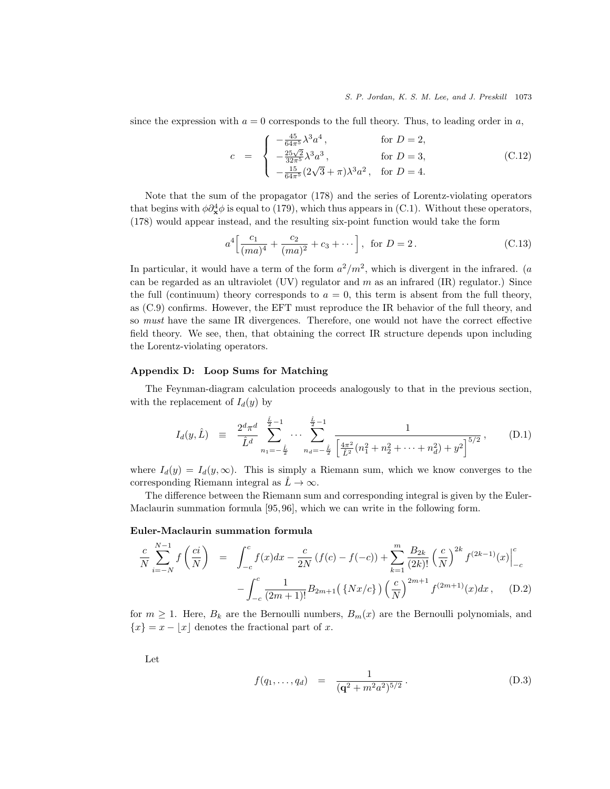since the expression with  $a = 0$  corresponds to the full theory. Thus, to leading order in a,

$$
c = \begin{cases} -\frac{45}{64\pi^5} \lambda^3 a^4, & \text{for } D = 2, \\ -\frac{25\sqrt{2}}{32\pi^5} \lambda^3 a^3, & \text{for } D = 3, \\ -\frac{15}{64\pi^5} (2\sqrt{3} + \pi) \lambda^3 a^2, & \text{for } D = 4. \end{cases}
$$
(C.12)

Note that the sum of the propagator (178) and the series of Lorentz-violating operators that begins with  $\phi \partial_x^4 \phi$  is equal to (179), which thus appears in (C.1). Without these operators, (178) would appear instead, and the resulting six-point function would take the form

$$
a^4 \left[ \frac{c_1}{(ma)^4} + \frac{c_2}{(ma)^2} + c_3 + \dots \right], \text{ for } D = 2.
$$
 (C.13)

In particular, it would have a term of the form  $a^2/m^2$ , which is divergent in the infrared. (a can be regarded as an ultraviolet (UV) regulator and m as an infrared (IR) regulator.) Since the full (continuum) theory corresponds to  $a = 0$ , this term is absent from the full theory, as (C.9) confirms. However, the EFT must reproduce the IR behavior of the full theory, and so must have the same IR divergences. Therefore, one would not have the correct effective field theory. We see, then, that obtaining the correct IR structure depends upon including the Lorentz-violating operators.

# Appendix D: Loop Sums for Matching

The Feynman-diagram calculation proceeds analogously to that in the previous section, with the replacement of  $I_d(y)$  by

$$
I_d(y, \hat{L}) = \frac{2^d \pi^d}{\hat{L}^d} \sum_{n_1 = -\frac{\hat{L}}{2}}^{\frac{\hat{L}}{2} - 1} \cdots \sum_{n_d = -\frac{\hat{L}}{2}}^{\frac{\hat{L}}{2} - 1} \frac{1}{\left[\frac{4\pi^2}{\hat{L}^2} (n_1^2 + n_2^2 + \cdots + n_d^2) + y^2\right]^{5/2}}, \quad (D.1)
$$

where  $I_d(y) = I_d(y,\infty)$ . This is simply a Riemann sum, which we know converges to the corresponding Riemann integral as  $\hat{L} \rightarrow \infty$ .

The difference between the Riemann sum and corresponding integral is given by the Euler-Maclaurin summation formula [95, 96], which we can write in the following form.

### Euler-Maclaurin summation formula

$$
\frac{c}{N} \sum_{i=-N}^{N-1} f\left(\frac{ci}{N}\right) = \int_{-c}^{c} f(x)dx - \frac{c}{2N} \left(f(c) - f(-c)\right) + \sum_{k=1}^{m} \frac{B_{2k}}{(2k)!} \left(\frac{c}{N}\right)^{2k} f^{(2k-1)}(x) \Big|_{-c}^{c} - \int_{-c}^{c} \frac{1}{(2m+1)!} B_{2m+1} \left(\left\{Nx/c\right\}\right) \left(\frac{c}{N}\right)^{2m+1} f^{(2m+1)}(x) dx, \quad (D.2)
$$

for  $m \geq 1$ . Here,  $B_k$  are the Bernoulli numbers,  $B_m(x)$  are the Bernoulli polynomials, and  ${x} = x - |x|$  denotes the fractional part of x.

Let

$$
f(q_1, \ldots, q_d) = \frac{1}{(\mathbf{q}^2 + m^2 a^2)^{5/2}}.
$$
 (D.3)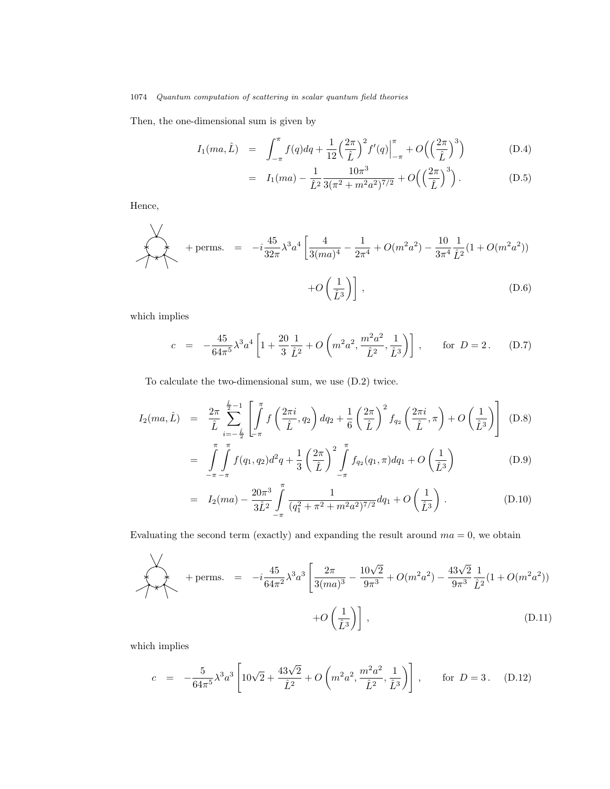Then, the one-dimensional sum is given by

$$
I_1(ma, \hat{L}) = \int_{-\pi}^{\pi} f(q) dq + \frac{1}{12} \left(\frac{2\pi}{\hat{L}}\right)^2 f'(q) \Big|_{-\pi}^{\pi} + O\left(\left(\frac{2\pi}{\hat{L}}\right)^3\right)
$$
(D.4)

$$
= I_1(ma) - \frac{1}{\hat{L}^2} \frac{10\pi^3}{3(\pi^2 + m^2 a^2)^{7/2}} + O\left(\left(\frac{2\pi}{\hat{L}}\right)^3\right). \tag{D.5}
$$

Hence,

$$
+ \text{perms.} = -i \frac{45}{32\pi} \lambda^3 a^4 \left[ \frac{4}{3(ma)^4} - \frac{1}{2\pi^4} + O(m^2 a^2) - \frac{10}{3\pi^4} \frac{1}{\hat{L}^2} (1 + O(m^2 a^2)) + O\left(\frac{1}{\hat{L}^3}\right) \right], \tag{D.6}
$$

which implies

$$
c = -\frac{45}{64\pi^5} \lambda^3 a^4 \left[ 1 + \frac{20}{3} \frac{1}{\hat{L}^2} + O\left(m^2 a^2, \frac{m^2 a^2}{\hat{L}^2}, \frac{1}{\hat{L}^3}\right) \right], \quad \text{for } D = 2. \quad (D.7)
$$

To calculate the two-dimensional sum, we use (D.2) twice.

$$
I_2(ma, \hat{L}) = \frac{2\pi}{\hat{L}} \sum_{i=-\frac{\hat{L}}{2}}^{\frac{\hat{L}}{2}-1} \left[ \int_{-\pi}^{\pi} f\left(\frac{2\pi i}{\hat{L}}, q_2\right) dq_2 + \frac{1}{6} \left(\frac{2\pi}{\hat{L}}\right)^2 f_{q_2}\left(\frac{2\pi i}{\hat{L}}, \pi\right) + O\left(\frac{1}{\hat{L}^3}\right) \right] (D.8)
$$

$$
= \int_{-\pi}^{\pi} \int_{-\pi}^{\pi} f(q_1, q_2) d^2 q + \frac{1}{3} \left(\frac{2\pi}{\hat{L}}\right)^2 \int_{-\pi}^{\pi} f_{q_2}(q_1, \pi) dq_1 + O\left(\frac{1}{\hat{L}^3}\right)
$$
(D.9)

$$
= I_2(ma) - \frac{20\pi^3}{3\hat{L}^2} \int_{-\pi}^{\pi} \frac{1}{(q_1^2 + \pi^2 + m^2a^2)^{7/2}} dq_1 + O\left(\frac{1}{\hat{L}^3}\right).
$$
 (D.10)

Evaluating the second term (exactly) and expanding the result around  $ma = 0$ , we obtain

$$
+ \text{perms.} = -i \frac{45}{64\pi^2} \lambda^3 a^3 \left[ \frac{2\pi}{3(ma)^3} - \frac{10\sqrt{2}}{9\pi^3} + O(m^2a^2) - \frac{43\sqrt{2}}{9\pi^3} \frac{1}{\hat{L}^2} (1 + O(m^2a^2)) + O\left(\frac{1}{\hat{L}^3}\right) \right],
$$
\n(D.11)

which implies

$$
c = -\frac{5}{64\pi^5} \lambda^3 a^3 \left[ 10\sqrt{2} + \frac{43\sqrt{2}}{\hat{L}^2} + O\left(m^2 a^2, \frac{m^2 a^2}{\hat{L}^2}, \frac{1}{\hat{L}^3}\right) \right], \quad \text{for } D = 3. \quad (D.12)
$$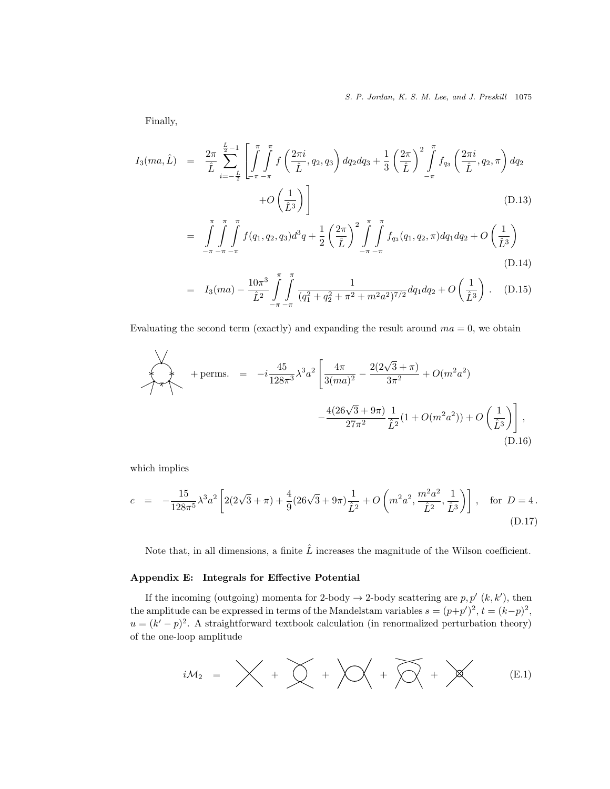Finally,

$$
I_3(ma, \hat{L}) = \frac{2\pi}{\hat{L}} \sum_{i=-\frac{\hat{L}}{2}}^{\frac{\hat{L}}{2}-1} \left[ \int_{-\pi-\pi}^{\pi} f\left(\frac{2\pi i}{\hat{L}}, q_2, q_3\right) dq_2 dq_3 + \frac{1}{3} \left(\frac{2\pi}{\hat{L}}\right)^2 \int_{-\pi}^{\pi} f_{q_3}\left(\frac{2\pi i}{\hat{L}}, q_2, \pi\right) dq_2
$$
  
+  $O\left(\frac{1}{\hat{L}^3}\right) \right]$  (D.13)

$$
= \int\int\int\int_{-\pi} f(q_1, q_2, q_3) d^3q + \frac{1}{2} \left(\frac{2\pi}{\hat{L}}\right)^2 \int\int\int_{-\pi} f_{q_3}(q_1, q_2, \pi) dq_1 dq_2 + O\left(\frac{1}{\hat{L}^3}\right)
$$
\n(D.14)

$$
= I_3(ma) - \frac{10\pi^3}{\hat{L}^2} \int_{-\pi}^{\pi} \int_{-\pi}^{\pi} \frac{1}{(q_1^2 + q_2^2 + \pi^2 + m^2 a^2)^{7/2}} dq_1 dq_2 + O\left(\frac{1}{\hat{L}^3}\right).
$$
 (D.15)

Evaluating the second term (exactly) and expanding the result around  $ma = 0$ , we obtain

$$
+ \text{perms.} = -i \frac{45}{128\pi^3} \lambda^3 a^2 \left[ \frac{4\pi}{3(ma)^2} - \frac{2(2\sqrt{3} + \pi)}{3\pi^2} + O(m^2 a^2) - \frac{4(26\sqrt{3} + 9\pi)}{27\pi^2} \frac{1}{\hat{L}^2} (1 + O(m^2 a^2)) + O\left(\frac{1}{\hat{L}^3}\right) \right],
$$
\n(D.16)

which implies

$$
c = -\frac{15}{128\pi^5} \lambda^3 a^2 \left[ 2(2\sqrt{3} + \pi) + \frac{4}{9} (26\sqrt{3} + 9\pi) \frac{1}{\hat{L}^2} + O\left(m^2 a^2, \frac{m^2 a^2}{\hat{L}^2}, \frac{1}{\hat{L}^3}\right) \right], \text{ for } D = 4.
$$
\n(D.17)

Note that, in all dimensions, a finite  $\hat{L}$  increases the magnitude of the Wilson coefficient.

# Appendix E: Integrals for Effective Potential

If the incoming (outgoing) momenta for 2-body  $\rightarrow$  2-body scattering are  $p, p'$  (k, k'), then the amplitude can be expressed in terms of the Mandelstam variables  $s = (p+p')^2$ ,  $t = (k-p)^2$ ,  $u = (k' - p)^2$ . A straightforward textbook calculation (in renormalized perturbation theory) of the one-loop amplitude

$$
iM_2 = \bigtimes + \bigtimes + \bigtimes + \bigtimes + \bigtimes + \bigtimes + \bigtimes
$$
 (E.1)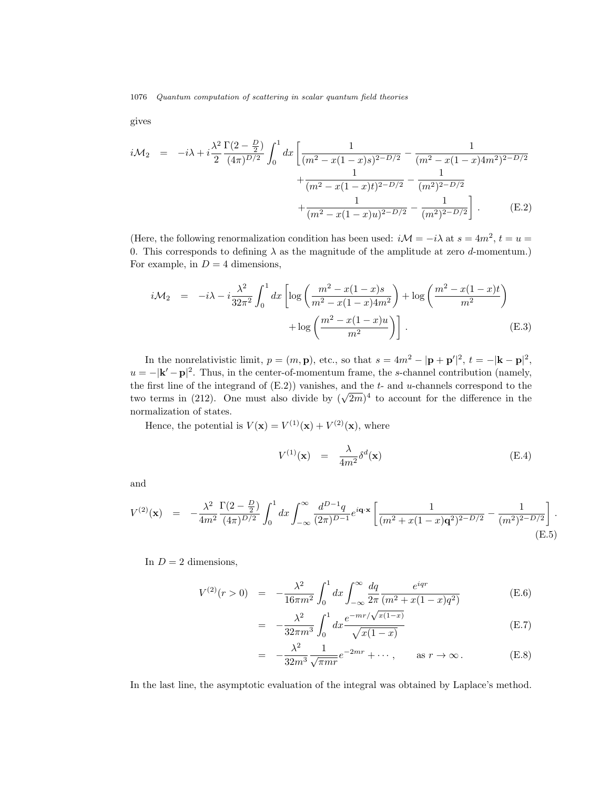gives

$$
i\mathcal{M}_2 = -i\lambda + i\frac{\lambda^2}{2} \frac{\Gamma(2-\frac{D}{2})}{(4\pi)^{D/2}} \int_0^1 dx \left[ \frac{1}{(m^2 - x(1-x)s)^{2-D/2}} - \frac{1}{(m^2 - x(1-x)4m^2)^{2-D/2}} + \frac{1}{(m^2 - x(1-x)t)^{2-D/2}} - \frac{1}{(m^2)^{2-D/2}} + \frac{1}{(m^2 - x(1-x)u)^{2-D/2}} - \frac{1}{(m^2)^{2-D/2}} \right].
$$
 (E.2)

(Here, the following renormalization condition has been used:  $i\mathcal{M} = -i\lambda$  at  $s = 4m^2$ ,  $t = u =$ 0. This corresponds to defining  $\lambda$  as the magnitude of the amplitude at zero d-momentum.) For example, in  $D = 4$  dimensions,

$$
i\mathcal{M}_2 = -i\lambda - i\frac{\lambda^2}{32\pi^2} \int_0^1 dx \left[ \log \left( \frac{m^2 - x(1-x)s}{m^2 - x(1-x)4m^2} \right) + \log \left( \frac{m^2 - x(1-x)t}{m^2} \right) + \log \left( \frac{m^2 - x(1-x)u}{m^2} \right) \right].
$$
\n(E.3)

In the nonrelativistic limit,  $p = (m, \mathbf{p})$ , etc., so that  $s = 4m^2 - |\mathbf{p} + \mathbf{p}'|^2$ ,  $t = -|\mathbf{k} - \mathbf{p}|^2$ ,  $u = -|\mathbf{k}' - \mathbf{p}|^2$ . Thus, in the center-of-momentum frame, the s-channel contribution (namely, the first line of the integrand of  $(E.2)$ ) vanishes, and the  $t$ - and  $u$ -channels correspond to the two terms in (212). One must also divide by  $(\sqrt{2m})^4$  to account for the difference in the normalization of states.

Hence, the potential is  $V(\mathbf{x}) = V^{(1)}(\mathbf{x}) + V^{(2)}(\mathbf{x})$ , where

= −

$$
V^{(1)}(\mathbf{x}) = \frac{\lambda}{4m^2} \delta^d(\mathbf{x})
$$
 (E.4)

and

$$
V^{(2)}(\mathbf{x}) = -\frac{\lambda^2}{4m^2} \frac{\Gamma(2-\frac{D}{2})}{(4\pi)^{D/2}} \int_0^1 dx \int_{-\infty}^\infty \frac{d^{D-1}q}{(2\pi)^{D-1}} e^{i\mathbf{q}\cdot\mathbf{x}} \left[ \frac{1}{(m^2+x(1-x)\mathbf{q}^2)^{2-D/2}} - \frac{1}{(m^2)^{2-D/2}} \right].
$$
\n(E.5)

In  $D = 2$  dimensions,

$$
V^{(2)}(r>0) = -\frac{\lambda^2}{16\pi m^2} \int_0^1 dx \int_{-\infty}^\infty \frac{dq}{2\pi} \frac{e^{iqr}}{(m^2 + x(1-x)q^2)} \tag{E.6}
$$

$$
= -\frac{\lambda^2}{32\pi m^3} \int_0^1 dx \frac{e^{-mr/\sqrt{x(1-x)}}}{\sqrt{x(1-x)}}
$$
(E.7)

$$
- \frac{\lambda^2}{32m^3} \frac{1}{\sqrt{\pi mr}} e^{-2mr} + \cdots, \qquad \text{as } r \to \infty.
$$
 (E.8)

In the last line, the asymptotic evaluation of the integral was obtained by Laplace's method.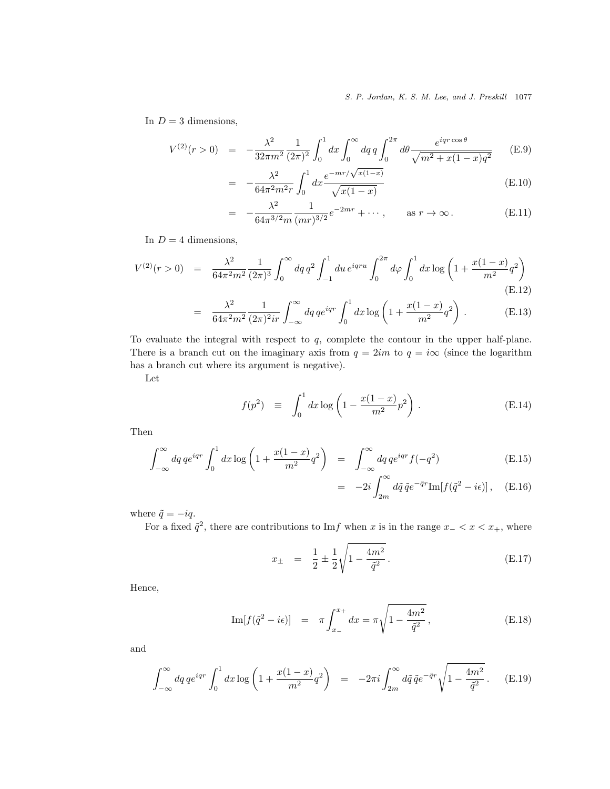In  $D = 3$  dimensions,

$$
V^{(2)}(r>0) = -\frac{\lambda^2}{32\pi m^2} \frac{1}{(2\pi)^2} \int_0^1 dx \int_0^\infty dq \, q \int_0^{2\pi} d\theta \frac{e^{iqr\cos\theta}}{\sqrt{m^2 + x(1-x)q^2}} \tag{E.9}
$$

$$
= -\frac{\lambda^2}{64\pi^2 m^2 r} \int_0^1 dx \frac{e^{-mr/\sqrt{x(1-x)}}}{\sqrt{x(1-x)}}
$$
(E.10)

$$
= -\frac{\lambda^2}{64\pi^{3/2}m} \frac{1}{(mr)^{3/2}} e^{-2mr} + \cdots, \quad \text{as } r \to \infty.
$$
 (E.11)

In  $D = 4$  dimensions,

$$
V^{(2)}(r>0) = \frac{\lambda^2}{64\pi^2 m^2} \frac{1}{(2\pi)^3} \int_0^\infty dq \, q^2 \int_{-1}^1 du \, e^{iqru} \int_0^{2\pi} d\varphi \int_0^1 dx \log\left(1 + \frac{x(1-x)}{m^2} q^2\right)
$$
\n(E.12)

$$
= \frac{\lambda^2}{64\pi^2 m^2} \frac{1}{(2\pi)^2 ir} \int_{-\infty}^{\infty} dq \, q e^{iqr} \int_0^1 dx \log \left( 1 + \frac{x(1-x)}{m^2} q^2 \right) . \tag{E.13}
$$

To evaluate the integral with respect to q, complete the contour in the upper half-plane. There is a branch cut on the imaginary axis from  $q = 2im$  to  $q = i\infty$  (since the logarithm has a branch cut where its argument is negative).

Let

$$
f(p^2) \equiv \int_0^1 dx \log \left( 1 - \frac{x(1-x)}{m^2} p^2 \right).
$$
 (E.14)

Then

$$
\int_{-\infty}^{\infty} dq \, q e^{iqr} \int_0^1 dx \log \left( 1 + \frac{x(1-x)}{m^2} q^2 \right) = \int_{-\infty}^{\infty} dq \, q e^{iqr} f(-q^2)
$$
\n(E.15)

$$
= -2i \int_{2m}^{\infty} d\tilde{q} \,\tilde{q} e^{-\tilde{q}r} \text{Im}[f(\tilde{q}^2 - i\epsilon)], \quad \text{(E.16)}
$$

where  $\tilde{q} = -iq$ .

For a fixed  $\tilde{q}^2$ , there are contributions to Imf when x is in the range  $x - \langle x \langle x_+, \rangle$  where

$$
x_{\pm} = \frac{1}{2} \pm \frac{1}{2} \sqrt{1 - \frac{4m^2}{\tilde{q}^2}}.
$$
 (E.17)

Hence,

Im[
$$
f(\tilde{q}^2 - i\epsilon)
$$
] =  $\pi \int_{x_-}^{x_+} dx = \pi \sqrt{1 - \frac{4m^2}{\tilde{q}^2}}$ , (E.18)

and

$$
\int_{-\infty}^{\infty} dq \, q e^{iqr} \int_{0}^{1} dx \log \left( 1 + \frac{x(1-x)}{m^2} q^2 \right) = -2\pi i \int_{2m}^{\infty} d\tilde{q} \, \tilde{q} e^{-\tilde{q}r} \sqrt{1 - \frac{4m^2}{\tilde{q}^2}} \,. \tag{E.19}
$$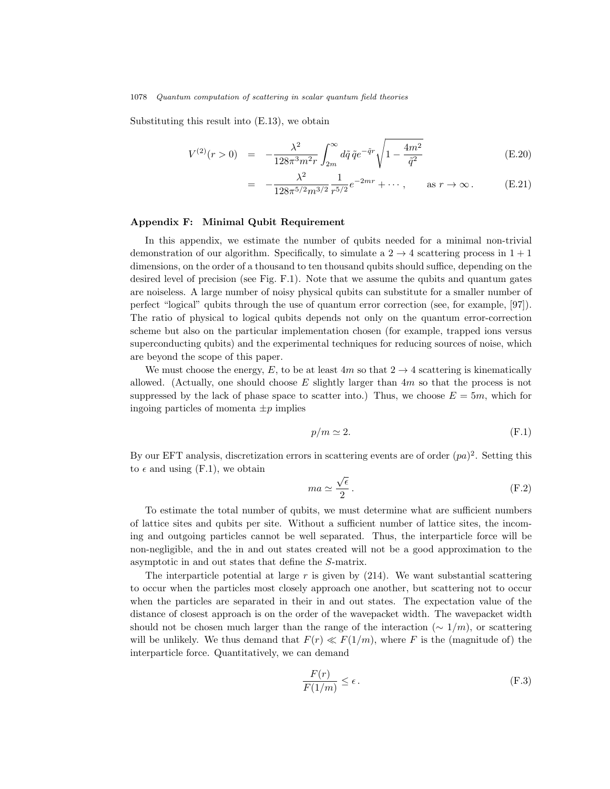Substituting this result into (E.13), we obtain

$$
V^{(2)}(r>0) = -\frac{\lambda^2}{128\pi^3 m^2 r} \int_{2m}^{\infty} d\tilde{q} \,\tilde{q} e^{-\tilde{q}r} \sqrt{1 - \frac{4m^2}{\tilde{q}^2}}
$$
(E.20)

$$
= -\frac{\lambda^2}{128\pi^{5/2}m^{3/2}} \frac{1}{r^{5/2}} e^{-2mr} + \cdots, \quad \text{as } r \to \infty.
$$
 (E.21)

### Appendix F: Minimal Qubit Requirement

In this appendix, we estimate the number of qubits needed for a minimal non-trivial demonstration of our algorithm. Specifically, to simulate a  $2 \rightarrow 4$  scattering process in  $1 + 1$ dimensions, on the order of a thousand to ten thousand qubits should suffice, depending on the desired level of precision (see Fig. F.1). Note that we assume the qubits and quantum gates are noiseless. A large number of noisy physical qubits can substitute for a smaller number of perfect "logical" qubits through the use of quantum error correction (see, for example, [97]). The ratio of physical to logical qubits depends not only on the quantum error-correction scheme but also on the particular implementation chosen (for example, trapped ions versus superconducting qubits) and the experimental techniques for reducing sources of noise, which are beyond the scope of this paper.

We must choose the energy, E, to be at least  $4m$  so that  $2 \rightarrow 4$  scattering is kinematically allowed. (Actually, one should choose  $E$  slightly larger than  $4m$  so that the process is not suppressed by the lack of phase space to scatter into.) Thus, we choose  $E = 5m$ , which for ingoing particles of momenta  $\pm p$  implies

$$
p/m \simeq 2.\tag{F.1}
$$

By our EFT analysis, discretization errors in scattering events are of order  $(pa)^2$ . Setting this to  $\epsilon$  and using (F.1), we obtain

$$
ma \simeq \frac{\sqrt{\epsilon}}{2} \,. \tag{F.2}
$$

To estimate the total number of qubits, we must determine what are sufficient numbers of lattice sites and qubits per site. Without a sufficient number of lattice sites, the incoming and outgoing particles cannot be well separated. Thus, the interparticle force will be non-negligible, and the in and out states created will not be a good approximation to the asymptotic in and out states that define the S-matrix.

The interparticle potential at large  $r$  is given by  $(214)$ . We want substantial scattering to occur when the particles most closely approach one another, but scattering not to occur when the particles are separated in their in and out states. The expectation value of the distance of closest approach is on the order of the wavepacket width. The wavepacket width should not be chosen much larger than the range of the interaction ( $\sim 1/m$ ), or scattering will be unlikely. We thus demand that  $F(r) \ll F(1/m)$ , where F is the (magnitude of) the interparticle force. Quantitatively, we can demand

$$
\frac{F(r)}{F(1/m)} \le \epsilon \,. \tag{F.3}
$$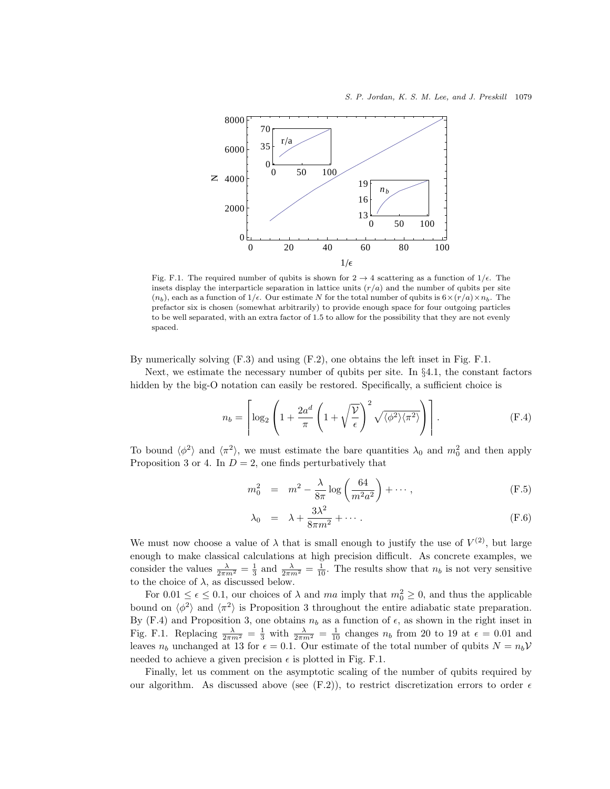

Fig. F.1. The required number of qubits is shown for  $2 \rightarrow 4$  scattering as a function of  $1/\epsilon$ . The insets display the interparticle separation in lattice units  $(r/a)$  and the number of qubits per site  $(n_b)$ , each as a function of 1/ $\epsilon$ . Our estimate N for the total number of qubits is  $6 \times (r/a) \times n_b$ . The prefactor six is chosen (somewhat arbitrarily) to provide enough space for four outgoing particles to be well separated, with an extra factor of 1.5 to allow for the possibility that they are not evenly spaced.

By numerically solving (F.3) and using (F.2), one obtains the left inset in Fig. F.1.

Next, we estimate the necessary number of qubits per site. In §4.1, the constant factors hidden by the big-O notation can easily be restored. Specifically, a sufficient choice is

$$
n_b = \left\lceil \log_2 \left( 1 + \frac{2a^d}{\pi} \left( 1 + \sqrt{\frac{\mathcal{V}}{\epsilon}} \right)^2 \sqrt{\langle \phi^2 \rangle \langle \pi^2 \rangle} \right) \right\rceil. \tag{F.4}
$$

To bound  $\langle \phi^2 \rangle$  and  $\langle \pi^2 \rangle$ , we must estimate the bare quantities  $\lambda_0$  and  $m_0^2$  and then apply Proposition 3 or 4. In  $D = 2$ , one finds perturbatively that

$$
m_0^2 = m^2 - \frac{\lambda}{8\pi} \log \left( \frac{64}{m^2 a^2} \right) + \cdots, \tag{F.5}
$$

$$
\lambda_0 = \lambda + \frac{3\lambda^2}{8\pi m^2} + \cdots. \tag{F.6}
$$

We must now choose a value of  $\lambda$  that is small enough to justify the use of  $V^{(2)}$ , but large enough to make classical calculations at high precision difficult. As concrete examples, we consider the values  $\frac{\lambda}{2\pi m^2} = \frac{1}{3}$  and  $\frac{\lambda}{2\pi m^2} = \frac{1}{10}$ . The results show that  $n_b$  is not very sensitive to the choice of  $\lambda$ , as discussed below.

For  $0.01 \le \epsilon \le 0.1$ , our choices of  $\lambda$  and  $ma$  imply that  $m_0^2 \ge 0$ , and thus the applicable bound on  $\langle \phi^2 \rangle$  and  $\langle \pi^2 \rangle$  is Proposition 3 throughout the entire adiabatic state preparation. By (F.4) and Proposition 3, one obtains  $n_b$  as a function of  $\epsilon$ , as shown in the right inset in Fig. F.1. Replacing  $\frac{\lambda}{2\pi m^2} = \frac{1}{3}$  with  $\frac{\lambda}{2\pi m^2} = \frac{1}{10}$  changes  $n_b$  from 20 to 19 at  $\epsilon = 0.01$  and leaves  $n_b$  unchanged at 13 for  $\epsilon = 0.1$ . Our estimate of the total number of qubits  $N = n_b V$ needed to achieve a given precision  $\epsilon$  is plotted in Fig. F.1.

Finally, let us comment on the asymptotic scaling of the number of qubits required by our algorithm. As discussed above (see (F.2)), to restrict discretization errors to order  $\epsilon$